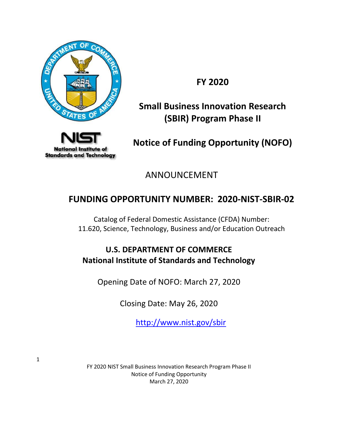

**FY 2020**

# **Small Business Innovation Research (SBIR) Program Phase II**



**Notice of Funding Opportunity (NOFO)**

ANNOUNCEMENT

# **FUNDING OPPORTUNITY NUMBER: 2020-NIST-SBIR-02**

Catalog of Federal Domestic Assistance (CFDA) Number: 11.620, Science, Technology, Business and/or Education Outreach

# **U.S. DEPARTMENT OF COMMERCE National Institute of Standards and Technology**

Opening Date of NOFO: March 27, 2020

Closing Date: May 26, 2020

<http://www.nist.gov/sbir>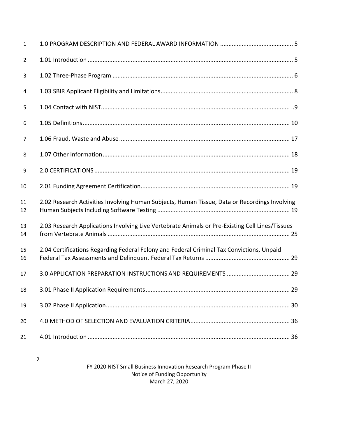| $\mathbf{1}$   |                                                                                                 |
|----------------|-------------------------------------------------------------------------------------------------|
| $\overline{2}$ |                                                                                                 |
| 3              |                                                                                                 |
| 4              |                                                                                                 |
| 5              |                                                                                                 |
| 6              |                                                                                                 |
| 7              |                                                                                                 |
| 8              |                                                                                                 |
| 9              |                                                                                                 |
| 10             |                                                                                                 |
| 11<br>12       | 2.02 Research Activities Involving Human Subjects, Human Tissue, Data or Recordings Involving   |
| 13<br>14       | 2.03 Research Applications Involving Live Vertebrate Animals or Pre-Existing Cell Lines/Tissues |
| 15<br>16       | 2.04 Certifications Regarding Federal Felony and Federal Criminal Tax Convictions, Unpaid       |
| 17             |                                                                                                 |
| 18             |                                                                                                 |
| 19             |                                                                                                 |
| 20             |                                                                                                 |
| 21             |                                                                                                 |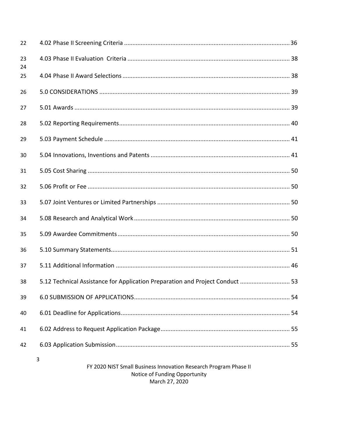| 22       |                                                                                                        |
|----------|--------------------------------------------------------------------------------------------------------|
| 23<br>24 |                                                                                                        |
| 25       |                                                                                                        |
| 26       |                                                                                                        |
| 27       |                                                                                                        |
| 28       |                                                                                                        |
| 29       |                                                                                                        |
| 30       |                                                                                                        |
| 31       |                                                                                                        |
| 32       |                                                                                                        |
| 33       |                                                                                                        |
| 34       |                                                                                                        |
| 35       |                                                                                                        |
| 36       |                                                                                                        |
| 37       |                                                                                                        |
| 38       | 53. Technical Assistance for Application Preparation and Project Conduct  53                           |
| 39       |                                                                                                        |
| 40       |                                                                                                        |
| 41       |                                                                                                        |
| 42       |                                                                                                        |
|          | 3<br>FY 2020 NIST Small Business Innovation Research Program Phase II<br>Notice of Funding Opportunity |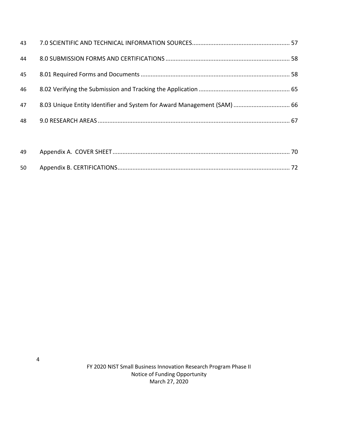| 43 |                                                                         |  |
|----|-------------------------------------------------------------------------|--|
| 44 |                                                                         |  |
| 45 |                                                                         |  |
| 46 |                                                                         |  |
| 47 | 8.03 Unique Entity Identifier and System for Award Management (SAM)  66 |  |
| 48 |                                                                         |  |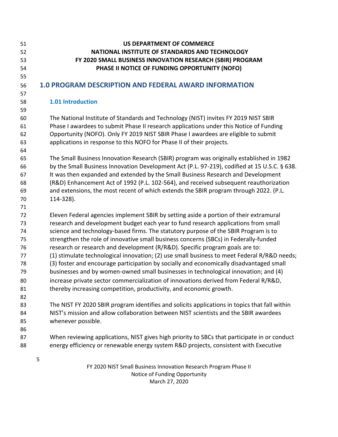<span id="page-4-1"></span><span id="page-4-0"></span>

| 51<br>52 | <b>US DEPARTMENT OF COMMERCE</b><br>NATIONAL INSTITUTE OF STANDARDS AND TECHNOLOGY                                                                                        |
|----------|---------------------------------------------------------------------------------------------------------------------------------------------------------------------------|
| 53       | FY 2020 SMALL BUSINESS INNOVATION RESEARCH (SBIR) PROGRAM                                                                                                                 |
| 54       | PHASE II NOTICE OF FUNDING OPPORTUNITY (NOFO)                                                                                                                             |
| 55       |                                                                                                                                                                           |
| 56       | 1.0 PROGRAM DESCRIPTION AND FEDERAL AWARD INFORMATION                                                                                                                     |
| 57       |                                                                                                                                                                           |
| 58       | 1.01 Introduction                                                                                                                                                         |
| 59       |                                                                                                                                                                           |
| 60       | The National Institute of Standards and Technology (NIST) invites FY 2019 NIST SBIR                                                                                       |
| 61       | Phase I awardees to submit Phase II research applications under this Notice of Funding                                                                                    |
| 62       | Opportunity (NOFO). Only FY 2019 NIST SBIR Phase I awardees are eligible to submit                                                                                        |
| 63       | applications in response to this NOFO for Phase II of their projects.                                                                                                     |
| 64       | The Small Business Innovation Research (SBIR) program was originally established in 1982                                                                                  |
| 65       |                                                                                                                                                                           |
| 66       | by the Small Business Innovation Development Act (P.L. 97-219), codified at 15 U.S.C. § 638.                                                                              |
| 67       | It was then expanded and extended by the Small Business Research and Development<br>(R&D) Enhancement Act of 1992 (P.L. 102-564), and received subsequent reauthorization |
| 68       | and extensions, the most recent of which extends the SBIR program through 2022. (P.L.                                                                                     |
| 69       |                                                                                                                                                                           |
| 70<br>71 | 114-328).                                                                                                                                                                 |
| 72       | Eleven Federal agencies implement SBIR by setting aside a portion of their extramural                                                                                     |
| 73       | research and development budget each year to fund research applications from small                                                                                        |
| 74       | science and technology-based firms. The statutory purpose of the SBIR Program is to                                                                                       |
| 75       | strengthen the role of innovative small business concerns (SBCs) in Federally-funded                                                                                      |
| 76       | research or research and development (R/R&D). Specific program goals are to:                                                                                              |
| 77       | (1) stimulate technological innovation; (2) use small business to meet Federal R/R&D needs;                                                                               |
| 78       | (3) foster and encourage participation by socially and economically disadvantaged small                                                                                   |
| 79       | businesses and by women-owned small businesses in technological innovation; and (4)                                                                                       |
| 80       | increase private sector commercialization of innovations derived from Federal R/R&D,                                                                                      |
| 81       | thereby increasing competition, productivity, and economic growth.                                                                                                        |
| 82       |                                                                                                                                                                           |
| 83       | The NIST FY 2020 SBIR program identifies and solicits applications in topics that fall within                                                                             |
| 84       | NIST's mission and allow collaboration between NIST scientists and the SBIR awardees                                                                                      |
| 85       | whenever possible.                                                                                                                                                        |
| 86       |                                                                                                                                                                           |
| 87       | When reviewing applications, NIST gives high priority to SBCs that participate in or conduct                                                                              |
| 88       | energy efficiency or renewable energy system R&D projects, consistent with Executive                                                                                      |
|          | 5                                                                                                                                                                         |
|          | FY 2020 NIST Small Business Innovation Research Program Phase II                                                                                                          |

Notice of Funding Opportunity March 27, 2020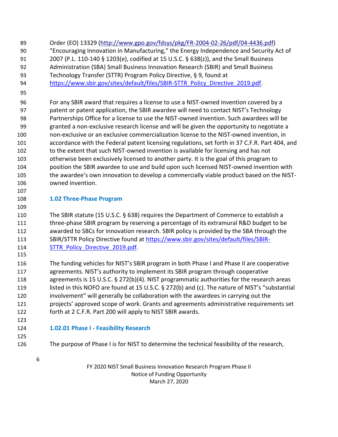- Order (EO) 13329 [\(http://www.gpo.gov/fdsys/pkg/FR-2004-02-26/pdf/04-4436.pdf\)](http://www.gpo.gov/fdsys/pkg/FR-2004-02-26/pdf/04-4436.pdf) "Encouraging Innovation in Manufacturing," the Energy Independence and Security Act of
- 2007 (P.L. 110-140 § 1203(e), codified at 15 U.S.C. § 638(z)), and the Small Business
- Administration (SBA) Small Business Innovation Research (SBIR) and Small Business
- Technology Transfer (STTR) Program Policy Directive, § 9, found at
- [https://www.sbir.gov/sites/default/files/SBIR-STTR\\_Policy\\_Directive\\_2019.pdf.](https://www.sbir.gov/sites/default/files/SBIR-STTR_Policy_Directive_2019.pdf)
- 

 For any SBIR award that requires a license to use a NIST-owned invention covered by a patent or patent application, the SBIR awardee will need to contact NIST's Technology Partnerships Office for a license to use the NIST-owned invention. Such awardees will be granted a non-exclusive research license and will be given the opportunity to negotiate a non-exclusive or an exclusive commercialization license to the NIST-owned invention, in accordance with the Federal patent licensing regulations, set forth in 37 C.F.R. Part 404, and to the extent that such NIST-owned invention is available for licensing and has not otherwise been exclusively licensed to another party. It is the goal of this program to position the SBIR awardee to use and build upon such licensed NIST-owned invention with the awardee's own innovation to develop a commercially viable product based on the NIST-owned invention.

# <span id="page-5-0"></span>**1.02 Three-Phase Program**

 The SBIR statute (15 U.S.C. § 638) requires the Department of Commerce to establish a three-phase SBIR program by reserving a percentage of its extramural R&D budget to be awarded to SBCs for innovation research. SBIR policy is provided by the SBA through the 113 SBIR/STTR Policy Directive found at [https://www.sbir.gov/sites/default/files/SBIR-](https://www.sbir.gov/sites/default/files/SBIR-STTR_Policy_Directive_2019.pdf)114 STTR Policy Directive 2019.pdf.

 The funding vehicles for NIST's SBIR program in both Phase I and Phase II are cooperative agreements. NIST's authority to implement its SBIR program through cooperative agreements is 15 U.S.C. § 272(b)(4). NIST programmatic authorities for the research areas listed in this NOFO are found at 15 U.S.C. § 272(b) and (c). The nature of NIST's "substantial involvement" will generally be collaboration with the awardees in carrying out the projects' approved scope of work. Grants and agreements administrative requirements set forth at 2 C.F.R. Part 200 will apply to NIST SBIR awards.

 

**1.02.01 Phase I - Feasibility Research**

- The purpose of Phase I is for NIST to determine the technical feasibility of the research,
	-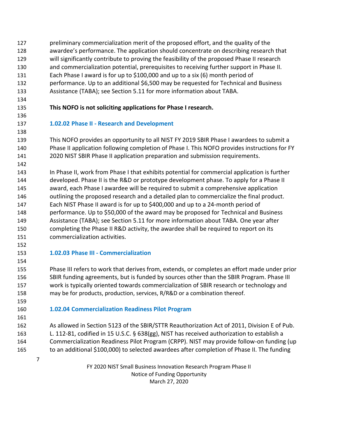- preliminary commercialization merit of the proposed effort, and the quality of the awardee's performance. The application should concentrate on describing research that will significantly contribute to proving the feasibility of the proposed Phase II research and commercialization potential, prerequisites to receiving further support in Phase II. Each Phase I award is for up to \$100,000 and up to a six (6) month period of performance. Up to an additional \$6,500 may be requested for Technical and Business Assistance (TABA); see Section 5.11 for more information about TABA.
- 

## **This NOFO is not soliciting applications for Phase I research.**

**1.02.02 Phase II - Research and Development**

 This NOFO provides an opportunity to all NIST FY 2019 SBIR Phase I awardees to submit a Phase II application following completion of Phase I. This NOFO provides instructions for FY 2020 NIST SBIR Phase II application preparation and submission requirements.

 In Phase II, work from Phase I that exhibits potential for commercial application is further developed. Phase II is the R&D or prototype development phase. To apply for a Phase II award, each Phase I awardee will be required to submit a comprehensive application outlining the proposed research and a detailed plan to commercialize the final product. Each NIST Phase II award is for up to \$400,000 and up to a 24-month period of performance. Up to \$50,000 of the award may be proposed for Technical and Business Assistance (TABA); see Section 5.11 for more information about TABA. One year after completing the Phase II R&D activity, the awardee shall be required to report on its commercialization activities.

**1.02.03 Phase III - Commercialization**

 Phase III refers to work that derives from, extends, or completes an effort made under prior SBIR funding agreements, but is funded by sources other than the SBIR Program. Phase III work is typically oriented towards commercialization of SBIR research or technology and may be for products, production, services, R/R&D or a combination thereof.

# **1.02.04 Commercialization Readiness Pilot Program**

 As allowed in Section 5123 of the SBIR/STTR Reauthorization Act of 2011, Division E of Pub. L. 112-81, codified in 15 U.S.C. § 638(gg), NIST has received authorization to establish a Commercialization Readiness Pilot Program (CRPP). NIST may provide follow-on funding (up to an additional \$100,000) to selected awardees after completion of Phase II. The funding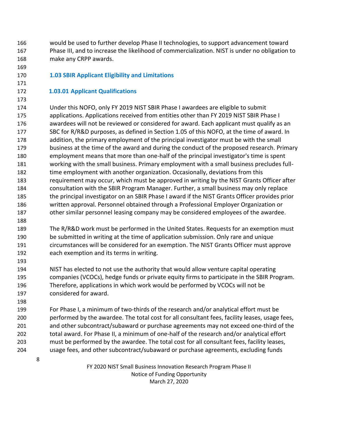- would be used to further develop Phase II technologies, to support advancement toward Phase III, and to increase the likelihood of commercialization. NIST is under no obligation to make any CRPP awards.
- 

## <span id="page-7-0"></span>**1.03 SBIR Applicant Eligibility and Limitations**

#### **1.03.01 Applicant Qualifications**

 Under this NOFO, only FY 2019 NIST SBIR Phase I awardees are eligible to submit applications. Applications received from entities other than FY 2019 NIST SBIR Phase I awardees will not be reviewed or considered for award. Each applicant must qualify as an SBC for R/R&D purposes, as defined in Section 1.05 of this NOFO, at the time of award. In addition, the primary employment of the principal investigator must be with the small business at the time of the award and during the conduct of the proposed research. Primary employment means that more than one-half of the principal investigator's time is spent working with the small business. Primary employment with a small business precludes full-182 time employment with another organization. Occasionally, deviations from this requirement may occur, which must be approved in writing by the NIST Grants Officer after consultation with the SBIR Program Manager. Further, a small business may only replace the principal investigator on an SBIR Phase I award if the NIST Grants Officer provides prior written approval. Personnel obtained through a Professional Employer Organization or other similar personnel leasing company may be considered employees of the awardee.

 The R/R&D work must be performed in the United States. Requests for an exemption must be submitted in writing at the time of application submission. Only rare and unique circumstances will be considered for an exemption. The NIST Grants Officer must approve each exemption and its terms in writing.

 NIST has elected to not use the authority that would allow venture capital operating companies (VCOCs), hedge funds or private equity firms to participate in the SBIR Program. Therefore, applications in which work would be performed by VCOCs will not be considered for award.

 For Phase I, a minimum of two-thirds of the research and/or analytical effort must be performed by the awardee. The total cost for all consultant fees, facility leases, usage fees, and other subcontract/subaward or purchase agreements may not exceed one-third of the total award. For Phase II, a minimum of one-half of the research and/or analytical effort must be performed by the awardee. The total cost for all consultant fees, facility leases, usage fees, and other subcontract/subaward or purchase agreements, excluding funds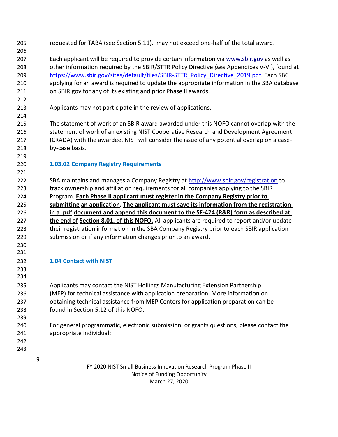<span id="page-8-0"></span>

| 205        |   | requested for TABA (see Section 5.11), may not exceed one-half of the total award.           |
|------------|---|----------------------------------------------------------------------------------------------|
| 206        |   |                                                                                              |
| 207        |   | Each applicant will be required to provide certain information via www.sbir.gov as well as   |
| 208        |   | other information required by the SBIR/STTR Policy Directive (see Appendices V-VI), found at |
| 209        |   | https://www.sbir.gov/sites/default/files/SBIR-STTR_Policy_Directive_2019.pdf. Each SBC       |
| 210        |   | applying for an award is required to update the appropriate information in the SBA database  |
| 211        |   | on SBIR.gov for any of its existing and prior Phase II awards.                               |
| 212        |   |                                                                                              |
| 213        |   | Applicants may not participate in the review of applications.                                |
| 214        |   |                                                                                              |
| 215        |   | The statement of work of an SBIR award awarded under this NOFO cannot overlap with the       |
| 216        |   | statement of work of an existing NIST Cooperative Research and Development Agreement         |
| 217        |   | (CRADA) with the awardee. NIST will consider the issue of any potential overlap on a case-   |
| 218        |   | by-case basis.                                                                               |
| 219        |   |                                                                                              |
| 220        |   | <b>1.03.02 Company Registry Requirements</b>                                                 |
| 221        |   |                                                                                              |
| 222        |   | SBA maintains and manages a Company Registry at http://www.sbir.gov/registration to          |
| 223        |   | track ownership and affiliation requirements for all companies applying to the SBIR          |
| 224        |   | Program. Each Phase II applicant must register in the Company Registry prior to              |
| 225        |   | submitting an application. The applicant must save its information from the registration     |
| 226        |   | in a .pdf document and append this document to the SF-424 (R&R) form as described at         |
| 227        |   | the end of Section 8.01. of this NOFO. All applicants are required to report and/or update   |
| 228        |   | their registration information in the SBA Company Registry prior to each SBIR application    |
| 229        |   | submission or if any information changes prior to an award.                                  |
| 230        |   |                                                                                              |
| 231        |   |                                                                                              |
|            |   | <b>1.04 Contact with NIST</b>                                                                |
| 232        |   |                                                                                              |
| 233<br>234 |   |                                                                                              |
|            |   |                                                                                              |
| 235        |   | Applicants may contact the NIST Hollings Manufacturing Extension Partnership                 |
| 236        |   | (MEP) for technical assistance with application preparation. More information on             |
| 237        |   | obtaining technical assistance from MEP Centers for application preparation can be           |
| 238        |   | found in Section 5.12 of this NOFO.                                                          |
| 239        |   |                                                                                              |
| 240        |   | For general programmatic, electronic submission, or grants questions, please contact the     |
| 241        |   | appropriate individual:                                                                      |
| 242        |   |                                                                                              |
| 243        |   |                                                                                              |
|            | 9 |                                                                                              |
|            |   | FY 2020 NIST Small Business Innovation Research Program Phase II                             |
|            |   | Notice of Funding Opportunity                                                                |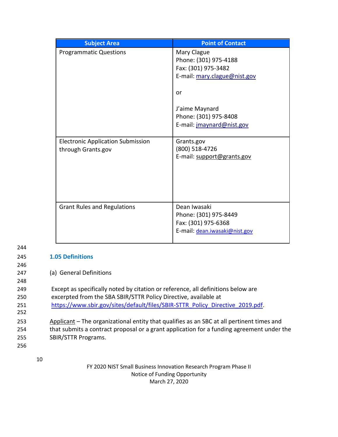| <b>Subject Area</b>                                            | <b>Point of Contact</b>                                                                                                                                                   |
|----------------------------------------------------------------|---------------------------------------------------------------------------------------------------------------------------------------------------------------------------|
| <b>Programmatic Questions</b>                                  | Mary Clague<br>Phone: (301) 975-4188<br>Fax: (301) 975-3482<br>E-mail: mary.clague@nist.gov<br>or<br>J'aime Maynard<br>Phone: (301) 975-8408<br>E-mail: jmaynard@nist.gov |
| <b>Electronic Application Submission</b><br>through Grants.gov | Grants.gov<br>(800) 518-4726<br>E-mail: support@grants.gov                                                                                                                |
| <b>Grant Rules and Regulations</b>                             | Dean Iwasaki<br>Phone: (301) 975-8449<br>Fax: (301) 975-6368<br>E-mail: dean.iwasaki@nist.gov                                                                             |

#### <span id="page-9-0"></span>245 **1.05 Definitions**

246

256

247 (a) General Definitions

| 248 |                                                                                  |
|-----|----------------------------------------------------------------------------------|
| 249 | Except as specifically noted by citation or reference, all definitions below are |
| 250 | excerpted from the SBA SBIR/STTR Policy Directive, available at                  |
| 251 | https://www.sbir.gov/sites/default/files/SBIR-STTR_Policy_Directive_2019.pdf.    |
| 252 |                                                                                  |

253 Applicant – The organizational entity that qualifies as an SBC at all pertinent times and 254 that submits a contract proposal or a grant application for a funding agreement under the 255 SBIR/STTR Programs.

10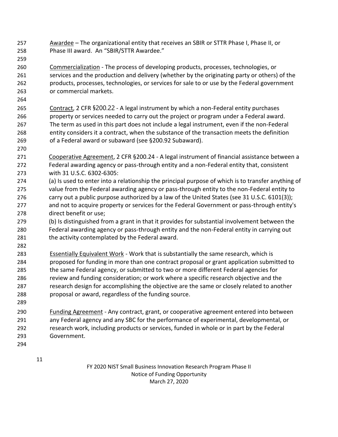- Awardee The organizational entity that receives an SBIR or STTR Phase I, Phase II, or Phase III award. An "SBIR/STTR Awardee."
- Commercialization The process of developing products, processes, technologies, or services and the production and delivery (whether by the originating party or others) of the products, processes, technologies, or services for sale to or use by the Federal government or commercial markets.
- Contract, 2 CFR §200.22 A legal instrument by which a non-Federal entity purchases property or services needed to carry out the project or program under a Federal award. The term as used in this part does not include a legal instrument, even if the non-Federal entity considers it a contract, when the substance of the transaction meets the definition of a Federal award or subaward (see §200.92 Subaward).
- 

- Cooperative Agreement, 2 CFR §200.24 A legal instrument of financial assistance between a Federal awarding agency or pass-through entity and a non-Federal entity that, consistent with 31 U.S.C. 6302-6305:
- (a) Is used to enter into a relationship the principal purpose of which is to transfer anything of value from the Federal awarding agency or pass-through entity to the non-Federal entity to 276 carry out a public purpose authorized by a law of the United States (see 31 U.S.C. 6101(3)); and not to acquire property or services for the Federal Government or pass-through entity's direct benefit or use;
- (b) Is distinguished from a grant in that it provides for substantial involvement between the Federal awarding agency or pass-through entity and the non-Federal entity in carrying out 281 the activity contemplated by the Federal award.
- Essentially Equivalent Work Work that is substantially the same research, which is proposed for funding in more than one contract proposal or grant application submitted to the same Federal agency, or submitted to two or more different Federal agencies for 286 review and funding consideration; or work where a specific research objective and the 287 research design for accomplishing the objective are the same or closely related to another proposal or award, regardless of the funding source.
- 

 Funding Agreement - Any contract, grant, or cooperative agreement entered into between any Federal agency and any SBC for the performance of experimental, developmental, or research work, including products or services, funded in whole or in part by the Federal Government.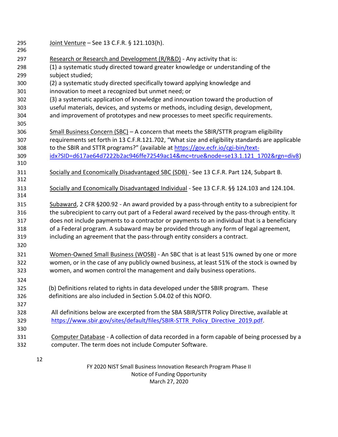| 295<br>296 | Joint Venture - See 13 C.F.R. § 121.103(h).                                                     |
|------------|-------------------------------------------------------------------------------------------------|
| 297        | Research or Research and Development (R/R&D) - Any activity that is:                            |
| 298        | (1) a systematic study directed toward greater knowledge or understanding of the                |
| 299        | subject studied;                                                                                |
| 300        | (2) a systematic study directed specifically toward applying knowledge and                      |
| 301        | innovation to meet a recognized but unmet need; or                                              |
| 302        | (3) a systematic application of knowledge and innovation toward the production of               |
| 303        | useful materials, devices, and systems or methods, including design, development,               |
| 304        | and improvement of prototypes and new processes to meet specific requirements.                  |
| 305        |                                                                                                 |
| 306        | Small Business Concern $(SBC)$ – A concern that meets the SBIR/STTR program eligibility         |
| 307        | requirements set forth in 13 C.F.R.121.702, "What size and eligibility standards are applicable |
| 308        | to the SBIR and STTR programs?" (available at https://gov.ecfr.io/cgi-bin/text-                 |
| 309        | idx?SID=d617ae64d7222b2ac946ffe72549ac14&mc=true&node=se13.1.121_1702&rgn=div8)                 |
| 310        |                                                                                                 |
| 311        | Socially and Economically Disadvantaged SBC (SDB) - See 13 C.F.R. Part 124, Subpart B.          |
| 312        |                                                                                                 |
| 313        | Socially and Economically Disadvantaged Individual - See 13 C.F.R. §§ 124.103 and 124.104.      |
| 314        |                                                                                                 |
| 315        | Subaward, 2 CFR §200.92 - An award provided by a pass-through entity to a subrecipient for      |
| 316        | the subrecipient to carry out part of a Federal award received by the pass-through entity. It   |
| 317        | does not include payments to a contractor or payments to an individual that is a beneficiary    |
| 318        | of a Federal program. A subaward may be provided through any form of legal agreement,           |
| 319        | including an agreement that the pass-through entity considers a contract.                       |
| 320        |                                                                                                 |
| 321        | Women-Owned Small Business (WOSB) - An SBC that is at least 51% owned by one or more            |
| 322        | women, or in the case of any publicly owned business, at least 51% of the stock is owned by     |
| 323        | women, and women control the management and daily business operations.                          |
| 324        |                                                                                                 |
| 325        | (b) Definitions related to rights in data developed under the SBIR program. These               |
| 326        | definitions are also included in Section 5.04.02 of this NOFO.                                  |
| 327        |                                                                                                 |
| 328        | All definitions below are excerpted from the SBA SBIR/STTR Policy Directive, available at       |
| 329        | https://www.sbir.gov/sites/default/files/SBIR-STTR Policy Directive 2019.pdf.                   |
| 330        |                                                                                                 |
| 331        | Computer Database - A collection of data recorded in a form capable of being processed by a     |
| 332        | computer. The term does not include Computer Software.                                          |
|            |                                                                                                 |
|            | 12                                                                                              |
|            | FY 2020 NIST Small Business Innovation Research Program Phase II                                |
|            | Notice of Funding Opportunity                                                                   |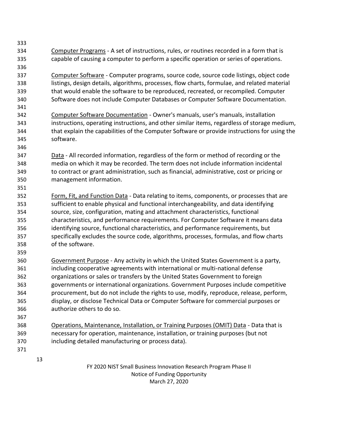- Computer Programs - A set of instructions, rules, or routines recorded in a form that is capable of causing a computer to perform a specific operation or series of operations.
- Computer Software Computer programs, source code, source code listings, object code listings, design details, algorithms, processes, flow charts, formulae, and related material that would enable the software to be reproduced, recreated, or recompiled. Computer Software does not include Computer Databases or Computer Software Documentation.
- Computer Software Documentation Owner's manuals, user's manuals, installation instructions, operating instructions, and other similar items, regardless of storage medium, that explain the capabilities of the Computer Software or provide instructions for using the software.
- Data All recorded information, regardless of the form or method of recording or the media on which it may be recorded. The term does not include information incidental to contract or grant administration, such as financial, administrative, cost or pricing or management information.
- Form, Fit, and Function Data Data relating to items, components, or processes that are sufficient to enable physical and functional interchangeability, and data identifying source, size, configuration, mating and attachment characteristics, functional characteristics, and performance requirements. For Computer Software it means data identifying source, functional characteristics, and performance requirements, but specifically excludes the source code, algorithms, processes, formulas, and flow charts of the software.
- Government Purpose Any activity in which the United States Government is a party, including cooperative agreements with international or multi-national defense organizations or sales or transfers by the United States Government to foreign governments or international organizations. Government Purposes include competitive procurement, but do not include the rights to use, modify, reproduce, release, perform, display, or disclose Technical Data or Computer Software for commercial purposes or authorize others to do so.
- Operations, Maintenance, Installation, or Training Purposes (OMIT) Data Data that is necessary for operation, maintenance, installation, or training purposes (but not including detailed manufacturing or process data).
	-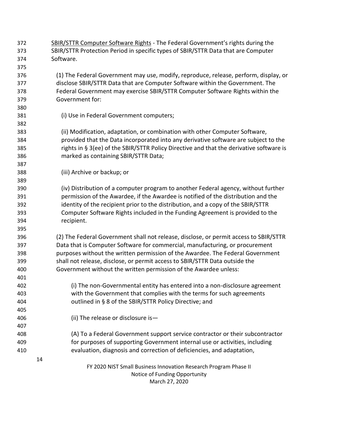FY 2020 NIST Small Business Innovation Research Program Phase II Notice of Funding Opportunity March 27, 2020 SBIR/STTR Computer Software Rights - The Federal Government's rights during the SBIR/STTR Protection Period in specific types of SBIR/STTR Data that are Computer Software. (1) The Federal Government may use, modify, reproduce, release, perform, display, or disclose SBIR/STTR Data that are Computer Software within the Government. The Federal Government may exercise SBIR/STTR Computer Software Rights within the Government for: (i) Use in Federal Government computers; (ii) Modification, adaptation, or combination with other Computer Software, provided that the Data incorporated into any derivative software are subject to the 385 rights in § 3(ee) of the SBIR/STTR Policy Directive and that the derivative software is marked as containing SBIR/STTR Data; (iii) Archive or backup; or (iv) Distribution of a computer program to another Federal agency, without further permission of the Awardee, if the Awardee is notified of the distribution and the identity of the recipient prior to the distribution, and a copy of the SBIR/STTR Computer Software Rights included in the Funding Agreement is provided to the recipient. (2) The Federal Government shall not release, disclose, or permit access to SBIR/STTR Data that is Computer Software for commercial, manufacturing, or procurement purposes without the written permission of the Awardee. The Federal Government shall not release, disclose, or permit access to SBIR/STTR Data outside the Government without the written permission of the Awardee unless: (i) The non-Governmental entity has entered into a non-disclosure agreement with the Government that complies with the terms for such agreements outlined in § 8 of the SBIR/STTR Policy Directive; and (ii) The release or disclosure is— (A) To a Federal Government support service contractor or their subcontractor for purposes of supporting Government internal use or activities, including evaluation, diagnosis and correction of deficiencies, and adaptation,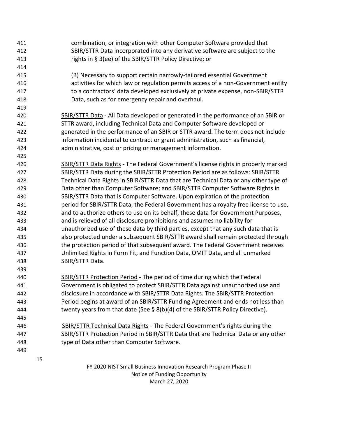FY 2020 NIST Small Business Innovation Research Program Phase II Notice of Funding Opportunity March 27, 2020 combination, or integration with other Computer Software provided that SBIR/STTR Data incorporated into any derivative software are subject to the rights in § 3(ee) of the SBIR/STTR Policy Directive; or (B) Necessary to support certain narrowly-tailored essential Government activities for which law or regulation permits access of a non-Government entity to a contractors' data developed exclusively at private expense, non-SBIR/STTR Data, such as for emergency repair and overhaul. SBIR/STTR Data - All Data developed or generated in the performance of an SBIR or STTR award, including Technical Data and Computer Software developed or generated in the performance of an SBIR or STTR award. The term does not include information incidental to contract or grant administration, such as financial, administrative, cost or pricing or management information. SBIR/STTR Data Rights - The Federal Government's license rights in properly marked SBIR/STTR Data during the SBIR/STTR Protection Period are as follows: SBIR/STTR Technical Data Rights in SBIR/STTR Data that are Technical Data or any other type of Data other than Computer Software; and SBIR/STTR Computer Software Rights in SBIR/STTR Data that is Computer Software. Upon expiration of the protection period for SBIR/STTR Data, the Federal Government has a royalty free license to use, and to authorize others to use on its behalf, these data for Government Purposes, and is relieved of all disclosure prohibitions and assumes no liability for unauthorized use of these data by third parties, except that any such data that is also protected under a subsequent SBIR/STTR award shall remain protected through the protection period of that subsequent award. The Federal Government receives Unlimited Rights in Form Fit, and Function Data, OMIT Data, and all unmarked SBIR/STTR Data. SBIR/STTR Protection Period - The period of time during which the Federal Government is obligated to protect SBIR/STTR Data against unauthorized use and disclosure in accordance with SBIR/STTR Data Rights. The SBIR/STTR Protection Period begins at award of an SBIR/STTR Funding Agreement and ends not less than twenty years from that date (See § 8(b)(4) of the SBIR/STTR Policy Directive). SBIR/STTR Technical Data Rights - The Federal Government's rights during the SBIR/STTR Protection Period in SBIR/STTR Data that are Technical Data or any other type of Data other than Computer Software.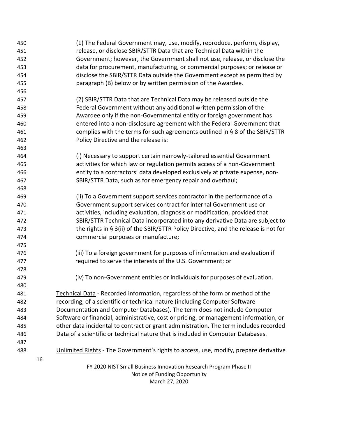| 450 | (1) The Federal Government may, use, modify, reproduce, perform, display,             |
|-----|---------------------------------------------------------------------------------------|
| 451 | release, or disclose SBIR/STTR Data that are Technical Data within the                |
| 452 | Government; however, the Government shall not use, release, or disclose the           |
| 453 | data for procurement, manufacturing, or commercial purposes; or release or            |
| 454 | disclose the SBIR/STTR Data outside the Government except as permitted by             |
| 455 | paragraph (B) below or by written permission of the Awardee.                          |
| 456 |                                                                                       |
| 457 | (2) SBIR/STTR Data that are Technical Data may be released outside the                |
| 458 | Federal Government without any additional written permission of the                   |
| 459 | Awardee only if the non-Governmental entity or foreign government has                 |
| 460 | entered into a non-disclosure agreement with the Federal Government that              |
| 461 | complies with the terms for such agreements outlined in § 8 of the SBIR/STTR          |
| 462 | Policy Directive and the release is:                                                  |
| 463 |                                                                                       |
| 464 | (i) Necessary to support certain narrowly-tailored essential Government               |
| 465 | activities for which law or regulation permits access of a non-Government             |
| 466 | entity to a contractors' data developed exclusively at private expense, non-          |
| 467 | SBIR/STTR Data, such as for emergency repair and overhaul;                            |
| 468 |                                                                                       |
| 469 | (ii) To a Government support services contractor in the performance of a              |
| 470 | Government support services contract for internal Government use or                   |
| 471 | activities, including evaluation, diagnosis or modification, provided that            |
| 472 | SBIR/STTR Technical Data incorporated into any derivative Data are subject to         |
| 473 | the rights in § 3(ii) of the SBIR/STTR Policy Directive, and the release is not for   |
| 474 | commercial purposes or manufacture;                                                   |
| 475 |                                                                                       |
| 476 | (iii) To a foreign government for purposes of information and evaluation if           |
| 477 | required to serve the interests of the U.S. Government; or                            |
| 478 |                                                                                       |
| 479 | (iv) To non-Government entities or individuals for purposes of evaluation.            |
| 480 |                                                                                       |
| 481 | Technical Data - Recorded information, regardless of the form or method of the        |
| 482 | recording, of a scientific or technical nature (including Computer Software           |
| 483 | Documentation and Computer Databases). The term does not include Computer             |
| 484 | Software or financial, administrative, cost or pricing, or management information, or |
| 485 | other data incidental to contract or grant administration. The term includes recorded |
| 486 | Data of a scientific or technical nature that is included in Computer Databases.      |
| 487 |                                                                                       |
| 488 | Unlimited Rights - The Government's rights to access, use, modify, prepare derivative |
| 16  |                                                                                       |
|     | FY 2020 NIST Small Business Innovation Research Program Phase II                      |
|     | Notice of Funding Opportunity                                                         |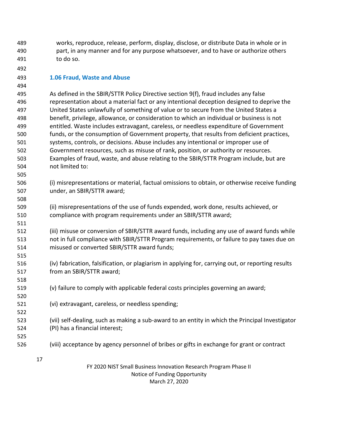works, reproduce, release, perform, display, disclose, or distribute Data in whole or in part, in any manner and for any purpose whatsoever, and to have or authorize others to do so.

#### <span id="page-16-0"></span>**1.06 Fraud, Waste and Abuse**

 As defined in the SBIR/STTR Policy Directive section 9(f), fraud includes any false representation about a material fact or any intentional deception designed to deprive the United States unlawfully of something of value or to secure from the United States a benefit, privilege, allowance, or consideration to which an individual or business is not entitled. Waste includes extravagant, careless, or needless expenditure of Government funds, or the consumption of Government property, that results from deficient practices, systems, controls, or decisions. Abuse includes any intentional or improper use of Government resources, such as misuse of rank, position, or authority or resources. Examples of fraud, waste, and abuse relating to the SBIR/STTR Program include, but are not limited to:

- (i) misrepresentations or material, factual omissions to obtain, or otherwise receive funding under, an SBIR/STTR award;
- (ii) misrepresentations of the use of funds expended, work done, results achieved, or compliance with program requirements under an SBIR/STTR award;
- (iii) misuse or conversion of SBIR/STTR award funds, including any use of award funds while not in full compliance with SBIR/STTR Program requirements, or failure to pay taxes due on misused or converted SBIR/STTR award funds;
- (iv) fabrication, falsification, or plagiarism in applying for, carrying out, or reporting results from an SBIR/STTR award;
- (v) failure to comply with applicable federal costs principles governing an award;
- (vi) extravagant, careless, or needless spending;
- (vii) self-dealing, such as making a sub-award to an entity in which the Principal Investigator (PI) has a financial interest;
- (viii) acceptance by agency personnel of bribes or gifts in exchange for grant or contract
	-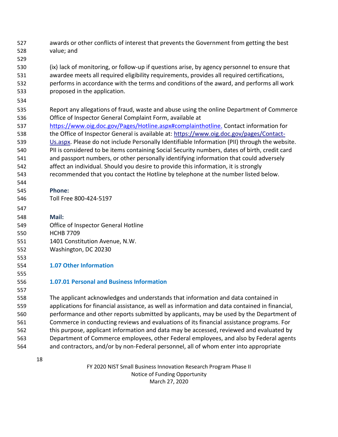- awards or other conflicts of interest that prevents the Government from getting the best value; and
- (ix) lack of monitoring, or follow-up if questions arise, by agency personnel to ensure that awardee meets all required eligibility requirements, provides all required certifications, performs in accordance with the terms and conditions of the award, and performs all work proposed in the application.
- 

- Report any allegations of fraud, waste and abuse using the online Department of Commerce Office of Inspector Gen[eral Complaint Form,](https://www.oig.doc.gov/Pages/online-hotline-complaint-form.aspx) available at
- [https://www.oig.doc.gov/Pages/Hotline.aspx#complainthotline.](https://www.oig.doc.gov/Pages/Hotline.aspx#complainthotline) Contact information for
- the Office of Inspector General is available at: [https://www.oig.doc.gov/pages/Contact-](https://www.oig.doc.gov/pages/Contact-Us.aspx)[Us.aspx. P](https://www.oig.doc.gov/pages/Contact-Us.aspx)lease do not include Personally Identifiable Information (PII) through the website.
- PII is considered to be items containing Social Security numbers, dates of birth, credit card
- and passport numbers, or other personally identifying information that could adversely
- affect an individual. Should you desire to provide this information, it is strongly
- recommended that you contact the Hotline by telephone at the number listed below.
- **Phone:**
- Toll Free 800-424-5197
- **Mail:**
- Office of Inspector General Hotline
- HCHB 7709
- 1401 Constitution Avenue, N.W.
- Washington, DC 20230
- 

- <span id="page-17-0"></span>**1.07 Other Information**
- **1.07.01 Personal and Business Information**

 The applicant acknowledges and understands that information and data contained in applications for financial assistance, as well as information and data contained in financial, performance and other reports submitted by applicants, may be used by the Department of Commerce in conducting reviews and evaluations of its financial assistance programs. For this purpose, applicant information and data may be accessed, reviewed and evaluated by Department of Commerce employees, other Federal employees, and also by Federal agents and contractors, and/or by non-Federal personnel, all of whom enter into appropriate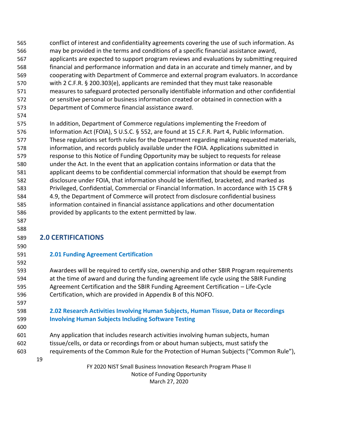- conflict of interest and confidentiality agreements covering the use of such information. As may be provided in the terms and conditions of a specific financial assistance award, applicants are expected to support program reviews and evaluations by submitting required financial and performance information and data in an accurate and timely manner, and by cooperating with Department of Commerce and external program evaluators. In accordance with 2 C.F.R. § 200.303(e), applicants are reminded that they must take reasonable measures to safeguard protected personally identifiable information and other confidential or sensitive personal or business information created or obtained in connection with a Department of Commerce financial assistance award.
- In addition, Department of Commerce regulations implementing the Freedom of Information Act (FOIA), 5 U.S.C. § 552, are found at 15 C.F.R. Part 4, Public Information. These regulations set forth rules for the Department regarding making requested materials, information, and records publicly available under the FOIA. Applications submitted in response to this Notice of Funding Opportunity may be subject to requests for release under the Act. In the event that an application contains information or data that the applicant deems to be confidential commercial information that should be exempt from disclosure under FOIA, that information should be identified, bracketed, and marked as Privileged, Confidential, Commercial or Financial Information. In accordance with 15 CFR § 4.9, the Department of Commerce will protect from disclosure confidential business information contained in financial assistance applications and other documentation provided by applicants to the extent permitted by law.

# <span id="page-18-0"></span>**2.0 CERTIFICATIONS**

### <span id="page-18-1"></span>**2.01 Funding Agreement Certification**

 Awardees will be required to certify size, ownership and other SBIR Program requirements at the time of award and during the funding agreement life cycle using the SBIR Funding Agreement Certification and the SBIR Funding Agreement Certification – Life-Cycle Certification, which are provided in Appendix B of this NOFO.

## <span id="page-18-2"></span> **2.02 Research Activities Involving Human Subjects, Human Tissue, Data or Recordings Involving Human Subjects Including Software Testing**

 Any application that includes research activities involving human subjects, human tissue/cells, or data or recordings from or about human subjects, must satisfy the requirements of the Common Rule for the Protection of Human Subjects ("Common Rule"),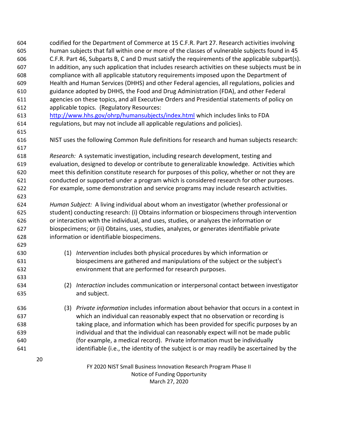FY 2020 NIST Small Business Innovation Research Program Phase II Notice of Funding Opportunity March 27, 2020 codified for the Department of Commerce at 15 C.F.R. Part 27. Research activities involving human subjects that fall within one or more of the classes of vulnerable subjects found in 45 C.F.R. Part 46, Subparts B, C and D must satisfy the requirements of the applicable subpart(s). In addition, any such application that includes research activities on these subjects must be in compliance with all applicable statutory requirements imposed upon the Department of Health and Human Services (DHHS) and other Federal agencies, all regulations, policies and guidance adopted by DHHS, the Food and Drug Administration (FDA), and other Federal agencies on these topics, and all Executive Orders and Presidential statements of policy on applicable topics. (Regulatory Resources: <http://www.hhs.gov/ohrp/humansubjects/index.html> which includes links to FDA regulations, but may not include all applicable regulations and policies). NIST uses the following Common Rule definitions for research and human subjects research: *Research:* A systematic investigation, including research development, testing and evaluation, designed to develop or contribute to generalizable knowledge. Activities which meet this definition constitute research for purposes of this policy, whether or not they are conducted or supported under a program which is considered research for other purposes. For example, some demonstration and service programs may include research activities. *Human Subject:* A living individual about whom an investigator (whether professional or student) conducting research: (i) Obtains information or biospecimens through intervention or interaction with the individual, and uses, studies, or analyzes the information or biospecimens; or (ii) Obtains, uses, studies, analyzes, or generates identifiable private information or identifiable biospecimens. (1) *Intervention* includes both physical procedures by which information or biospecimens are gathered and manipulations of the subject or the subject's environment that are performed for research purposes. (2) *Interaction* includes communication or interpersonal contact between investigator and subject. (3) *Private information* includes information about behavior that occurs in a context in which an individual can reasonably expect that no observation or recording is taking place, and information which has been provided for specific purposes by an individual and that the individual can reasonably expect will not be made public (for example, a medical record). Private information must be individually identifiable (i.e., the identity of the subject is or may readily be ascertained by the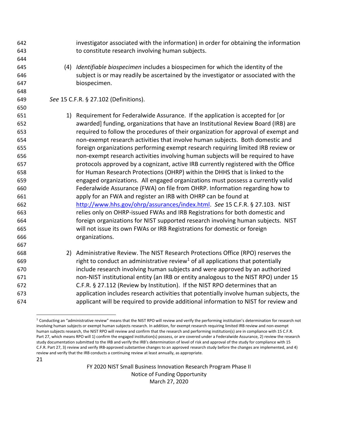investigator associated with the information) in order for obtaining the information to constitute research involving human subjects.

 (4) *Identifiable biospecimen* includes a biospecimen for which the identity of the subject is or may readily be ascertained by the investigator or associated with the biospecimen.

#### *See* 15 C.F.R. § 27.102 (Definitions).

 1) Requirement for Federalwide Assurance. If the application is accepted for [or awarded] funding, organizations that have an Institutional Review Board (IRB) are required to follow the procedures of their organization for approval of exempt and non-exempt research activities that involve human subjects. Both domestic and foreign organizations performing exempt research requiring limited IRB review or non-exempt research activities involving human subjects will be required to have protocols approved by a cognizant, active IRB currently registered with the Office for Human Research Protections (OHRP) within the DHHS that is linked to the engaged organizations. All engaged organizations must possess a currently valid Federalwide Assurance (FWA) on file from OHRP. Information regarding how to apply for an FWA and register an IRB with OHRP can be found at [http://www.hhs.gov/ohrp/assurances/index.html.](http://www.hhs.gov/ohrp/assurances/index.html) *See* 15 C.F.R. § 27.103. NIST relies only on OHRP-issued FWAs and IRB Registrations for both domestic and foreign organizations for NIST supported research involving human subjects. NIST will not issue its own FWAs or IRB Registrations for domestic or foreign organizations. 

 2) Administrative Review. The NIST Research Protections Office (RPO) reserves the **b** right to conduct an administrative review<sup>1</sup> of all applications that potentially include research involving human subjects and were approved by an authorized non-NIST institutional entity (an IRB or entity analogous to the NIST RPO) under 15 C.F.R. § 27.112 (Review by Institution). If the NIST RPO determines that an application includes research activities that potentially involve human subjects, the applicant will be required to provide additional information to NIST for review and

 Conducting an "administrative review" means that the NIST RPO will review and verify the performing institution's determination for research not involving human subjects or exempt human subjects research. In addition, for exempt research requiring limited IRB review and non-exempt human subjects research, the NIST RPO will review and confirm that the research and performing institution(s) are in compliance with 15 C.F.R. Part 27, which means RPO will 1) confirm the engaged institution(s) possess, or are covered under a Federalwide Assurance, 2) review the research study documentation submitted to the IRB and verify the IRB's determination of level of risk and approval of the study for compliance with 15 C.F.R. Part 27, 3) review and verify IRB-approved substantive changes to an approved research study before the changes are implemented, and 4) review and verify that the IRB conducts a continuing review at least annually, as appropriate.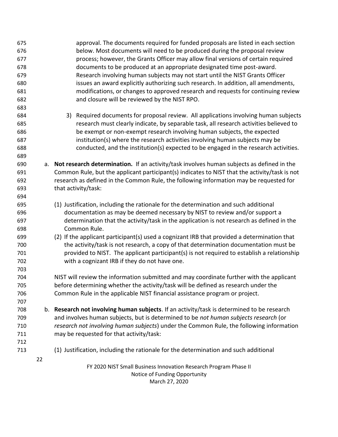| 675 | approval. The documents required for funded proposals are listed in each section                  |
|-----|---------------------------------------------------------------------------------------------------|
| 676 | below. Most documents will need to be produced during the proposal review                         |
| 677 | process; however, the Grants Officer may allow final versions of certain required                 |
| 678 | documents to be produced at an appropriate designated time post-award.                            |
| 679 | Research involving human subjects may not start until the NIST Grants Officer                     |
| 680 | issues an award explicitly authorizing such research. In addition, all amendments,                |
| 681 | modifications, or changes to approved research and requests for continuing review                 |
| 682 | and closure will be reviewed by the NIST RPO.                                                     |
| 683 |                                                                                                   |
| 684 | 3) Required documents for proposal review. All applications involving human subjects              |
| 685 | research must clearly indicate, by separable task, all research activities believed to            |
| 686 | be exempt or non-exempt research involving human subjects, the expected                           |
| 687 | institution(s) where the research activities involving human subjects may be                      |
| 688 | conducted, and the institution(s) expected to be engaged in the research activities.              |
| 689 |                                                                                                   |
| 690 | a. Not research determination. If an activity/task involves human subjects as defined in the      |
| 691 | Common Rule, but the applicant participant(s) indicates to NIST that the activity/task is not     |
| 692 | research as defined in the Common Rule, the following information may be requested for            |
| 693 | that activity/task:                                                                               |
| 694 |                                                                                                   |
| 695 | (1) Justification, including the rationale for the determination and such additional              |
| 696 | documentation as may be deemed necessary by NIST to review and/or support a                       |
| 697 | determination that the activity/task in the application is not research as defined in the         |
| 698 | Common Rule.                                                                                      |
| 699 | (2) If the applicant participant(s) used a cognizant IRB that provided a determination that       |
| 700 | the activity/task is not research, a copy of that determination documentation must be             |
| 701 | provided to NIST. The applicant participant(s) is not required to establish a relationship        |
| 702 | with a cognizant IRB if they do not have one.                                                     |
| 703 |                                                                                                   |
| 704 | NIST will review the information submitted and may coordinate further with the applicant          |
| 705 | before determining whether the activity/task will be defined as research under the                |
| 706 | Common Rule in the applicable NIST financial assistance program or project.                       |
| 707 |                                                                                                   |
| 708 | b. Research not involving human subjects. If an activity/task is determined to be research        |
| 709 | and involves human subjects, but is determined to be not human subjects research (or              |
| 710 | research not involving human subjects) under the Common Rule, the following information           |
| 711 | may be requested for that activity/task:                                                          |
| 712 |                                                                                                   |
| 713 | (1) Justification, including the rationale for the determination and such additional              |
| 22  |                                                                                                   |
|     | FY 2020 NIST Small Business Innovation Research Program Phase II<br>Notice of Funding Opportunity |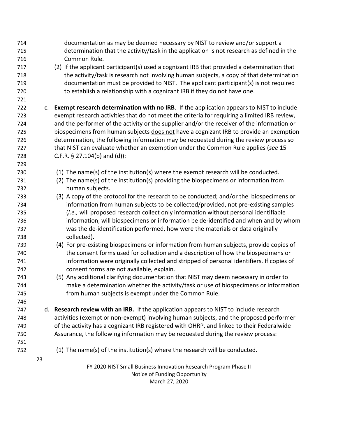| 714<br>715 |    | documentation as may be deemed necessary by NIST to review and/or support a<br>determination that the activity/task in the application is not research as defined in the |
|------------|----|--------------------------------------------------------------------------------------------------------------------------------------------------------------------------|
| 716        |    | Common Rule.                                                                                                                                                             |
| 717        |    | (2) If the applicant participant(s) used a cognizant IRB that provided a determination that                                                                              |
| 718        |    | the activity/task is research not involving human subjects, a copy of that determination                                                                                 |
| 719        |    | documentation must be provided to NIST. The applicant participant(s) is not required                                                                                     |
| 720        |    | to establish a relationship with a cognizant IRB if they do not have one.                                                                                                |
| 721        |    |                                                                                                                                                                          |
| 722        | c. | <b>Exempt research determination with no IRB.</b> If the application appears to NIST to include                                                                          |
| 723        |    | exempt research activities that do not meet the criteria for requiring a limited IRB review,                                                                             |
| 724        |    | and the performer of the activity or the supplier and/or the receiver of the information or                                                                              |
| 725        |    | biospecimens from human subjects does not have a cognizant IRB to provide an exemption                                                                                   |
|            |    |                                                                                                                                                                          |
| 726        |    | determination, the following information may be requested during the review process so                                                                                   |
| 727        |    | that NIST can evaluate whether an exemption under the Common Rule applies (see 15                                                                                        |
| 728        |    | C.F.R. $\S$ 27.104(b) and (d)):                                                                                                                                          |
| 729        |    |                                                                                                                                                                          |
| 730        |    | (1) The name(s) of the institution(s) where the exempt research will be conducted.                                                                                       |
| 731        |    | (2) The name(s) of the institution(s) providing the biospecimens or information from                                                                                     |
| 732        |    | human subjects.                                                                                                                                                          |
| 733        |    | (3) A copy of the protocol for the research to be conducted; and/or the biospecimens or                                                                                  |
| 734        |    | information from human subjects to be collected/provided, not pre-existing samples                                                                                       |
| 735        |    | (i.e., will proposed research collect only information without personal identifiable                                                                                     |
| 736        |    | information, will biospecimens or information be de-identified and when and by whom                                                                                      |
| 737        |    | was the de-identification performed, how were the materials or data originally                                                                                           |
| 738        |    | collected).                                                                                                                                                              |
| 739        |    | (4) For pre-existing biospecimens or information from human subjects, provide copies of                                                                                  |
| 740        |    | the consent forms used for collection and a description of how the biospecimens or                                                                                       |
| 741        |    | information were originally collected and stripped of personal identifiers. If copies of                                                                                 |
| 742        |    | consent forms are not available, explain.                                                                                                                                |
| 743        |    | (5) Any additional clarifying documentation that NIST may deem necessary in order to                                                                                     |
| 744        |    | make a determination whether the activity/task or use of biospecimens or information<br>from human subjects is exempt under the Common Rule.                             |
| 745        |    |                                                                                                                                                                          |
| 746        |    |                                                                                                                                                                          |
| 747        |    | d. Research review with an IRB. If the application appears to NIST to include research                                                                                   |
| 748        |    | activities (exempt or non-exempt) involving human subjects, and the proposed performer                                                                                   |
| 749        |    | of the activity has a cognizant IRB registered with OHRP, and linked to their Federalwide                                                                                |
| 750        |    | Assurance, the following information may be requested during the review process:                                                                                         |
| 751        |    |                                                                                                                                                                          |
| 752        |    | (1) The name(s) of the institution(s) where the research will be conducted.                                                                                              |
|            | 23 |                                                                                                                                                                          |
|            |    | FY 2020 NIST Small Business Innovation Research Program Phase II                                                                                                         |
|            |    | Notice of Funding Opportunity                                                                                                                                            |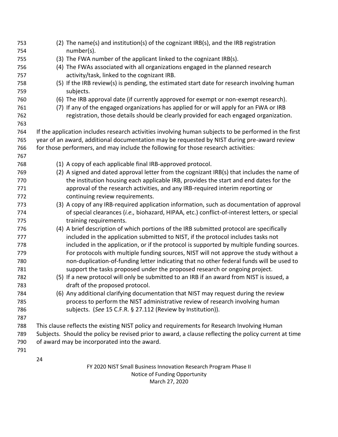| 753        | (2) The name(s) and institution(s) of the cognizant IRB(s), and the IRB registration                                          |  |  |  |
|------------|-------------------------------------------------------------------------------------------------------------------------------|--|--|--|
| 754        | number(s).                                                                                                                    |  |  |  |
| 755        | (3) The FWA number of the applicant linked to the cognizant IRB(s).                                                           |  |  |  |
| 756<br>757 | (4) The FWAs associated with all organizations engaged in the planned research<br>activity/task, linked to the cognizant IRB. |  |  |  |
|            |                                                                                                                               |  |  |  |
| 758<br>759 | (5) If the IRB review(s) is pending, the estimated start date for research involving human<br>subjects.                       |  |  |  |
| 760        | (6) The IRB approval date (if currently approved for exempt or non-exempt research).                                          |  |  |  |
| 761        | (7) If any of the engaged organizations has applied for or will apply for an FWA or IRB                                       |  |  |  |
| 762        | registration, those details should be clearly provided for each engaged organization.                                         |  |  |  |
| 763        |                                                                                                                               |  |  |  |
| 764        | If the application includes research activities involving human subjects to be performed in the first                         |  |  |  |
| 765        | year of an award, additional documentation may be requested by NIST during pre-award review                                   |  |  |  |
| 766        | for those performers, and may include the following for those research activities:                                            |  |  |  |
| 767        |                                                                                                                               |  |  |  |
| 768        | (1) A copy of each applicable final IRB-approved protocol.                                                                    |  |  |  |
| 769        | (2) A signed and dated approval letter from the cognizant IRB(s) that includes the name of                                    |  |  |  |
| 770        | the institution housing each applicable IRB, provides the start and end dates for the                                         |  |  |  |
| 771        | approval of the research activities, and any IRB-required interim reporting or                                                |  |  |  |
| 772        | continuing review requirements.                                                                                               |  |  |  |
| 773        | (3) A copy of any IRB-required application information, such as documentation of approval                                     |  |  |  |
| 774        | of special clearances (i.e., biohazard, HIPAA, etc.) conflict-of-interest letters, or special                                 |  |  |  |
| 775        | training requirements.                                                                                                        |  |  |  |
| 776        | (4) A brief description of which portions of the IRB submitted protocol are specifically                                      |  |  |  |
| 777        | included in the application submitted to NIST, if the protocol includes tasks not                                             |  |  |  |
| 778        | included in the application, or if the protocol is supported by multiple funding sources.                                     |  |  |  |
| 779        | For protocols with multiple funding sources, NIST will not approve the study without a                                        |  |  |  |
| 780        | non-duplication-of-funding letter indicating that no other federal funds will be used to                                      |  |  |  |
| 781        | support the tasks proposed under the proposed research or ongoing project.                                                    |  |  |  |
| 782        | (5) If a new protocol will only be submitted to an IRB if an award from NIST is issued, a                                     |  |  |  |
| 783        | draft of the proposed protocol.                                                                                               |  |  |  |
| 784        | (6) Any additional clarifying documentation that NIST may request during the review                                           |  |  |  |
| 785        | process to perform the NIST administrative review of research involving human                                                 |  |  |  |
| 786        | subjects. (See 15 C.F.R. § 27.112 (Review by Institution)).                                                                   |  |  |  |
| 787        |                                                                                                                               |  |  |  |
| 788        | This clause reflects the existing NIST policy and requirements for Research Involving Human                                   |  |  |  |
| 789        | Subjects. Should the policy be revised prior to award, a clause reflecting the policy current at time                         |  |  |  |
| 790        | of award may be incorporated into the award.                                                                                  |  |  |  |
| 791        |                                                                                                                               |  |  |  |
|            | 24                                                                                                                            |  |  |  |
|            | FY 2020 NIST Small Business Innovation Research Program Phase II                                                              |  |  |  |
|            | Notice of Funding Opportunity                                                                                                 |  |  |  |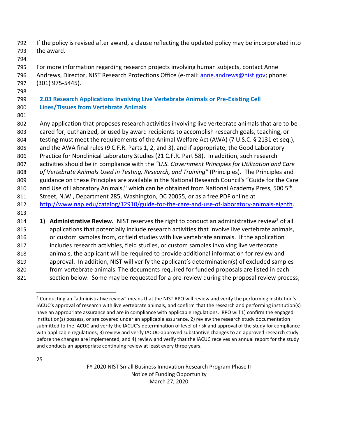- If the policy is revised after award, a clause reflecting the updated policy may be incorporated into the award.
- 

 For more information regarding research projects involving human subjects, contact Anne 796 Andrews, Director, NIST Research Protections Office (e-mail[: anne.andrews@nist.gov;](mailto:anne.andrews@nist.gov) phone: (301) 975-5445).

## <span id="page-24-0"></span> **2.03 Research Applications Involving Live Vertebrate Animals or Pre-Existing Cell Lines/Tissues from Vertebrate Animals**

- Any application that proposes research activities involving live vertebrate animals that are to be cared for, euthanized, or used by award recipients to accomplish research goals, teaching, or testing must meet the requirements of the Animal Welfare Act (AWA) (7 U.S.C. § 2131 et seq.), 805 and the AWA final rules (9 C.F.R. Parts 1, 2, and 3), and if appropriate, the Good Laboratory Practice for Nonclinical Laboratory Studies (21 C.F.R. Part 58). In addition, such research activities should be in compliance with the *"U.S. Government Principles for Utilization and Care of Vertebrate Animals Used in Testing, Research, and Training"* (Principles). The Principles and guidance on these Principles are available in the National Research Council's "Guide for the Care 810 and Use of Laboratory Animals," which can be obtained from National Academy Press, 500 5<sup>th</sup> Street, N.W., Department 285, Washington, DC 20055, or as a free PDF online at [http://www.nap.edu/catalog/12910/guide-for-the-care-and-use-of-laboratory-animals-eighth.](http://www.nap.edu/catalog/12910/guide-for-the-care-and-use-of-laboratory-animals-eighth) **1)** Administrative Review. NIST reserves the right to conduct an administrative review<sup>2</sup> of all applications that potentially include research activities that involve live vertebrate animals,
- or custom samples from, or field studies with live vertebrate animals. If the application includes research activities, field studies, or custom samples involving live vertebrate animals, the applicant will be required to provide additional information for review and approval. In addition, NIST will verify the applicant's determination(s) of excluded samples 820 from vertebrate animals. The documents required for funded proposals are listed in each
- 821 section below. Some may be requested for a pre-review during the proposal review process;

 Conducting an "administrative review" means that the NIST RPO will review and verify the performing institution's IACUC's approval of research with live vertebrate animals, and confirm that the research and performing institution(s) have an appropriate assurance and are in compliance with applicable regulations. RPO will 1) confirm the engaged institution(s) possess, or are covered under an applicable assurance, 2) review the research study documentation submitted to the IACUC and verify the IACUC's determination of level of risk and approval of the study for compliance with applicable regulations, 3) review and verify IACUC-approved substantive changes to an approved research study before the changes are implemented, and 4) review and verify that the IACUC receives an annual report for the study and conducts an appropriate continuing review at least every three years.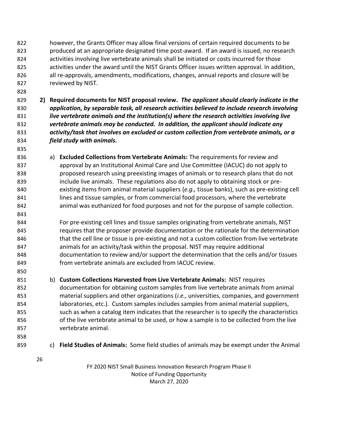however, the Grants Officer may allow final versions of certain required documents to be produced at an appropriate designated time post-award. If an award is issued, no research activities involving live vertebrate animals shall be initiated or costs incurred for those activities under the award until the NIST Grants Officer issues written approval. In addition, all re-approvals, amendments, modifications, changes, annual reports and closure will be reviewed by NIST.

- **2) Required documents for NIST proposal review.** *The applicant should clearly indicate in the application, by separable task, all research activities believed to include research involving live vertebrate animals and the institution(s) where the research activities involving live vertebrate animals may be conducted. In addition, the applicant should indicate any activity/task that involves an excluded or custom collection from vertebrate animals, or a field study with animals.*
- a) **Excluded Collections from Vertebrate Animals:** The requirements for review and approval by an Institutional Animal Care and Use Committee (IACUC) do not apply to proposed research using preexisting images of animals or to research plans that do not include live animals. These regulations also do not apply to obtaining stock or pre- existing items from animal material suppliers (*e.g.,* tissue banks), such as pre-existing cell lines and tissue samples, or from commercial food processors, where the vertebrate animal was euthanized for food purposes and not for the purpose of sample collection.

 For pre-existing cell lines and tissue samples originating from vertebrate animals, NIST 845 requires that the proposer provide documentation or the rationale for the determination that the cell line or tissue is pre-existing and not a custom collection from live vertebrate animals for an activity/task within the proposal. NIST may require additional documentation to review and/or support the determination that the cells and/or tissues from vertebrate animals are excluded from IACUC review.

- b) **Custom Collections Harvested from Live Vertebrate Animals:** NIST requires documentation for obtaining custom samples from live vertebrate animals from animal material suppliers and other organizations (*i.e.,* universities, companies, and government laboratories, etc.). Custom samples includes samples from animal material suppliers, such as when a catalog item indicates that the researcher is to specify the characteristics of the live vertebrate animal to be used, or how a sample is to be collected from the live vertebrate animal.
- 

- c) **Field Studies of Animals:** Some field studies of animals may be exempt under the Animal
	-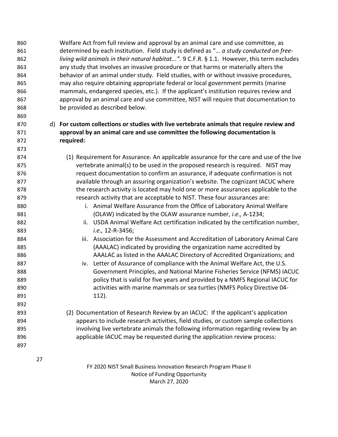Welfare Act from full review and approval by an animal care and use committee, as determined by each institution. Field study is defined as "*… a study conducted on free- living wild animals in their natural habitat...".* 9 C.F.R. § 1.1. However, this term excludes any study that involves an invasive procedure or that harms or materially alters the behavior of an animal under study. Field studies, with or without invasive procedures, may also require obtaining appropriate federal or local government permits (marine mammals, endangered species, etc.). If the applicant's institution requires review and approval by an animal care and use committee, NIST will require that documentation to be provided as described below.

### d) **For custom collections or studies with live vertebrate animals that require review and approval by an animal care and use committee the following documentation is required:**

- (1) Requirement for Assurance. An applicable assurance for the care and use of the live vertebrate animal(s) to be used in the proposed research is required. NIST may request documentation to confirm an assurance, if adequate confirmation is not available through an assuring organization's website. The cognizant IACUC where the research activity is located may hold one or more assurances applicable to the research activity that are acceptable to NIST. These four assurances are: **i.** Animal Welfare Assurance from the Office of Laboratory Animal Welfare
- (OLAW) indicated by the OLAW assurance number, *i.e.,* A-1234; ii. USDA Animal Welfare Act certification indicated by the certification number, *i.e.,* 12-R-3456;
- iii. Association for the Assessment and Accreditation of Laboratory Animal Care (AAALAC) indicated by providing the organization name accredited by AAALAC as listed in the AAALAC Directory of Accredited Organizations; and
- iv. Letter of Assurance of compliance with the Animal Welfare Act, the U.S. Government Principles, and National Marine Fisheries Service (NFMS) IACUC policy that is valid for five years and provided by a NMFS Regional IACUC for activities with marine mammals or sea turtles (NMFS Policy Directive 04- 112).
- (2) Documentation of Research Review by an IACUC: If the applicant's application appears to include research activities, field studies, or custom sample collections involving live vertebrate animals the following information regarding review by an applicable IACUC may be requested during the application review process: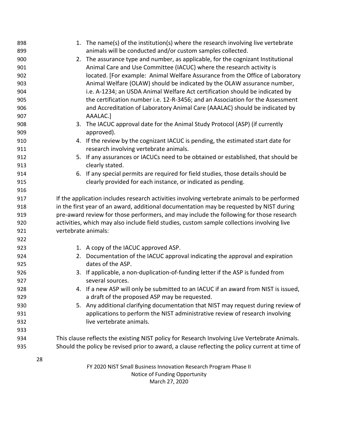|            |    |                                                                                            | 1. The name(s) of the institution(s) where the research involving live vertebrate              |  |
|------------|----|--------------------------------------------------------------------------------------------|------------------------------------------------------------------------------------------------|--|
| 898<br>899 |    |                                                                                            | animals will be conducted and/or custom samples collected.                                     |  |
| 900        |    |                                                                                            | 2. The assurance type and number, as applicable, for the cognizant Institutional               |  |
| 901        |    |                                                                                            | Animal Care and Use Committee (IACUC) where the research activity is                           |  |
| 902        |    |                                                                                            | located. [For example: Animal Welfare Assurance from the Office of Laboratory                  |  |
| 903        |    |                                                                                            | Animal Welfare (OLAW) should be indicated by the OLAW assurance number,                        |  |
| 904        |    |                                                                                            | i.e. A-1234; an USDA Animal Welfare Act certification should be indicated by                   |  |
| 905        |    |                                                                                            | the certification number i.e. 12-R-3456; and an Association for the Assessment                 |  |
| 906        |    |                                                                                            | and Accreditation of Laboratory Animal Care (AAALAC) should be indicated by                    |  |
| 907        |    |                                                                                            | AAALAC.]                                                                                       |  |
| 908        |    |                                                                                            | 3. The IACUC approval date for the Animal Study Protocol (ASP) (if currently                   |  |
| 909        |    |                                                                                            | approved).                                                                                     |  |
| 910        |    |                                                                                            | 4. If the review by the cognizant IACUC is pending, the estimated start date for               |  |
| 911        |    |                                                                                            | research involving vertebrate animals.                                                         |  |
| 912        |    |                                                                                            | 5. If any assurances or IACUCs need to be obtained or established, that should be              |  |
| 913        |    |                                                                                            | clearly stated.                                                                                |  |
| 914        |    |                                                                                            | 6. If any special permits are required for field studies, those details should be              |  |
| 915        |    |                                                                                            | clearly provided for each instance, or indicated as pending.                                   |  |
| 916        |    |                                                                                            |                                                                                                |  |
| 917        |    |                                                                                            | If the application includes research activities involving vertebrate animals to be performed   |  |
| 918        |    | in the first year of an award, additional documentation may be requested by NIST during    |                                                                                                |  |
| 919        |    | pre-award review for those performers, and may include the following for those research    |                                                                                                |  |
| 920        |    | activities, which may also include field studies, custom sample collections involving live |                                                                                                |  |
| 921        |    | vertebrate animals:                                                                        |                                                                                                |  |
| 922        |    |                                                                                            |                                                                                                |  |
| 923        |    |                                                                                            | 1. A copy of the IACUC approved ASP.                                                           |  |
| 924        |    |                                                                                            | 2. Documentation of the IACUC approval indicating the approval and expiration                  |  |
| 925        |    |                                                                                            | dates of the ASP.                                                                              |  |
| 926        |    |                                                                                            | 3. If applicable, a non-duplication-of-funding letter if the ASP is funded from                |  |
| 927        |    |                                                                                            | several sources.                                                                               |  |
| 928        |    |                                                                                            | 4. If a new ASP will only be submitted to an IACUC if an award from NIST is issued,            |  |
| 929        |    |                                                                                            | a draft of the proposed ASP may be requested.                                                  |  |
| 930        |    |                                                                                            | 5. Any additional clarifying documentation that NIST may request during review of              |  |
| 931        |    |                                                                                            | applications to perform the NIST administrative review of research involving                   |  |
| 932        |    |                                                                                            | live vertebrate animals.                                                                       |  |
| 933        |    |                                                                                            |                                                                                                |  |
| 934        |    |                                                                                            | This clause reflects the existing NIST policy for Research Involving Live Vertebrate Animals.  |  |
| 935        |    |                                                                                            | Should the policy be revised prior to award, a clause reflecting the policy current at time of |  |
|            | 28 |                                                                                            |                                                                                                |  |
|            |    |                                                                                            | FY 2020 NIST Small Business Innovation Research Program Phase II                               |  |
|            |    |                                                                                            | Notice of Funding Opportunity                                                                  |  |
|            |    |                                                                                            | March 27, 2020                                                                                 |  |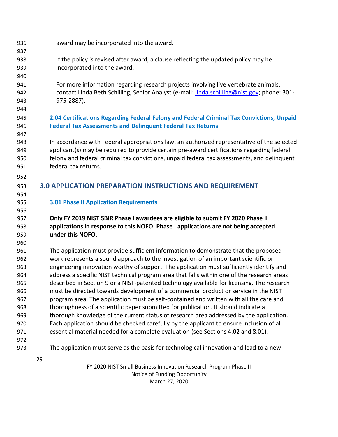- award may be incorporated into the award.
- If the policy is revised after award, a clause reflecting the updated policy may be incorporated into the award.
- For more information regarding research projects involving live vertebrate animals, contact Linda Beth Schilling, Senior Analyst (e-mail[: linda.schilling@nist.gov;](mailto:linda.schilling@nist.gov) phone: 301- 975-2887).
- 

#### <span id="page-28-0"></span> **2.04 Certifications Regarding Federal Felony and Federal Criminal Tax Convictions, Unpaid Federal Tax Assessments and Delinquent Federal Tax Returns**

 In accordance with Federal appropriations law, an authorized representative of the selected applicant(s) may be required to provide certain pre-award certifications regarding federal felony and federal criminal tax convictions, unpaid federal tax assessments, and delinquent federal tax returns.

- <span id="page-28-1"></span>**3.0 APPLICATION PREPARATION INSTRUCTIONS AND REQUIREMENT**
- 

#### <span id="page-28-2"></span>**3.01 Phase II Application Requirements**

### **Only FY 2019 NIST SBIR Phase I awardees are eligible to submit FY 2020 Phase II applications in response to this NOFO. Phase I applications are not being accepted under this NOFO**.

 The application must provide sufficient information to demonstrate that the proposed work represents a sound approach to the investigation of an important scientific or engineering innovation worthy of support. The application must sufficiently identify and address a specific NIST technical program area that falls within one of the research areas described in Section 9 or a NIST-patented technology available for licensing. The research must be directed towards development of a commercial product or service in the NIST program area. The application must be self-contained and written with all the care and thoroughness of a scientific paper submitted for publication. It should indicate a 969 thorough knowledge of the current status of research area addressed by the application. Each application should be checked carefully by the applicant to ensure inclusion of all essential material needed for a complete evaluation (see Sections 4.02 and 8.01).

- 
- The application must serve as the basis for technological innovation and lead to a new
	-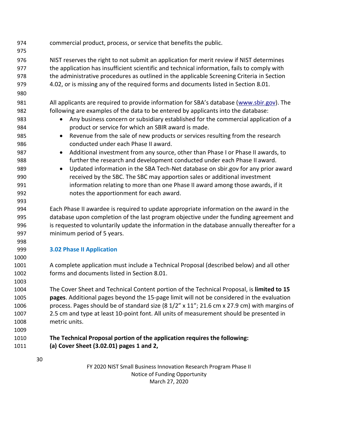<span id="page-29-0"></span> commercial product, process, or service that benefits the public. NIST reserves the right to not submit an application for merit review if NIST determines the application has insufficient scientific and technical information, fails to comply with the administrative procedures as outlined in the applicable Screening Criteria in Section 4.02, or is missing any of the required forms and documents listed in Section 8.01. 981 All applicants are required to provide information for SBA's database ([www.sbir.gov\)](http://www.sbir.gov/). The following are examples of the data to be entered by applicants into the database: • Any business concern or subsidiary established for the commercial application of a product or service for which an SBIR award is made. • Revenue from the sale of new products or services resulting from the research conducted under each Phase II award. 987 • Additional investment from any source, other than Phase I or Phase II awards, to further the research and development conducted under each Phase II award. • Updated information in the SBA Tech-Net database on sbir.gov for any prior award received by the SBC. The SBC may apportion sales or additional investment information relating to more than one Phase II award among those awards, if it notes the apportionment for each award. Each Phase II awardee is required to update appropriate information on the award in the database upon completion of the last program objective under the funding agreement and is requested to voluntarily update the information in the database annually thereafter for a minimum period of 5 years. **3.02 Phase II Application** A complete application must include a Technical Proposal (described below) and all other forms and documents listed in Section 8.01. The Cover Sheet and Technical Content portion of the Technical Proposal, is **limited to 15 pages**. Additional pages beyond the 15-page limit will not be considered in the evaluation process. Pages should be of standard size (8 1/2" x 11"; 21.6 cm x 27.9 cm) with margins of 2.5 cm and type at least 10-point font. All units of measurement should be presented in metric units. **The Technical Proposal portion of the application requires the following: (a) Cover Sheet (3.02.01) pages 1 and 2,**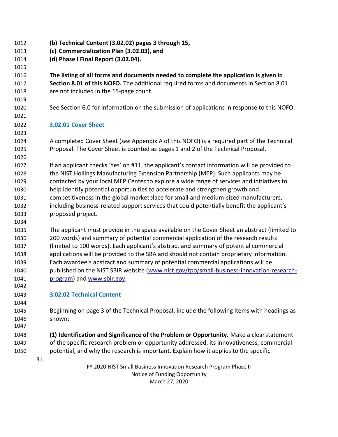- **(b) Technical Content (3.02.02) pages 3 through 15,**
- **(c) Commercialization Plan (3.02.03), and**
- **(d) Phase I Final Report (3.02.04).**

 **The listing of all forms and documents needed to complete the application is given in Section 8.01 of this NOFO.** The additional required forms and documents in Section 8.01 are not included in the 15-page count.

- See Section 6.0 for information on the submission of applications in response to this NOFO.
- **3.02.01 Cover Sheet**

 A completed Cover Sheet (*see* Appendix A of this NOFO) is a required part of the Technical Proposal. The Cover Sheet is counted as pages 1 and 2 of the Technical Proposal.

 If an applicant checks 'Yes' on #11, the applicant's contact information will be provided to the NIST Hollings Manufacturing Extension Partnership (MEP). Such applicants may be contacted by your local MEP Center to explore a wide range of services and initiatives to help identify potential opportunities to accelerate and strengthen growth and competitiveness in the global marketplace for small and medium-sized manufacturers, including business-related support services that could potentially benefit the applicant's proposed project.

 The applicant must provide in the space available on the Cover Sheet an abstract (limited to 200 words) and summary of potential commercial application of the research results (limited to 100 words). Each applicant's abstract and summary of potential commercial applications will be provided to the SBA and should not contain proprietary information. Each awardee's abstract and summary of potential commercial applications will be published on the NIST SBIR website [\(www.nist.gov/tpo/small-business-innovation-research-](http://www.nist.gov/tpo/small-business-innovation-research-program)**program**) and [www.sbir.gov.](http://www.sbir.gov/) 

- **3.02.02 Technical Content**
- Beginning on page 3 of the Technical Proposal, include the following items with headings as shown:

 **(1) Identification and Significance of the Problem or Opportunity.** Make a clearstatement of the specific research problem or opportunity addressed, its innovativeness, commercial potential, and why the research is important. Explain how it applies to the specific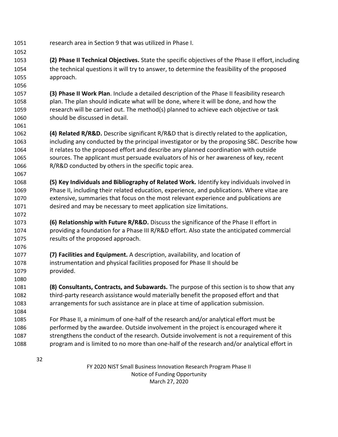research area in Section 9 that was utilized in Phase I.

 **(2) Phase II Technical Objectives.** State the specific objectives of the Phase II effort,including the technical questions it will try to answer, to determine the feasibility of the proposed approach.

 **(3) Phase II Work Plan**. Include a detailed description of the Phase II feasibility research plan. The plan should indicate what will be done, where it will be done, and how the research will be carried out. The method(s) planned to achieve each objective or task should be discussed in detail.

 **(4) Related R/R&D.** Describe significant R/R&D that is directly related to the application, including any conducted by the principal investigator or by the proposing SBC. Describe how it relates to the proposed effort and describe any planned coordination with outside sources. The applicant must persuade evaluators of his or her awareness of key, recent R/R&D conducted by others in the specific topic area.

- **(5) Key Individuals and Bibliography of Related Work.** Identify key individuals involved in Phase II, including their related education, experience, and publications. Where vitae are extensive, summaries that focus on the most relevant experience and publications are desired and may be necessary to meet application size limitations.
- **(6) Relationship with Future R/R&D.** Discuss the significance of the Phase II effort in providing a foundation for a Phase III R/R&D effort. Also state the anticipated commercial results of the proposed approach.
- **(7) Facilities and Equipment.** A description, availability, and location of instrumentation and physical facilities proposed for Phase II should be provided.

 **(8) Consultants, Contracts, and Subawards.** The purpose of this section is to show that any third-party research assistance would materially benefit the proposed effort and that arrangements for such assistance are in place at time of application submission.

 For Phase II, a minimum of one-half of the research and/or analytical effort must be performed by the awardee. Outside involvement in the project is encouraged where it strengthens the conduct of the research. Outside involvement is not a requirement of this program and is limited to no more than one-half of the research and/or analytical effort in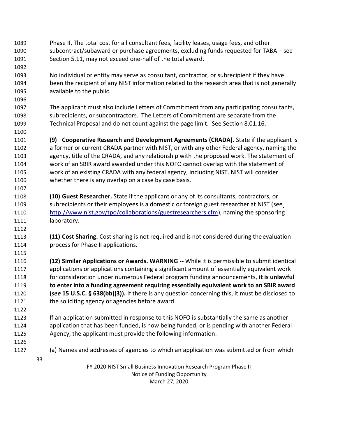- Phase II. The total cost for all consultant fees, facility leases, usage fees, and other subcontract/subaward or purchase agreements, excluding funds requested for TABA – see Section 5.11, may not exceed one-half of the total award.
- No individual or entity may serve as consultant, contractor, or subrecipient if they have been the recipient of any NIST information related to the research area that is not generally available to the public.
- The applicant must also include Letters of Commitment from any participating consultants, subrecipients, or subcontractors. The Letters of Commitment are separate from the Technical Proposal and do not count against the page limit. See Section 8.01.16.
- **(9) Cooperative Research and Development Agreements (CRADA).** State if the applicant is a former or current CRADA partner with NIST, or with any other Federal agency, naming the agency, title of the CRADA, and any relationship with the proposed work. The statement of work of an SBIR award awarded under this NOFO cannot overlap with the statement of work of an existing CRADA with any federal agency, including NIST. NIST will consider whether there is any overlap on a case by case basis.
- **(10) Guest Researcher.** State if the applicant or any of its consultants, contractors, or subrecipients or their employees is a domestic or foreign guest researcher at NIST (see [http://www.nist.gov/tpo/collaborations/guestresearchers.cfm\)](http://www.nist.gov/tpo/collaborations/guestresearchers.cfm), naming the sponsoring 1111 laboratory.
- **(11) Cost Sharing.** Cost sharing is not required and is not considered during theevaluation process for Phase II applications.
- **(12) Similar Applications or Awards. WARNING --** While it is permissible to submit identical applications or applications containing a significant amount of essentially equivalent work for consideration under numerous Federal program funding announcements, **it is unlawful to enter into a funding agreement requiring essentially equivalent work to an SBIR award (***see* **15 U.S.C. § 638(bb)(3)).** If there is any question concerning this, it must be disclosed to the soliciting agency or agencies before award.
- If an application submitted in response to this NOFO is substantially the same as another application that has been funded, is now being funded, or is pending with another Federal Agency, the applicant must provide the following information:
- 

- (a) Names and addresses of agencies to which an application was submitted or from which
	-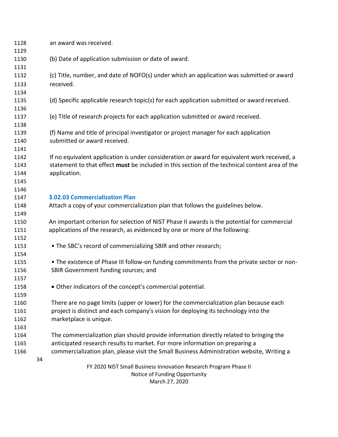| 1128         | an award was received.                                                                                               |  |  |
|--------------|----------------------------------------------------------------------------------------------------------------------|--|--|
| 1129         |                                                                                                                      |  |  |
| 1130         | (b) Date of application submission or date of award.                                                                 |  |  |
| 1131         | (c) Title, number, and date of NOFO(s) under which an application was submitted or award                             |  |  |
| 1132         |                                                                                                                      |  |  |
| 1133         | received.                                                                                                            |  |  |
| 1134         |                                                                                                                      |  |  |
| 1135         | (d) Specific applicable research topic(s) for each application submitted or award received.                          |  |  |
| 1136         |                                                                                                                      |  |  |
| 1137         | (e) Title of research projects for each application submitted or award received.                                     |  |  |
| 1138         |                                                                                                                      |  |  |
| 1139<br>1140 | (f) Name and title of principal investigator or project manager for each application<br>submitted or award received. |  |  |
| 1141         |                                                                                                                      |  |  |
| 1142         | If no equivalent application is under consideration or award for equivalent work received, a                         |  |  |
| 1143         | statement to that effect must be included in this section of the technical content area of the                       |  |  |
| 1144         | application.                                                                                                         |  |  |
| 1145         |                                                                                                                      |  |  |
| 1146         |                                                                                                                      |  |  |
| 1147         | <b>3.02.03 Commercialization Plan</b>                                                                                |  |  |
| 1148         | Attach a copy of your commercialization plan that follows the guidelines below.                                      |  |  |
| 1149         |                                                                                                                      |  |  |
| 1150         | An important criterion for selection of NIST Phase II awards is the potential for commercial                         |  |  |
| 1151         | applications of the research, as evidenced by one or more of the following:                                          |  |  |
| 1152         |                                                                                                                      |  |  |
| 1153         | • The SBC's record of commercializing SBIR and other research;                                                       |  |  |
| 1154         |                                                                                                                      |  |  |
| 1155         | • The existence of Phase III follow-on funding commitments from the private sector or non-                           |  |  |
| 1156         | SBIR Government funding sources; and                                                                                 |  |  |
| 1157         |                                                                                                                      |  |  |
| 1158         | • Other indicators of the concept's commercial potential.                                                            |  |  |
| 1159         |                                                                                                                      |  |  |
| 1160         | There are no page limits (upper or lower) for the commercialization plan because each                                |  |  |
| 1161         | project is distinct and each company's vision for deploying its technology into the                                  |  |  |
| 1162         | marketplace is unique.                                                                                               |  |  |
| 1163         |                                                                                                                      |  |  |
| 1164         | The commercialization plan should provide information directly related to bringing the                               |  |  |
| 1165         | anticipated research results to market. For more information on preparing a                                          |  |  |
| 1166         | commercialization plan, please visit the Small Business Administration website, Writing a                            |  |  |
|              | 34                                                                                                                   |  |  |
|              | FY 2020 NIST Small Business Innovation Research Program Phase II                                                     |  |  |
|              | Notice of Funding Opportunity                                                                                        |  |  |
|              | March 27, 2020                                                                                                       |  |  |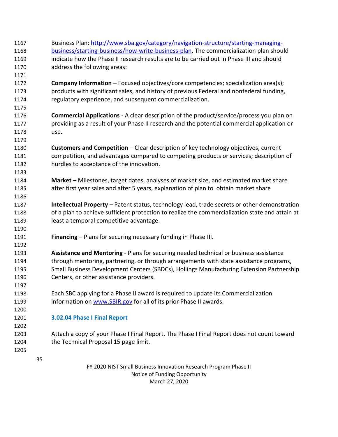FY 2020 NIST Small Business Innovation Research Program Phase II Notice of Funding Opportunity Business Plan: [http://www.sba.gov/category/navigation-structure/starting-managing-](http://www.sba.gov/category/navigation-structure/starting-managing-business/starting-business/how-write-business-plan) [business/starting-business/how-write-business-plan.](http://www.sba.gov/category/navigation-structure/starting-managing-business/starting-business/how-write-business-plan) The commercialization plan should indicate how the Phase II research results are to be carried out in Phase III and should address the following areas: **Company Information** – Focused objectives/core competencies; specialization area(s); products with significant sales, and history of previous Federal and nonfederal funding, regulatory experience, and subsequent commercialization. **Commercial Applications** - A clear description of the product/service/process you plan on providing as a result of your Phase II research and the potential commercial application or use. **Customers and Competition** – Clear description of key technology objectives, current competition, and advantages compared to competing products or services; description of hurdles to acceptance of the innovation. **Market** – Milestones, target dates, analyses of market size, and estimated market share after first year sales and after 5 years, explanation of plan to obtain market share **Intellectual Property** – Patent status, technology lead, trade secrets or other demonstration of a plan to achieve sufficient protection to realize the commercialization state and attain at least a temporal competitive advantage. **Financing** – Plans for securing necessary funding in Phase III. **Assistance and Mentoring** - Plans for securing needed technical or business assistance through mentoring, partnering, or through arrangements with state assistance programs, Small Business Development Centers (SBDCs), Hollings Manufacturing Extension Partnership Centers, or other assistance providers. Each SBC applying for a Phase II award is required to update its Commercialization 1199 information on [www.SBIR.gov](http://www.sbir.gov/) for all of its prior Phase II awards. **3.02.04 Phase I Final Report**  Attach a copy of your Phase I Final Report. The Phase I Final Report does not count toward 1204 the Technical Proposal 15 page limit.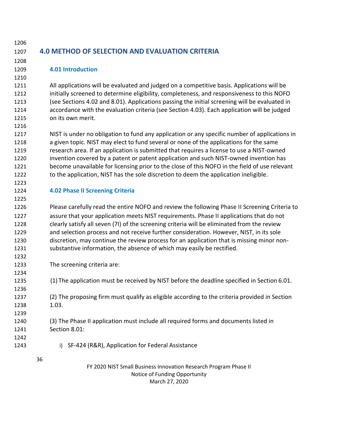# <span id="page-35-0"></span>**4.0 METHOD OF SELECTION AND EVALUATION CRITERIA**

#### <span id="page-35-1"></span>**4.01 Introduction**

 All applications will be evaluated and judged on a competitive basis. Applications will be initially screened to determine eligibility, completeness, and responsiveness to this NOFO (see Sections 4.02 and 8.01). Applications passing the initial screening will be evaluated in accordance with the evaluation criteria (see Section 4.03). Each application will be judged on its own merit.

 NIST is under no obligation to fund any application or any specific number of applications in a given topic. NIST may elect to fund several or none of the applications for the same research area. If an application is submitted that requires a license to use a NIST-owned invention covered by a patent or patent application and such NIST-owned invention has become unavailable for licensing prior to the close of this NOFO in the field of use relevant to the application, NIST has the sole discretion to deem the application ineligible.

#### <span id="page-35-2"></span>**4.02 Phase II Screening Criteria**

 Please carefully read the entire NOFO and review the following Phase II Screening Criteria to assure that your application meets NIST requirements. Phase II applications that do not clearly satisfy all seven (7I) of the screening criteria will be eliminated from the review and selection process and not receive further consideration. However, NIST, in its sole discretion, may continue the review process for an application that is missing minor non-substantive information, the absence of which may easily be rectified.

- The screening criteria are:
- (1) The application must be received by NIST before the deadline specified in Section 6.01.
- (2) The proposing firm must qualify as eligible according to the criteria provided in Section 1.03.
- (3) The Phase II application must include all required forms and documents listed in Section 8.01:
- 
- i) SF-424 (R&R), Application for Federal Assistance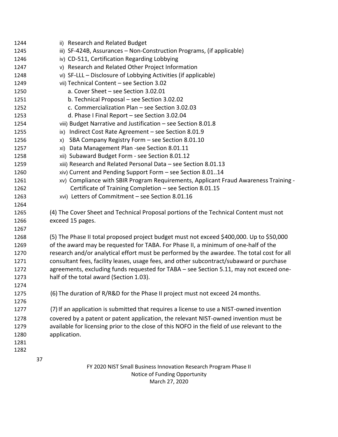| 1244 |    | ii) Research and Related Budget                                                             |
|------|----|---------------------------------------------------------------------------------------------|
| 1245 |    | iii) SF-424B, Assurances - Non-Construction Programs, (if applicable)                       |
| 1246 |    | iv) CD-511, Certification Regarding Lobbying                                                |
| 1247 |    | v) Research and Related Other Project Information                                           |
| 1248 |    | vi) SF-LLL – Disclosure of Lobbying Activities (if applicable)                              |
| 1249 |    | vii) Technical Content - see Section 3.02                                                   |
| 1250 |    | a. Cover Sheet - see Section 3.02.01                                                        |
| 1251 |    | b. Technical Proposal - see Section 3.02.02                                                 |
| 1252 |    | c. Commercialization Plan - see Section 3.02.03                                             |
| 1253 |    | d. Phase I Final Report - see Section 3.02.04                                               |
| 1254 |    | viii) Budget Narrative and Justification - see Section 8.01.8                               |
| 1255 |    | Indirect Cost Rate Agreement - see Section 8.01.9<br>ix)                                    |
| 1256 |    | SBA Company Registry Form - see Section 8.01.10<br>X)                                       |
| 1257 |    | xi) Data Management Plan -see Section 8.01.11                                               |
| 1258 |    | xii) Subaward Budget Form - see Section 8.01.12                                             |
| 1259 |    | xiii) Research and Related Personal Data - see Section 8.01.13                              |
| 1260 |    | xiv) Current and Pending Support Form - see Section 8.0114                                  |
| 1261 |    | xv) Compliance with SBIR Program Requirements, Applicant Fraud Awareness Training -         |
| 1262 |    | Certificate of Training Completion - see Section 8.01.15                                    |
| 1263 |    | xvi) Letters of Commitment - see Section 8.01.16                                            |
| 1264 |    |                                                                                             |
| 1265 |    | (4) The Cover Sheet and Technical Proposal portions of the Technical Content must not       |
| 1266 |    | exceed 15 pages.                                                                            |
| 1267 |    |                                                                                             |
| 1268 |    | (5) The Phase II total proposed project budget must not exceed \$400,000. Up to \$50,000    |
| 1269 |    | of the award may be requested for TABA. For Phase II, a minimum of one-half of the          |
| 1270 |    | research and/or analytical effort must be performed by the awardee. The total cost for all  |
| 1271 |    | consultant fees, facility leases, usage fees, and other subcontract/subaward or purchase    |
| 1272 |    | agreements, excluding funds requested for TABA - see Section 5.11, may not exceed one-      |
| 1273 |    | half of the total award (Section 1.03).                                                     |
| 1274 |    |                                                                                             |
| 1275 |    | (6) The duration of R/R&D for the Phase II project must not exceed 24 months.               |
| 1276 |    |                                                                                             |
| 1277 |    | (7) If an application is submitted that requires a license to use a NIST-owned invention    |
| 1278 |    | covered by a patent or patent application, the relevant NIST-owned invention must be        |
| 1279 |    | available for licensing prior to the close of this NOFO in the field of use relevant to the |
| 1280 |    | application.                                                                                |
| 1281 |    |                                                                                             |
| 1282 |    |                                                                                             |
|      | 37 |                                                                                             |
|      |    | FY 2020 NIST Small Business Innovation Research Program Phase II                            |

Notice of Funding Opportunity March 27, 2020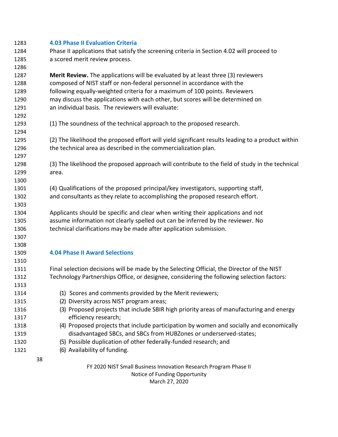| 1283 | <b>4.03 Phase II Evaluation Criteria</b>                                                          |  |  |
|------|---------------------------------------------------------------------------------------------------|--|--|
| 1284 | Phase II applications that satisfy the screening criteria in Section 4.02 will proceed to         |  |  |
| 1285 | a scored merit review process.                                                                    |  |  |
| 1286 |                                                                                                   |  |  |
| 1287 | <b>Merit Review.</b> The applications will be evaluated by at least three (3) reviewers           |  |  |
| 1288 | composed of NIST staff or non-federal personnel in accordance with the                            |  |  |
| 1289 | following equally-weighted criteria for a maximum of 100 points. Reviewers                        |  |  |
| 1290 | may discuss the applications with each other, but scores will be determined on                    |  |  |
| 1291 | an individual basis. The reviewers will evaluate:                                                 |  |  |
| 1292 |                                                                                                   |  |  |
| 1293 | (1) The soundness of the technical approach to the proposed research.                             |  |  |
| 1294 |                                                                                                   |  |  |
| 1295 | (2) The likelihood the proposed effort will yield significant results leading to a product within |  |  |
| 1296 | the technical area as described in the commercialization plan.                                    |  |  |
| 1297 |                                                                                                   |  |  |
| 1298 | (3) The likelihood the proposed approach will contribute to the field of study in the technical   |  |  |
| 1299 | area.                                                                                             |  |  |
| 1300 |                                                                                                   |  |  |
| 1301 | (4) Qualifications of the proposed principal/key investigators, supporting staff,                 |  |  |
| 1302 | and consultants as they relate to accomplishing the proposed research effort.                     |  |  |
| 1303 |                                                                                                   |  |  |
| 1304 | Applicants should be specific and clear when writing their applications and not                   |  |  |
| 1305 | assume information not clearly spelled out can be inferred by the reviewer. No                    |  |  |
| 1306 | technical clarifications may be made after application submission.                                |  |  |
| 1307 |                                                                                                   |  |  |
| 1308 |                                                                                                   |  |  |
| 1309 | <b>4.04 Phase II Award Selections</b>                                                             |  |  |
| 1310 |                                                                                                   |  |  |
| 1311 | Final selection decisions will be made by the Selecting Official, the Director of the NIST        |  |  |
| 1312 | Technology Partnerships Office, or designee, considering the following selection factors:         |  |  |
| 1313 |                                                                                                   |  |  |
| 1314 | (1) Scores and comments provided by the Merit reviewers;                                          |  |  |
| 1315 | (2) Diversity across NIST program areas;                                                          |  |  |
| 1316 | (3) Proposed projects that include SBIR high priority areas of manufacturing and energy           |  |  |
| 1317 | efficiency research;                                                                              |  |  |
| 1318 | (4) Proposed projects that include participation by women and socially and economically           |  |  |
| 1319 | disadvantaged SBCs, and SBCs from HUBZones or underserved-states;                                 |  |  |
| 1320 | (5) Possible duplication of other federally-funded research; and                                  |  |  |
| 1321 | (6) Availability of funding.                                                                      |  |  |
|      | 38                                                                                                |  |  |
|      | FY 2020 NIST Small Business Innovation Research Program Phase II                                  |  |  |
|      | Notice of Funding Opportunity                                                                     |  |  |

March 27, 2020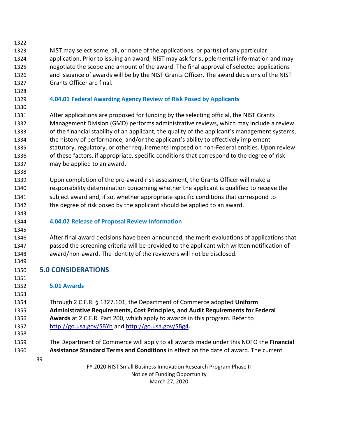FY 2020 NIST Small Business Innovation Research Program Phase II Notice of Funding Opportunity March 27, 2020 NIST may select some, all, or none of the applications, or part(s) of any particular application. Prior to issuing an award, NIST may ask for supplemental information and may negotiate the scope and amount of the award. The final approval of selected applications and issuance of awards will be by the NIST Grants Officer. The award decisions of the NIST Grants Officer are final. **4.04.01 Federal Awarding Agency Review of Risk Posed by Applicants** After applications are proposed for funding by the selecting official, the NIST Grants Management Division (GMD) performs administrative reviews, which may include a review of the financial stability of an applicant, the quality of the applicant's management systems, the history of performance, and/or the applicant's ability to effectively implement statutory, regulatory, or other requirements imposed on non-Federal entities. Upon review of these factors, if appropriate, specific conditions that correspond to the degree of risk may be applied to an award. Upon completion of the pre-award risk assessment, the Grants Officer will make a responsibility determination concerning whether the applicant is qualified to receive the subject award and, if so, whether appropriate specific conditions that correspond to the degree of risk posed by the applicant should be applied to an award. **4.04.02 Release of Proposal Review Information** After final award decisions have been announced, the merit evaluations of applications that passed the screening criteria will be provided to the applicant with written notification of award/non-award. The identity of the reviewers will not be disclosed. **5.0 CONSIDERATIONS 5.01 Awards** Through 2 C.F.R. § 1327.101, the Department of Commerce adopted **Uniform Administrative Requirements, Cost Principles, and Audit Requirements for Federal Awards** at 2 C.F.R. Part 200, which apply to awards in this program. Refer to <http://go.usa.gov/SBYh> and<http://go.usa.gov/SBg4>. The Department of Commerce will apply to all awards made under this NOFO the **Financial Assistance Standard Terms and Conditions** in effect on the date of award. The current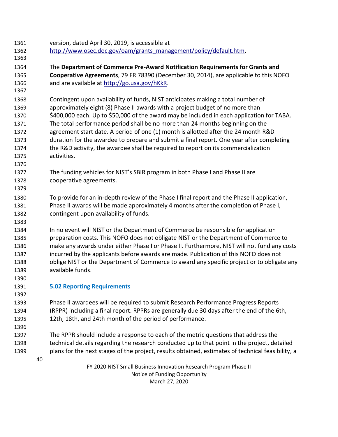- version, dated April 30, 2019, is accessible at
- [http://www.osec.doc.gov/oam/grants\\_management/policy/default.htm.](http://www.osec.doc.gov/oam/grants_management/policy/default.htm)
- The **Department of Commerce Pre-Award Notification Requirements for Grants and Cooperative Agreements**, 79 FR 78390 (December 30, 2014), are applicable to this NOFO 1366 and are available at [http://go.usa.gov/hKkR.](http://go.usa.gov/hKkR)
- Contingent upon availability of funds, NIST anticipates making a total number of approximately eight (8) Phase II awards with a project budget of no more than \$400,000 each. Up to \$50,000 of the award may be included in each application for TABA. The total performance period shall be no more than 24 months beginning on the agreement start date. A period of one (1) month is allotted after the 24 month R&D duration for the awardee to prepare and submit a final report. One year after completing the R&D activity, the awardee shall be required to report on its commercialization activities.
- The funding vehicles for NIST's SBIR program in both Phase I and Phase II are cooperative agreements.
- To provide for an in-depth review of the Phase I final report and the Phase II application, Phase II awards will be made approximately 4 months after the completion of Phase I, contingent upon availability of funds.
- In no event will NIST or the Department of Commerce be responsible for application preparation costs. This NOFO does not obligate NIST or the Department of Commerce to make any awards under either Phase I or Phase II. Furthermore, NIST will not fund any costs incurred by the applicants before awards are made. Publication of this NOFO does not oblige NIST or the Department of Commerce to award any specific project or to obligate any available funds.
- 

## **5.02 Reporting Requirements**

 Phase II awardees will be required to submit Research Performance Progress Reports (RPPR) including a final report. RPPRs are generally due 30 days after the end of the 6th, 12th, 18th, and 24th month of the period of performance.

- The RPPR should include a response to each of the metric questions that address the technical details regarding the research conducted up to that point in the project, detailed plans for the next stages of the project, results obtained, estimates of technical feasibility, a
	-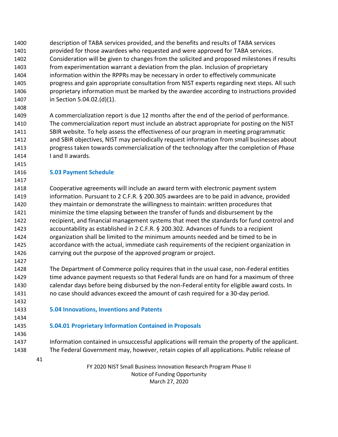- description of TABA services provided, and the benefits and results of TABA services provided for those awardees who requested and were approved for TABA services. Consideration will be given to changes from the solicited and proposed milestones if results from experimentation warrant a deviation from the plan. Inclusion of proprietary information within the RPPRs may be necessary in order to effectively communicate progress and gain appropriate consultation from NIST experts regarding next steps. All such proprietary information must be marked by the awardee according to instructions provided in Section 5.04.02.(d)(1).
- A commercialization report is due 12 months after the end of the period of performance. The commercialization report must include an abstract appropriate for posting on the NIST SBIR website. To help assess the effectiveness of our program in meeting programmatic and SBIR objectives, NIST may periodically request information from small businesses about progress taken towards commercialization of the technology after the completion of Phase I and II awards.

#### **5.03 Payment Schedule**

- Cooperative agreements will include an award term with electronic payment system information. Pursuant to 2 C.F.R. § 200.305 awardees are to be paid in advance, provided they maintain or demonstrate the willingness to maintain: written procedures that minimize the time elapsing between the transfer of funds and disbursement by the recipient, and financial management systems that meet the standards for fund control and accountability as established in 2 C.F.R. § 200.302. Advances of funds to a recipient organization shall be limited to the minimum amounts needed and be timed to be in accordance with the actual, immediate cash requirements of the recipient organization in carrying out the purpose of the approved program or project.
- The Department of Commerce policy requires that in the usual case, non-Federal entities 1429 time advance payment requests so that Federal funds are on hand for a maximum of three calendar days before being disbursed by the non-Federal entity for eligible award costs. In no case should advances exceed the amount of cash required for a 30-day period.
- 

**5.04 Innovations, Inventions and Patents**

#### **5.04.01 Proprietary Information Contained in Proposals**

- Information contained in unsuccessful applications will remain the property of the applicant. The Federal Government may, however, retain copies of all applications. Public release of
	-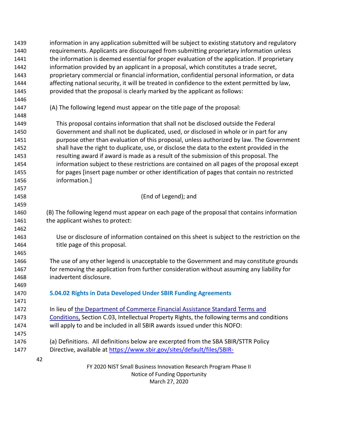| 1439 | information in any application submitted will be subject to existing statutory and regulatory |
|------|-----------------------------------------------------------------------------------------------|
| 1440 | requirements. Applicants are discouraged from submitting proprietary information unless       |
| 1441 | the information is deemed essential for proper evaluation of the application. If proprietary  |
| 1442 | information provided by an applicant in a proposal, which constitutes a trade secret,         |
| 1443 | proprietary commercial or financial information, confidential personal information, or data   |
| 1444 | affecting national security, it will be treated in confidence to the extent permitted by law, |
| 1445 | provided that the proposal is clearly marked by the applicant as follows:                     |
| 1446 |                                                                                               |
| 1447 | (A) The following legend must appear on the title page of the proposal:                       |
| 1448 |                                                                                               |
| 1449 | This proposal contains information that shall not be disclosed outside the Federal            |
| 1450 | Government and shall not be duplicated, used, or disclosed in whole or in part for any        |
| 1451 | purpose other than evaluation of this proposal, unless authorized by law. The Government      |
| 1452 | shall have the right to duplicate, use, or disclose the data to the extent provided in the    |
| 1453 | resulting award if award is made as a result of the submission of this proposal. The          |
| 1454 | information subject to these restrictions are contained on all pages of the proposal except   |
| 1455 | for pages [insert page number or other identification of pages that contain no restricted     |
| 1456 | information.]                                                                                 |
| 1457 |                                                                                               |
| 1458 | (End of Legend); and                                                                          |
| 1459 |                                                                                               |
| 1460 | (B) The following legend must appear on each page of the proposal that contains information   |
| 1461 | the applicant wishes to protect:                                                              |
| 1462 |                                                                                               |
| 1463 | Use or disclosure of information contained on this sheet is subject to the restriction on the |
| 1464 | title page of this proposal.                                                                  |
| 1465 |                                                                                               |
| 1466 | The use of any other legend is unacceptable to the Government and may constitute grounds      |
| 1467 | for removing the application from further consideration without assuming any liability for    |
| 1468 | inadvertent disclosure.                                                                       |
| 1469 |                                                                                               |
| 1470 | 5.04.02 Rights in Data Developed Under SBIR Funding Agreements                                |
| 1471 |                                                                                               |
| 1472 | In lieu of the Department of Commerce Financial Assistance Standard Terms and                 |
| 1473 | Conditions, Section C.03, Intellectual Property Rights, the following terms and conditions    |
| 1474 | will apply to and be included in all SBIR awards issued under this NOFO:                      |
| 1475 |                                                                                               |
| 1476 | (a) Definitions. All definitions below are excerpted from the SBA SBIR/STTR Policy            |
| 1477 | Directive, available at https://www.sbir.gov/sites/default/files/SBIR-                        |
|      | 42                                                                                            |
|      | FY 2020 NIST Small Business Innovation Research Program Phase II                              |
|      | Notice of Funding Opportunity                                                                 |

March 27, 2020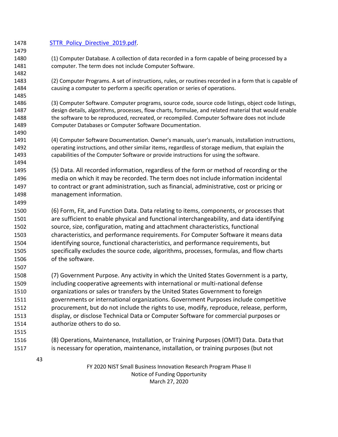| 1478         |    | <b>STTR Policy Directive 2019.pdf.</b>                                                                 |
|--------------|----|--------------------------------------------------------------------------------------------------------|
| 1479         |    |                                                                                                        |
| 1480         |    | (1) Computer Database. A collection of data recorded in a form capable of being processed by a         |
| 1481         |    | computer. The term does not include Computer Software.                                                 |
| 1482         |    |                                                                                                        |
| 1483         |    | (2) Computer Programs. A set of instructions, rules, or routines recorded in a form that is capable of |
| 1484         |    | causing a computer to perform a specific operation or series of operations.                            |
| 1485         |    |                                                                                                        |
| 1486         |    | (3) Computer Software. Computer programs, source code, source code listings, object code listings,     |
| 1487         |    | design details, algorithms, processes, flow charts, formulae, and related material that would enable   |
| 1488         |    | the software to be reproduced, recreated, or recompiled. Computer Software does not include            |
| 1489         |    | Computer Databases or Computer Software Documentation.                                                 |
| 1490         |    |                                                                                                        |
| 1491         |    | (4) Computer Software Documentation. Owner's manuals, user's manuals, installation instructions,       |
| 1492         |    | operating instructions, and other similar items, regardless of storage medium, that explain the        |
| 1493<br>1494 |    | capabilities of the Computer Software or provide instructions for using the software.                  |
|              |    |                                                                                                        |
| 1495         |    | (5) Data. All recorded information, regardless of the form or method of recording or the               |
| 1496         |    | media on which it may be recorded. The term does not include information incidental                    |
| 1497         |    | to contract or grant administration, such as financial, administrative, cost or pricing or             |
| 1498         |    | management information.                                                                                |
| 1499         |    |                                                                                                        |
| 1500         |    | (6) Form, Fit, and Function Data. Data relating to items, components, or processes that                |
| 1501         |    | are sufficient to enable physical and functional interchangeability, and data identifying              |
| 1502         |    | source, size, configuration, mating and attachment characteristics, functional                         |
| 1503         |    | characteristics, and performance requirements. For Computer Software it means data                     |
| 1504         |    | identifying source, functional characteristics, and performance requirements, but                      |
| 1505         |    | specifically excludes the source code, algorithms, processes, formulas, and flow charts                |
| 1506         |    | of the software.                                                                                       |
| 1507         |    |                                                                                                        |
| 1508         |    | (7) Government Purpose. Any activity in which the United States Government is a party,                 |
| 1509         |    | including cooperative agreements with international or multi-national defense                          |
| 1510         |    | organizations or sales or transfers by the United States Government to foreign                         |
| 1511         |    | governments or international organizations. Government Purposes include competitive                    |
| 1512         |    | procurement, but do not include the rights to use, modify, reproduce, release, perform,                |
| 1513         |    | display, or disclose Technical Data or Computer Software for commercial purposes or                    |
| 1514         |    | authorize others to do so.                                                                             |
| 1515         |    |                                                                                                        |
| 1516         |    | (8) Operations, Maintenance, Installation, or Training Purposes (OMIT) Data. Data that                 |
|              |    | is necessary for operation, maintenance, installation, or training purposes (but not                   |
| 1517         |    |                                                                                                        |
|              | 43 |                                                                                                        |
|              |    | FY 2020 NIST Small Business Innovation Research Program Phase II                                       |

Notice of Funding Opportunity March 27, 2020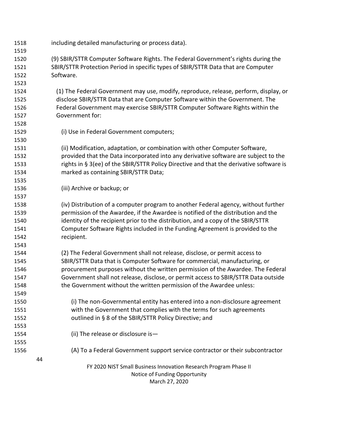| 1518 | including detailed manufacturing or process data).                                      |
|------|-----------------------------------------------------------------------------------------|
| 1519 |                                                                                         |
| 1520 | (9) SBIR/STTR Computer Software Rights. The Federal Government's rights during the      |
| 1521 | SBIR/STTR Protection Period in specific types of SBIR/STTR Data that are Computer       |
| 1522 | Software.                                                                               |
| 1523 |                                                                                         |
| 1524 | (1) The Federal Government may use, modify, reproduce, release, perform, display, or    |
| 1525 | disclose SBIR/STTR Data that are Computer Software within the Government. The           |
| 1526 | Federal Government may exercise SBIR/STTR Computer Software Rights within the           |
| 1527 | Government for:                                                                         |
| 1528 |                                                                                         |
| 1529 | (i) Use in Federal Government computers;                                                |
| 1530 |                                                                                         |
| 1531 | (ii) Modification, adaptation, or combination with other Computer Software,             |
| 1532 | provided that the Data incorporated into any derivative software are subject to the     |
| 1533 | rights in § 3(ee) of the SBIR/STTR Policy Directive and that the derivative software is |
| 1534 | marked as containing SBIR/STTR Data;                                                    |
| 1535 |                                                                                         |
| 1536 | (iii) Archive or backup; or                                                             |
| 1537 |                                                                                         |
| 1538 | (iv) Distribution of a computer program to another Federal agency, without further      |
| 1539 | permission of the Awardee, if the Awardee is notified of the distribution and the       |
| 1540 | identity of the recipient prior to the distribution, and a copy of the SBIR/STTR        |
| 1541 | Computer Software Rights included in the Funding Agreement is provided to the           |
| 1542 | recipient.                                                                              |
| 1543 |                                                                                         |
| 1544 | (2) The Federal Government shall not release, disclose, or permit access to             |
| 1545 | SBIR/STTR Data that is Computer Software for commercial, manufacturing, or              |
| 1546 | procurement purposes without the written permission of the Awardee. The Federal         |
| 1547 | Government shall not release, disclose, or permit access to SBIR/STTR Data outside      |
| 1548 | the Government without the written permission of the Awardee unless:                    |
| 1549 |                                                                                         |
| 1550 | (i) The non-Governmental entity has entered into a non-disclosure agreement             |
| 1551 | with the Government that complies with the terms for such agreements                    |
| 1552 | outlined in § 8 of the SBIR/STTR Policy Directive; and                                  |
| 1553 |                                                                                         |
| 1554 | (ii) The release or disclosure is-                                                      |
| 1555 |                                                                                         |
| 1556 | (A) To a Federal Government support service contractor or their subcontractor           |
|      | 44                                                                                      |
|      | FY 2020 NIST Small Business Innovation Research Program Phase II                        |
|      | Notice of Funding Opportunity                                                           |
|      | March 27, 2020                                                                          |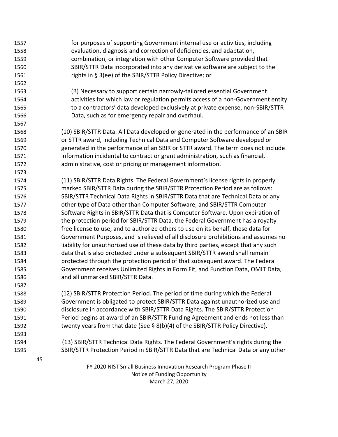FY 2020 NIST Small Business Innovation Research Program Phase II Notice of Funding Opportunity March 27, 2020 for purposes of supporting Government internal use or activities, including evaluation, diagnosis and correction of deficiencies, and adaptation, combination, or integration with other Computer Software provided that SBIR/STTR Data incorporated into any derivative software are subject to the rights in § 3(ee) of the SBIR/STTR Policy Directive; or (B) Necessary to support certain narrowly-tailored essential Government activities for which law or regulation permits access of a non-Government entity to a contractors' data developed exclusively at private expense, non-SBIR/STTR Data, such as for emergency repair and overhaul. (10) SBIR/STTR Data. All Data developed or generated in the performance of an SBIR or STTR award, including Technical Data and Computer Software developed or generated in the performance of an SBIR or STTR award. The term does not include information incidental to contract or grant administration, such as financial, administrative, cost or pricing or management information. (11) SBIR/STTR Data Rights. The Federal Government's license rights in properly marked SBIR/STTR Data during the SBIR/STTR Protection Period are as follows: SBIR/STTR Technical Data Rights in SBIR/STTR Data that are Technical Data or any other type of Data other than Computer Software; and SBIR/STTR Computer Software Rights in SBIR/STTR Data that is Computer Software. Upon expiration of the protection period for SBIR/STTR Data, the Federal Government has a royalty free license to use, and to authorize others to use on its behalf, these data for Government Purposes, and is relieved of all disclosure prohibitions and assumes no liability for unauthorized use of these data by third parties, except that any such data that is also protected under a subsequent SBIR/STTR award shall remain protected through the protection period of that subsequent award. The Federal Government receives Unlimited Rights in Form Fit, and Function Data, OMIT Data, and all unmarked SBIR/STTR Data. (12) SBIR/STTR Protection Period. The period of time during which the Federal Government is obligated to protect SBIR/STTR Data against unauthorized use and disclosure in accordance with SBIR/STTR Data Rights. The SBIR/STTR Protection Period begins at award of an SBIR/STTR Funding Agreement and ends not less than twenty years from that date (See § 8(b)(4) of the SBIR/STTR Policy Directive). (13) SBIR/STTR Technical Data Rights. The Federal Government's rights during the SBIR/STTR Protection Period in SBIR/STTR Data that are Technical Data or any other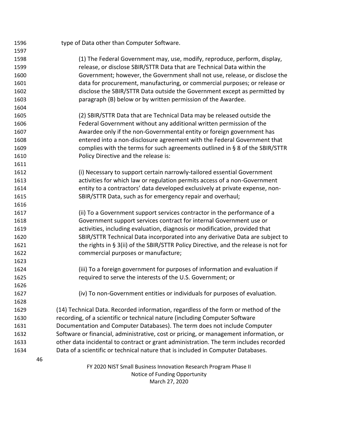| 1596 |    | type of Data other than Computer Software.                                            |
|------|----|---------------------------------------------------------------------------------------|
| 1597 |    |                                                                                       |
| 1598 |    | (1) The Federal Government may, use, modify, reproduce, perform, display,             |
| 1599 |    | release, or disclose SBIR/STTR Data that are Technical Data within the                |
| 1600 |    | Government; however, the Government shall not use, release, or disclose the           |
| 1601 |    | data for procurement, manufacturing, or commercial purposes; or release or            |
| 1602 |    | disclose the SBIR/STTR Data outside the Government except as permitted by             |
| 1603 |    | paragraph (B) below or by written permission of the Awardee.                          |
| 1604 |    |                                                                                       |
| 1605 |    | (2) SBIR/STTR Data that are Technical Data may be released outside the                |
| 1606 |    | Federal Government without any additional written permission of the                   |
| 1607 |    | Awardee only if the non-Governmental entity or foreign government has                 |
| 1608 |    | entered into a non-disclosure agreement with the Federal Government that              |
| 1609 |    | complies with the terms for such agreements outlined in § 8 of the SBIR/STTR          |
| 1610 |    | Policy Directive and the release is:                                                  |
| 1611 |    |                                                                                       |
| 1612 |    | (i) Necessary to support certain narrowly-tailored essential Government               |
| 1613 |    | activities for which law or regulation permits access of a non-Government             |
| 1614 |    | entity to a contractors' data developed exclusively at private expense, non-          |
| 1615 |    | SBIR/STTR Data, such as for emergency repair and overhaul;                            |
| 1616 |    |                                                                                       |
| 1617 |    | (ii) To a Government support services contractor in the performance of a              |
| 1618 |    | Government support services contract for internal Government use or                   |
| 1619 |    | activities, including evaluation, diagnosis or modification, provided that            |
| 1620 |    | SBIR/STTR Technical Data incorporated into any derivative Data are subject to         |
| 1621 |    | the rights in § 3(ii) of the SBIR/STTR Policy Directive, and the release is not for   |
| 1622 |    | commercial purposes or manufacture;                                                   |
| 1623 |    |                                                                                       |
| 1624 |    | (iii) To a foreign government for purposes of information and evaluation if           |
| 1625 |    | required to serve the interests of the U.S. Government; or                            |
| 1626 |    |                                                                                       |
| 1627 |    | (iv) To non-Government entities or individuals for purposes of evaluation.            |
| 1628 |    |                                                                                       |
| 1629 |    | (14) Technical Data. Recorded information, regardless of the form or method of the    |
| 1630 |    | recording, of a scientific or technical nature (including Computer Software           |
| 1631 |    | Documentation and Computer Databases). The term does not include Computer             |
| 1632 |    | Software or financial, administrative, cost or pricing, or management information, or |
| 1633 |    | other data incidental to contract or grant administration. The term includes recorded |
| 1634 |    | Data of a scientific or technical nature that is included in Computer Databases.      |
|      | 46 |                                                                                       |
|      |    | FY 2020 NIST Small Business Innovation Research Program Phase II                      |
|      |    | Notice of Funding Opportunity                                                         |

March 27, 2020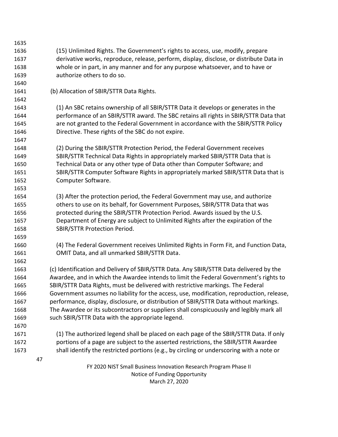| 1635 |    |                                                                                           |
|------|----|-------------------------------------------------------------------------------------------|
| 1636 |    | (15) Unlimited Rights. The Government's rights to access, use, modify, prepare            |
| 1637 |    | derivative works, reproduce, release, perform, display, disclose, or distribute Data in   |
| 1638 |    | whole or in part, in any manner and for any purpose whatsoever, and to have or            |
| 1639 |    | authorize others to do so.                                                                |
| 1640 |    |                                                                                           |
| 1641 |    | (b) Allocation of SBIR/STTR Data Rights.                                                  |
| 1642 |    |                                                                                           |
| 1643 |    | (1) An SBC retains ownership of all SBIR/STTR Data it develops or generates in the        |
| 1644 |    | performance of an SBIR/STTR award. The SBC retains all rights in SBIR/STTR Data that      |
| 1645 |    | are not granted to the Federal Government in accordance with the SBIR/STTR Policy         |
| 1646 |    | Directive. These rights of the SBC do not expire.                                         |
| 1647 |    |                                                                                           |
| 1648 |    | (2) During the SBIR/STTR Protection Period, the Federal Government receives               |
| 1649 |    | SBIR/STTR Technical Data Rights in appropriately marked SBIR/STTR Data that is            |
| 1650 |    | Technical Data or any other type of Data other than Computer Software; and                |
| 1651 |    | SBIR/STTR Computer Software Rights in appropriately marked SBIR/STTR Data that is         |
| 1652 |    | Computer Software.                                                                        |
| 1653 |    |                                                                                           |
| 1654 |    | (3) After the protection period, the Federal Government may use, and authorize            |
| 1655 |    | others to use on its behalf, for Government Purposes, SBIR/STTR Data that was             |
| 1656 |    | protected during the SBIR/STTR Protection Period. Awards issued by the U.S.               |
| 1657 |    | Department of Energy are subject to Unlimited Rights after the expiration of the          |
| 1658 |    | <b>SBIR/STTR Protection Period.</b>                                                       |
| 1659 |    |                                                                                           |
| 1660 |    | (4) The Federal Government receives Unlimited Rights in Form Fit, and Function Data,      |
| 1661 |    | OMIT Data, and all unmarked SBIR/STTR Data.                                               |
| 1662 |    |                                                                                           |
| 1663 |    | (c) Identification and Delivery of SBIR/STTR Data. Any SBIR/STTR Data delivered by the    |
| 1664 |    | Awardee, and in which the Awardee intends to limit the Federal Government's rights to     |
| 1665 |    | SBIR/STTR Data Rights, must be delivered with restrictive markings. The Federal           |
| 1666 |    | Government assumes no liability for the access, use, modification, reproduction, release, |
| 1667 |    | performance, display, disclosure, or distribution of SBIR/STTR Data without markings.     |
| 1668 |    | The Awardee or its subcontractors or suppliers shall conspicuously and legibly mark all   |
| 1669 |    | such SBIR/STTR Data with the appropriate legend.                                          |
| 1670 |    |                                                                                           |
| 1671 |    | (1) The authorized legend shall be placed on each page of the SBIR/STTR Data. If only     |
| 1672 |    | portions of a page are subject to the asserted restrictions, the SBIR/STTR Awardee        |
| 1673 |    | shall identify the restricted portions (e.g., by circling or underscoring with a note or  |
|      | 47 |                                                                                           |
|      |    | FY 2020 NIST Small Business Innovation Research Program Phase II                          |

Notice of Funding Opportunity March 27, 2020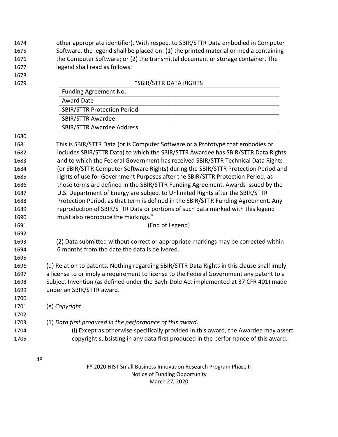other appropriate identifier). With respect to SBIR/STTR Data embodied in Computer Software, the legend shall be placed on: (1) the printed material or media containing the Computer Software; or (2) the transmittal document or storage container. The legend shall read as follows:

- 
- 

#### "SBIR/STTR DATA RIGHTS

| Funding Agreement No.              |  |
|------------------------------------|--|
| Award Date                         |  |
| <b>SBIR/STTR Protection Period</b> |  |
| <b>SBIR/STTR Awardee</b>           |  |
| <b>SBIR/STTR Awardee Address</b>   |  |

| 1681 | This is SBIR/STTR Data (or is Computer Software or a Prototype that embodies or    |
|------|------------------------------------------------------------------------------------|
| 1682 | includes SBIR/STTR Data) to which the SBIR/STTR Awardee has SBIR/STTR Data Rights  |
| 1683 | and to which the Federal Government has received SBIR/STTR Technical Data Rights   |
| 1684 | (or SBIR/STTR Computer Software Rights) during the SBIR/STTR Protection Period and |
| 1685 | rights of use for Government Purposes after the SBIR/STTR Protection Period, as    |
| 1686 | those terms are defined in the SBIR/STTR Funding Agreement. Awards issued by the   |
| 1687 | U.S. Department of Energy are subject to Unlimited Rights after the SBIR/STTR      |
| 1688 | Protection Period, as that term is defined in the SBIR/STTR Funding Agreement. Any |
| 1689 | reproduction of SBIR/STTR Data or portions of such data marked with this legend    |
| 1690 | must also reproduce the markings."                                                 |
| 1691 | (End of Legend)                                                                    |

- (2) Data submitted without correct or appropriate markings may be corrected within 6 months from the date the data is delivered.
- (d) Relation to patents. Nothing regarding SBIR/STTR Data Rights in this clause shall imply a license to or imply a requirement to license to the Federal Government any patent to a Subject Invention (as defined under the Bayh-Dole Act implemented at 37 CFR 401) made under an SBIR/STTR award.
- (e) *Copyright*.
- 

- (1) *Data first produced in the performance of this award*.
- (i) Except as otherwise specifically provided in this award, the Awardee may assert copyright subsisting in any data first produced in the performance of this award.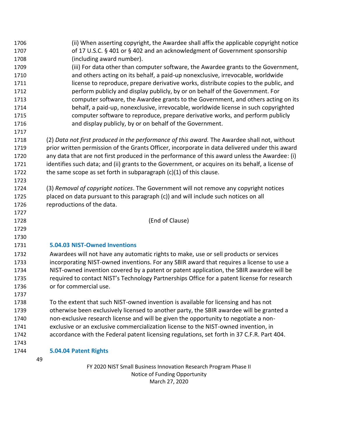| 1706 | (ii) When asserting copyright, the Awardee shall affix the applicable copyright notice           |
|------|--------------------------------------------------------------------------------------------------|
| 1707 | of 17 U.S.C. § 401 or § 402 and an acknowledgment of Government sponsorship                      |
| 1708 | (including award number).                                                                        |
| 1709 | (iii) For data other than computer software, the Awardee grants to the Government,               |
| 1710 | and others acting on its behalf, a paid-up nonexclusive, irrevocable, worldwide                  |
| 1711 | license to reproduce, prepare derivative works, distribute copies to the public, and             |
| 1712 | perform publicly and display publicly, by or on behalf of the Government. For                    |
| 1713 | computer software, the Awardee grants to the Government, and others acting on its                |
| 1714 | behalf, a paid-up, nonexclusive, irrevocable, worldwide license in such copyrighted              |
| 1715 | computer software to reproduce, prepare derivative works, and perform publicly                   |
| 1716 | and display publicly, by or on behalf of the Government.                                         |
| 1717 |                                                                                                  |
| 1718 | (2) Data not first produced in the performance of this award. The Awardee shall not, without     |
| 1719 | prior written permission of the Grants Officer, incorporate in data delivered under this award   |
| 1720 | any data that are not first produced in the performance of this award unless the Awardee: (i)    |
| 1721 | identifies such data; and (ii) grants to the Government, or acquires on its behalf, a license of |
| 1722 | the same scope as set forth in subparagraph $(c)(1)$ of this clause.                             |
| 1723 |                                                                                                  |
| 1724 | (3) Removal of copyright notices. The Government will not remove any copyright notices           |
| 1725 | placed on data pursuant to this paragraph (c)) and will include such notices on all              |
| 1726 | reproductions of the data.                                                                       |
| 1727 |                                                                                                  |
| 1728 | (End of Clause)                                                                                  |
| 1729 |                                                                                                  |
| 1730 |                                                                                                  |
| 1731 | 5.04.03 NIST-Owned Inventions                                                                    |
| 1732 | Awardees will not have any automatic rights to make, use or sell products or services            |
| 1733 | incorporating NIST-owned inventions. For any SBIR award that requires a license to use a         |
| 1734 | NIST-owned invention covered by a patent or patent application, the SBIR awardee will be         |
| 1735 | required to contact NIST's Technology Partnerships Office for a patent license for research      |
| 1736 | or for commercial use.                                                                           |
| 1737 |                                                                                                  |
| 1738 | To the extent that such NIST-owned invention is available for licensing and has not              |
| 1739 | otherwise been exclusively licensed to another party, the SBIR awardee will be granted a         |
| 1740 | non-exclusive research license and will be given the opportunity to negotiate a non-             |
| 1741 | exclusive or an exclusive commercialization license to the NIST-owned invention, in              |
| 1742 | accordance with the Federal patent licensing regulations, set forth in 37 C.F.R. Part 404.       |
| 1743 |                                                                                                  |
| 1744 | 5.04.04 Patent Rights                                                                            |
|      | 49                                                                                               |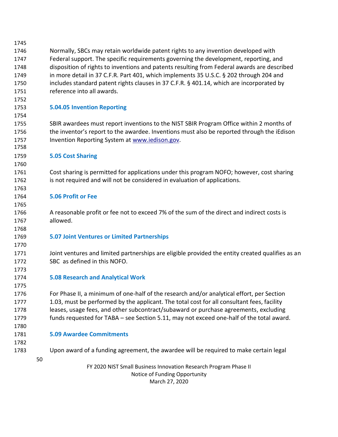| 1745 |    |                                                                                                   |  |
|------|----|---------------------------------------------------------------------------------------------------|--|
| 1746 |    | Normally, SBCs may retain worldwide patent rights to any invention developed with                 |  |
| 1747 |    | Federal support. The specific requirements governing the development, reporting, and              |  |
| 1748 |    | disposition of rights to inventions and patents resulting from Federal awards are described       |  |
| 1749 |    | in more detail in 37 C.F.R. Part 401, which implements 35 U.S.C. § 202 through 204 and            |  |
| 1750 |    | includes standard patent rights clauses in 37 C.F.R. § 401.14, which are incorporated by          |  |
| 1751 |    | reference into all awards.                                                                        |  |
| 1752 |    |                                                                                                   |  |
| 1753 |    | <b>5.04.05 Invention Reporting</b>                                                                |  |
| 1754 |    |                                                                                                   |  |
| 1755 |    | SBIR awardees must report inventions to the NIST SBIR Program Office within 2 months of           |  |
| 1756 |    | the inventor's report to the awardee. Inventions must also be reported through the iEdison        |  |
| 1757 |    | Invention Reporting System at www.iedison.gov.                                                    |  |
| 1758 |    |                                                                                                   |  |
| 1759 |    | <b>5.05 Cost Sharing</b>                                                                          |  |
| 1760 |    |                                                                                                   |  |
| 1761 |    | Cost sharing is permitted for applications under this program NOFO; however, cost sharing         |  |
| 1762 |    | is not required and will not be considered in evaluation of applications.                         |  |
| 1763 |    |                                                                                                   |  |
| 1764 |    | <b>5.06 Profit or Fee</b>                                                                         |  |
| 1765 |    |                                                                                                   |  |
| 1766 |    | A reasonable profit or fee not to exceed 7% of the sum of the direct and indirect costs is        |  |
| 1767 |    | allowed.                                                                                          |  |
| 1768 |    |                                                                                                   |  |
| 1769 |    | <b>5.07 Joint Ventures or Limited Partnerships</b>                                                |  |
| 1770 |    |                                                                                                   |  |
| 1771 |    | Joint ventures and limited partnerships are eligible provided the entity created qualifies as an  |  |
| 1772 |    | SBC as defined in this NOFO.                                                                      |  |
| 1773 |    |                                                                                                   |  |
| 1774 |    | <b>5.08 Research and Analytical Work</b>                                                          |  |
| 1775 |    |                                                                                                   |  |
| 1776 |    | For Phase II, a minimum of one-half of the research and/or analytical effort, per Section         |  |
| 1777 |    | 1.03, must be performed by the applicant. The total cost for all consultant fees, facility        |  |
| 1778 |    | leases, usage fees, and other subcontract/subaward or purchase agreements, excluding              |  |
| 1779 |    | funds requested for TABA - see Section 5.11, may not exceed one-half of the total award.          |  |
| 1780 |    |                                                                                                   |  |
| 1781 |    | <b>5.09 Awardee Commitments</b>                                                                   |  |
| 1782 |    |                                                                                                   |  |
| 1783 |    | Upon award of a funding agreement, the awardee will be required to make certain legal             |  |
|      | 50 |                                                                                                   |  |
|      |    | FY 2020 NIST Small Business Innovation Research Program Phase II<br>Notice of Funding Opportunity |  |

March 27, 2020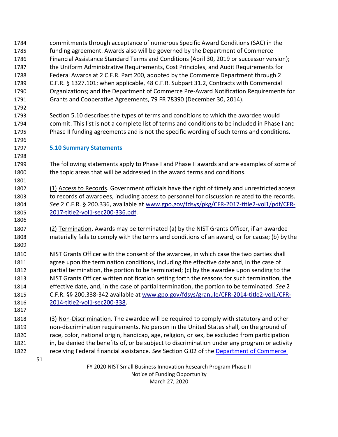- commitments through acceptance of numerous Specific Award Conditions (SAC) in the funding agreement. Awards also will be governed by the Department of Commerce Financial Assistance Standard Terms and Conditions (April 30, 2019 or successor version); the Uniform Administrative Requirements, Cost Principles, and Audit Requirements for Federal Awards at 2 C.F.R. Part 200, adopted by the Commerce Department through 2 C.F.R. § 1327.101; when applicable, 48 C.F.R. Subpart 31.2, Contracts with Commercial Organizations; and the Department of Commerce Pre-Award Notification Requirements for Grants and Cooperative Agreements, 79 FR 78390 (December 30, 2014).
- Section 5.10 describes the types of terms and conditions to which the awardee would commit. This list is not a complete list of terms and conditions to be included in Phase I and Phase II funding agreements and is not the specific wording of such terms and conditions.
- **5.10 Summary Statements**

 The following statements apply to Phase I and Phase II awards and are examples of some of the topic areas that will be addressed in the award terms and conditions.

1802 (1) Access to Records. Government officials have the right of timely and unrestricted access to records of awardees, including access to personnel for discussion related to the records. *See* 2 C.F.R. § 200.336, available at [www.gpo.gov/fdsys/pkg/CFR-2017-title2-vol1/pdf/CFR-](http://www.gpo.gov/fdsys/pkg/CFR-2017-title2-vol1/pdf/CFR-2017-title2-vol1-sec200-336.pdf)[2017-title2-vol1-sec200-336.pdf.](http://www.gpo.gov/fdsys/pkg/CFR-2017-title2-vol1/pdf/CFR-2017-title2-vol1-sec200-336.pdf)

 (2) Termination. Awards may be terminated (a) by the NIST Grants Officer, if an awardee materially fails to comply with the terms and conditions of an award, or for cause; (b) by the

 NIST Grants Officer with the consent of the awardee, in which case the two parties shall agree upon the termination conditions, including the effective date and, in the case of partial termination, the portion to be terminated; (c) by the awardee upon sending to the NIST Grants Officer written notification setting forth the reasons for such termination, the effective date, and, in the case of partial termination, the portion to be terminated. *See* 2 C.F.R. §§ 200.338-342 available at [www.gpo.gov/fdsys/granule/CFR-2014-title2-vol1/CFR-](http://www.gpo.gov/fdsys/granule/CFR-2014-title2-vol1/CFR-2014-title2-vol1-sec200-338)[2014-title2-vol1-sec200-338.](http://www.gpo.gov/fdsys/granule/CFR-2014-title2-vol1/CFR-2014-title2-vol1-sec200-338)

 (3) Non-Discrimination. The awardee will be required to comply with statutory and other non-discrimination requirements. No person in the United States shall, on the ground of race, color, national origin, handicap, age, religion, or sex, be excluded from participation in, be denied the benefits of, or be subject to discrimination under any program or activity receiving Federal financial assistance. *See* Section G.02 of the [Department of Commerce](http://www.osec.doc.gov/oam/grants_management/policy/documents/Department%20of%20Commerce%20Standard%20Terms%20Conditions%2030%20April%202019.pdf)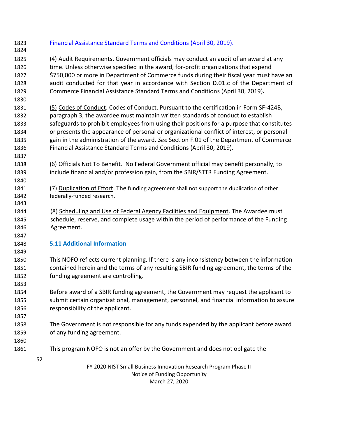FY 2020 NIST Small Business Innovation Research Program Phase II Notice of Funding Opportunity March 27, 2020 [Financial Assistance Standard Terms and Conditions \(April 30, 2019\).](http://www.osec.doc.gov/oam/grants_management/policy/documents/Department%20of%20Commerce%20Standard%20Terms%20Conditions%2030%20April%202019.pdf) (4) Audit Requirements. Government officials may conduct an audit of an award at any time. Unless otherwise specified in the award, for-profit organizations that expend 1827 \$750,000 or more in Department of Commerce funds during their fiscal year must have an audit conducted for that year in accordance with Section D.01.c of the Department of Commerce Financial Assistance Standard Terms and Conditions (April 30, 2019)**.** (5) Codes of Conduct. Codes of Conduct. Pursuant to the certification in Form SF-424B, paragraph 3, the awardee must maintain written standards of conduct to establish safeguards to prohibit employees from using their positions for a purpose that constitutes or presents the appearance of personal or organizational conflict of interest, or personal gain in the administration of the award. *See* Section F.01 of the Department of Commerce Financial Assistance Standard Terms and Conditions (April 30, 2019). (6) Officials Not To Benefit. No Federal Government official may benefit personally, to include financial and/or profession gain, from the SBIR/STTR Funding Agreement. (7) Duplication of Effort. The funding agreement shall not support the duplication of other federally-funded research. (8) Scheduling and Use of Federal Agency Facilities and Equipment. The Awardee must schedule, reserve, and complete usage within the period of performance of the Funding Agreement. **5.11 Additional Information** This NOFO reflects current planning. If there is any inconsistency between the information contained herein and the terms of any resulting SBIR funding agreement, the terms of the funding agreement are controlling. Before award of a SBIR funding agreement, the Government may request the applicant to submit certain organizational, management, personnel, and financial information to assure responsibility of the applicant. The Government is not responsible for any funds expended by the applicant before award of any funding agreement. This program NOFO is not an offer by the Government and does not obligate the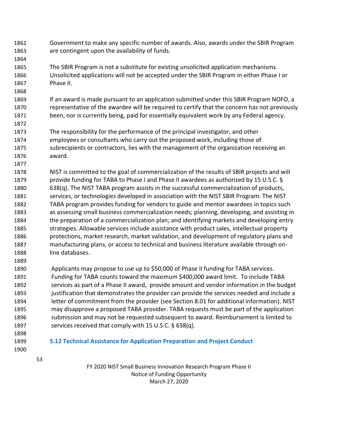- Government to make any specific number of awards. Also, awards under the SBIR Program are contingent upon the availability of funds.
- The SBIR Program is not a substitute for existing unsolicited application mechanisms. Unsolicited applications will not be accepted under the SBIR Program in either Phase I or Phase II.
- 1869 If an award is made pursuant to an application submitted under this SBIR Program NOFO, a representative of the awardee will be required to certify that the concern has not previously been, nor is currently being, paid for essentially equivalent work by any Federal agency.
- The responsibility for the performance of the principal investigator, and other employees or consultants who carry out the proposed work, including those of subrecipients or contractors, lies with the management of the organization receiving an award.
- NIST is committed to the goal of commercialization of the results of SBIR projects and will provide funding for TABA to Phase I and Phase II awardees as authorized by 15 U.S.C. § 638(q). The NIST TABA program assists in the successful commercialization of products, 1881 services, or technologies developed in association with the NIST SBIR Program. The NIST TABA program provides funding for vendors to guide and mentor awardees in topics such as assessing small business commercialization needs; planning, developing, and assisting in the preparation of a commercialization plan; and identifying markets and developing entry strategies. Allowable services include assistance with product sales, intellectual property protections, market research, market validation, and development of regulatory plans and manufacturing plans, or access to technical and business literature available through on-line databases.
- Applicants may propose to use up to \$50,000 of Phase II funding for TABA services. Funding for TABA counts toward the maximum \$400,000 award limit. To include TABA services as part of a Phase II award, provide amount and vendor information in the budget justification that demonstrates the provider can provide the services needed and include a letter of commitment from the provider (see Section 8.01 for additional information). NIST may disapprove a proposed TABA provider. TABA requests must be part of the application submission and may not be requested subsequent to award. Reimbursement is limited to 1897 services received that comply with 15 U.S.C. § 638(q).
- 

- 
- **5.12 Technical Assistance for Application Preparation and Project Conduct**
	-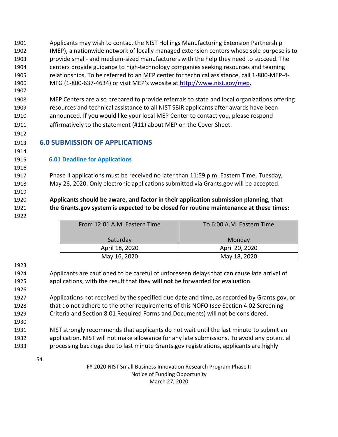Applicants may wish to contact the NIST Hollings Manufacturing Extension Partnership (MEP), a nationwide network of locally managed extension centers whose sole purpose is to provide small- and medium-sized manufacturers with the help they need to succeed. The centers provide guidance to high-technology companies seeking resources and teaming relationships. To be referred to an MEP center for technical assistance, call 1-800-MEP-4- MFG (1-800-637-4634) or visit MEP's website at <http://www.nist.gov/mep>**.**

 MEP Centers are also prepared to provide referrals to state and local organizations offering resources and technical assistance to all NIST SBIR applicants after awards have been announced. If you would like your local MEP Center to contact you, please respond affirmatively to the statement (#11) about MEP on the Cover Sheet.

**6.0 SUBMISSION OF APPLICATIONS**

 **6.01 Deadline for Applications**

 Phase II applications must be received no later than 11:59 p.m. Eastern Time, Tuesday, May 26, 2020. Only electronic applications submitted via Grants.gov will be accepted.

 **Applicants should be aware, and factor in their application submission planning, that the Grants.gov system is expected to be closed for routine maintenance at these times:**

| From 12:01 A.M. Eastern Time | To 6:00 A.M. Eastern Time |
|------------------------------|---------------------------|
| Saturday                     | Monday                    |
| April 18, 2020               | April 20, 2020            |
| May 16, 2020                 | May 18, 2020              |

 Applicants are cautioned to be careful of unforeseen delays that can cause late arrival of applications, with the result that they **will not** be forwarded for evaluation. 

 Applications not received by the specified due date and time, as recorded by Grants.gov, or that do not adhere to the other requirements of this NOFO (*see* Section 4.02 Screening Criteria and Section 8.01 Required Forms and Documents) will not be considered.

 NIST strongly recommends that applicants do not wait until the last minute to submit an application. NIST will not make allowance for any late submissions. To avoid any potential processing backlogs due to last minute Grants.gov registrations, applicants are highly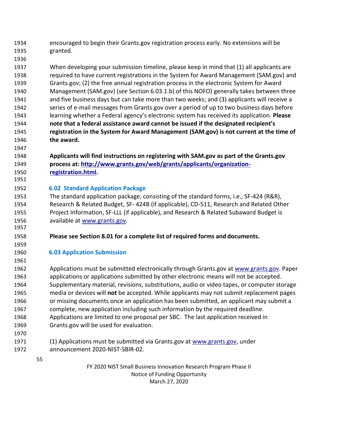- encouraged to begin their Grants.gov registration process early. No extensions will be granted.
- When developing your submission timeline, please keep in mind that (1) all applicants are required to have current registrations in the System for Award Management (SAM.gov) and Grants.gov; (2) the free annual registration process in the electronic System for Award Management (SAM.gov) (*see* Section 6.03.1.b) of this NOFO) generally takes between three and five business days but can take more than two weeks; and (3) applicants will receive a series of e-mail messages from Grants.gov over a period of up to two business days before learning whether a Federal agency's electronic system has received its application. **Please note that a federal assistance award cannot be issued if the designated recipient's registration in the System for Award Management (SAM.gov) is not current at the time of the award.**
- **Applicants will find instructions on registering with SAM.gov as part of the Grants.gov process at: [http://www.grants.gov/web/grants/applicants/organization-](http://www.grants.gov/web/grants/applicants/organization-registration.html)[registration.html.](http://www.grants.gov/web/grants/applicants/organization-registration.html)**

## **6.02 Standard Application Package**

- The standard application package, consisting of the standard forms, i.e., SF-424 (R&R), Research & Related Budget, SF- 424B (if applicable), CD-511, Research and Related Other Project Information, SF-LLL (if applicable), and Research & Related Subaward Budget is 1956 available at www.grants.gov.
- **Please see Section 8.01 for a complete list of required forms and documents.**

#### **6.03 Application Submission**

- 1962 Applications must be submitted electronically through Grants.gov at [www.grants.gov. P](http://www.grants.gov/)aper applications or applications submitted by other electronic means will not be accepted. Supplementary material, revisions, substitutions, audio or video tapes, or computer storage media or devices will **not** be accepted. While applicants may not submit replacement pages or missing documents once an application has been submitted, an applicant may submit a complete, new application including such information by the required deadline. Applications are limited to one proposal per SBC. The last application received in Grants.gov will be used for evaluation.
- 

 (1) Applications must be submitted via Grants.gov at [www.grants.gov, u](http://www.grants.gov/)nder announcement 2020-NIST-SBIR-02.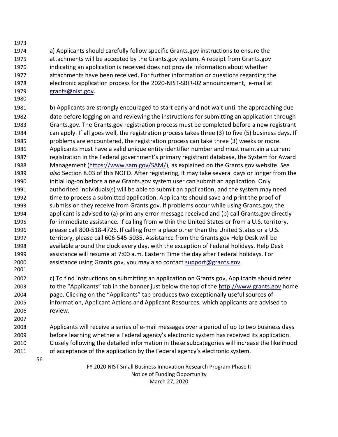- a) Applicants should carefully follow specific Grants.gov instructions to ensure the attachments will be accepted by the Grants.gov system. A receipt from Grants.gov indicating an application is received does not provide information about whether attachments have been received. For further information or questions regarding the electronic application process for the 2020-NIST-SBIR-02 announcement, e-mail at [grants@nist.gov.](mailto:grants@nist.gov)
- b) Applicants are strongly encouraged to start early and not wait until the approaching due date before logging on and reviewing the instructions for submitting an application through Grants.gov. The Grants.gov registration process must be completed before a new registrant can apply. If all goes well, the registration process takes three (3) to five (5) business days. If problems are encountered, the registration process can take three (3) weeks or more. Applicants must have a valid unique entity identifier number and must maintain a current registration in the Federal government's primary registrant database, the System for Award Management [\(https://www.sam.gov/SAM/\)](https://www.sam.gov/SAM/), as explained on the Grants.gov website. *See also* Section 8.03 of this NOFO. After registering, it may take several days or longer from the initial log-on before a new Grants.gov system user can submit an application. Only authorized individuals(s) will be able to submit an application, and the system may need time to process a submitted application. Applicants should save and print the proof of submission they receive from Grants.gov. If problems occur while using Grants.gov, the applicant is advised to (a) print any error message received and (b) call Grants.gov directly for immediate assistance. If calling from within the United States or from a U.S. territory, please call 800-518-4726. If calling from a place other than the United States or a U.S. territory, please call 606-545-5035. Assistance from the Grants.gov Help Desk will be available around the clock every day, with the exception of Federal holidays. Help Desk assistance will resume at 7:00 a.m. Eastern Time the day after Federal holidays. For assistance using Grants.gov, you may also contact [support@grants.gov.](mailto:support@grants.gov)
- c) To find instructions on submitting an application on Grants.gov, Applicants should refer to the "Applicants" tab in the banner just below the top of the [http://www.grants.gov](http://www.grants.gov/) home page. Clicking on the "Applicants" tab produces two exceptionally useful sources of information, Applicant Actions and Applicant Resources, which applicants are advised to review.
- Applicants will receive a series of e-mail messages over a period of up to two business days before learning whether a Federal agency's electronic system has received its application. Closely following the detailed information in these subcategories will increase the likelihood of acceptance of the application by the Federal agency's electronic system.
	-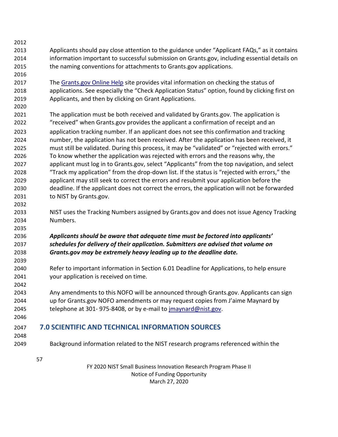- 
- Applicants should pay close attention to the guidance under "Applicant FAQs," as it contains information important to successful submission on Grants.gov, including essential details on the naming conventions for attachments to Grants.gov applications.
- 

 The [Grants.gov Online Help](https://www.grants.gov/help/html/help/index.htm?callingApp=custom&t=GetStarted%2FGetStarted.htm) site provides vital information on checking the status of applications. See especially the "Check Application Status" option, found by clicking first on Applicants, and then by clicking on Grant Applications.

 The application must be both received and validated by Grants.gov. The application is "received" when Grants.gov provides the applicant a confirmation of receipt and an application tracking number. If an applicant does not see this confirmation and tracking number, the application has not been received. After the application has been received, it must still be validated. During this process, it may be "validated" or "rejected with errors." To know whether the application was rejected with errors and the reasons why, the applicant must log in to Grants.gov, select "Applicants" from the top navigation, and select "Track my application" from the drop-down list. If the status is "rejected with errors," the applicant may still seek to correct the errors and resubmit your application before the deadline. If the applicant does not correct the errors, the application will not be forwarded to NIST by Grants.gov.

 NIST uses the Tracking Numbers assigned by Grants.gov and does not issue Agency Tracking Numbers.

## *Applicants should be aware that adequate time must be factored into applicants' schedules for delivery of their application. Submitters are advised that volume on Grants.gov may be extremely heavy leading up to the deadline date.*

- Refer to important information in Section 6.01 Deadline for Applications, to help ensure your application is received on time.
- Any amendments to this NOFO will be announced through Grants.gov. Applicants can sign up for Grants.gov NOFO amendments or may request copies from J'aime Maynard by 2045 telephone at 301-975-8408, or by e-mail to *jmaynard@nist.gov.*
- 

# **7.0 SCIENTIFIC AND TECHNICAL INFORMATION SOURCES**

- 
- Background information related to the NIST research programs referenced within the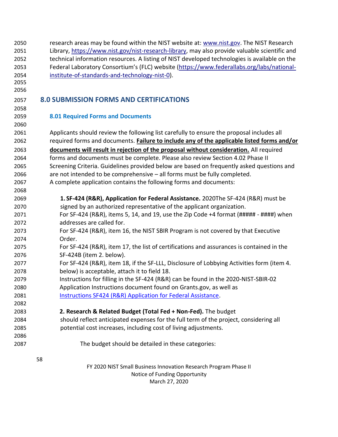| 2050<br>2051 | research areas may be found within the NIST website at: www.nist.gov. The NIST Research<br>Library, https://www.nist.gov/nist-research-library, may also provide valuable scientific and |  |  |  |  |
|--------------|------------------------------------------------------------------------------------------------------------------------------------------------------------------------------------------|--|--|--|--|
| 2052         | technical information resources. A listing of NIST developed technologies is available on the                                                                                            |  |  |  |  |
| 2053         | Federal Laboratory Consortium's (FLC) website (https://www.federallabs.org/labs/national-                                                                                                |  |  |  |  |
| 2054         | institute-of-standards-and-technology-nist-0).                                                                                                                                           |  |  |  |  |
| 2055         |                                                                                                                                                                                          |  |  |  |  |
| 2056         |                                                                                                                                                                                          |  |  |  |  |
| 2057         | <b>8.0 SUBMISSION FORMS AND CERTIFICATIONS</b>                                                                                                                                           |  |  |  |  |
| 2058         |                                                                                                                                                                                          |  |  |  |  |
| 2059         | <b>8.01 Required Forms and Documents</b>                                                                                                                                                 |  |  |  |  |
| 2060         |                                                                                                                                                                                          |  |  |  |  |
| 2061         | Applicants should review the following list carefully to ensure the proposal includes all                                                                                                |  |  |  |  |
| 2062         | required forms and documents. Failure to include any of the applicable listed forms and/or                                                                                               |  |  |  |  |
| 2063         | documents will result in rejection of the proposal without consideration. All required                                                                                                   |  |  |  |  |
| 2064         | forms and documents must be complete. Please also review Section 4.02 Phase II                                                                                                           |  |  |  |  |
| 2065         | Screening Criteria. Guidelines provided below are based on frequently asked questions and                                                                                                |  |  |  |  |
| 2066         | are not intended to be comprehensive - all forms must be fully completed.                                                                                                                |  |  |  |  |
| 2067         | A complete application contains the following forms and documents:                                                                                                                       |  |  |  |  |
| 2068         |                                                                                                                                                                                          |  |  |  |  |
| 2069         | 1. SF-424 (R&R), Application for Federal Assistance. 2020The SF-424 (R&R) must be                                                                                                        |  |  |  |  |
| 2070         | signed by an authorized representative of the applicant organization.                                                                                                                    |  |  |  |  |
| 2071         | For SF-424 (R&R), items 5, 14, and 19, use the Zip Code +4 format (##### - ####) when                                                                                                    |  |  |  |  |
| 2072         | addresses are called for.                                                                                                                                                                |  |  |  |  |
| 2073         | For SF-424 (R&R), item 16, the NIST SBIR Program is not covered by that Executive                                                                                                        |  |  |  |  |
| 2074         | Order.                                                                                                                                                                                   |  |  |  |  |
| 2075         | For SF-424 (R&R), item 17, the list of certifications and assurances is contained in the                                                                                                 |  |  |  |  |
| 2076         | SF-424B (item 2. below).                                                                                                                                                                 |  |  |  |  |
| 2077         | For SF-424 (R&R), item 18, if the SF-LLL, Disclosure of Lobbying Activities form (item 4.                                                                                                |  |  |  |  |
| 2078         | below) is acceptable, attach it to field 18.                                                                                                                                             |  |  |  |  |
| 2079         | Instructions for filling in the SF-424 (R&R) can be found in the 2020-NIST-SBIR-02                                                                                                       |  |  |  |  |
| 2080         | Application Instructions document found on Grants.gov, as well as                                                                                                                        |  |  |  |  |
| 2081         | Instructions SF424 (R&R) Application for Federal Assistance.                                                                                                                             |  |  |  |  |
| 2082         |                                                                                                                                                                                          |  |  |  |  |
| 2083         | 2. Research & Related Budget (Total Fed + Non-Fed). The budget                                                                                                                           |  |  |  |  |
| 2084         | should reflect anticipated expenses for the full term of the project, considering all                                                                                                    |  |  |  |  |
| 2085         | potential cost increases, including cost of living adjustments.                                                                                                                          |  |  |  |  |
| 2086         |                                                                                                                                                                                          |  |  |  |  |
| 2087         | The budget should be detailed in these categories:                                                                                                                                       |  |  |  |  |
|              | 58                                                                                                                                                                                       |  |  |  |  |
|              | FY 2020 NIST Small Business Innovation Research Program Phase II                                                                                                                         |  |  |  |  |
|              | Notice of Funding Opportunity                                                                                                                                                            |  |  |  |  |

March 27, 2020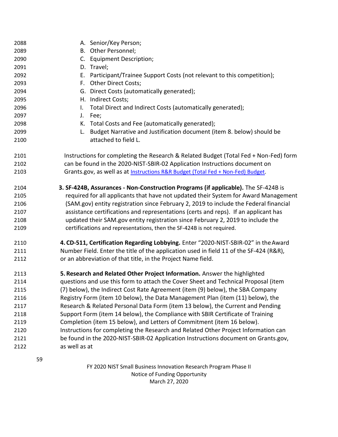| 2088 | A. Senior/Key Person;                                                                  |  |  |  |  |
|------|----------------------------------------------------------------------------------------|--|--|--|--|
| 2089 | B. Other Personnel;                                                                    |  |  |  |  |
| 2090 | C. Equipment Description;                                                              |  |  |  |  |
| 2091 | D. Travel;                                                                             |  |  |  |  |
| 2092 | Participant/Trainee Support Costs (not relevant to this competition);<br>Е.            |  |  |  |  |
| 2093 | F. Other Direct Costs;                                                                 |  |  |  |  |
| 2094 | G. Direct Costs (automatically generated);                                             |  |  |  |  |
| 2095 | H. Indirect Costs;                                                                     |  |  |  |  |
| 2096 | Total Direct and Indirect Costs (automatically generated);<br>I.                       |  |  |  |  |
| 2097 | J.<br>Fee;                                                                             |  |  |  |  |
| 2098 | K. Total Costs and Fee (automatically generated);                                      |  |  |  |  |
| 2099 | Budget Narrative and Justification document (item 8. below) should be<br>L.            |  |  |  |  |
| 2100 | attached to field L.                                                                   |  |  |  |  |
| 2101 | Instructions for completing the Research & Related Budget (Total Fed + Non-Fed) form   |  |  |  |  |
| 2102 | can be found in the 2020-NIST-SBIR-02 Application Instructions document on             |  |  |  |  |
| 2103 | Grants.gov, as well as at Instructions R&R Budget (Total Fed + Non-Fed) Budget.        |  |  |  |  |
| 2104 | 3. SF-424B, Assurances - Non-Construction Programs (if applicable). The SF-424B is     |  |  |  |  |
| 2105 | required for all applicants that have not updated their System for Award Management    |  |  |  |  |
| 2106 | (SAM.gov) entity registration since February 2, 2019 to include the Federal financial  |  |  |  |  |
| 2107 | assistance certifications and representations (certs and reps). If an applicant has    |  |  |  |  |
| 2108 | updated their SAM.gov entity registration since February 2, 2019 to include the        |  |  |  |  |
| 2109 | certifications and representations, then the SF-424B is not required.                  |  |  |  |  |
| 2110 | 4. CD-511, Certification Regarding Lobbying. Enter "2020-NIST-SBIR-02" in the Award    |  |  |  |  |
| 2111 | Number Field. Enter the title of the application used in field 11 of the SF-424 (R&R), |  |  |  |  |
| 2112 | or an abbreviation of that title, in the Project Name field.                           |  |  |  |  |
| 2113 | 5. Research and Related Other Project Information. Answer the highlighted              |  |  |  |  |
| 2114 | questions and use this form to attach the Cover Sheet and Technical Proposal (item     |  |  |  |  |
| 2115 | (7) below), the Indirect Cost Rate Agreement (item (9) below), the SBA Company         |  |  |  |  |
| 2116 | Registry Form (item 10 below), the Data Management Plan (item (11) below), the         |  |  |  |  |
| 2117 | Research & Related Personal Data Form (item 13 below), the Current and Pending         |  |  |  |  |
| 2118 | Support Form (item 14 below), the Compliance with SBIR Certificate of Training         |  |  |  |  |
| 2119 | Completion (item 15 below), and Letters of Commitment (item 16 below).                 |  |  |  |  |
| 2120 | Instructions for completing the Research and Related Other Project Information can     |  |  |  |  |
| 2121 | be found in the 2020-NIST-SBIR-02 Application Instructions document on Grants.gov,     |  |  |  |  |
| 2122 | as well as at                                                                          |  |  |  |  |
|      | 59                                                                                     |  |  |  |  |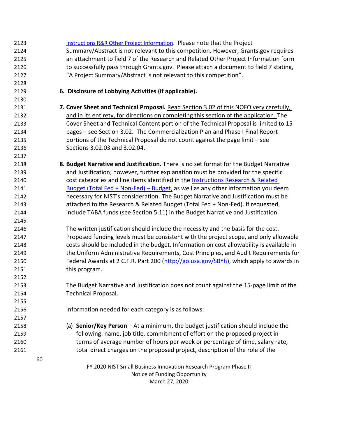| 2123 | Instructions R&R Other Project Information. Please note that the Project                 |
|------|------------------------------------------------------------------------------------------|
| 2124 | Summary/Abstract is not relevant to this competition. However, Grants.gov requires       |
| 2125 | an attachment to field 7 of the Research and Related Other Project Information form      |
| 2126 | to successfully pass through Grants.gov. Please attach a document to field 7 stating,    |
| 2127 | "A Project Summary/Abstract is not relevant to this competition".                        |
| 2128 |                                                                                          |
| 2129 | 6. Disclosure of Lobbying Activities (if applicable).                                    |
| 2130 |                                                                                          |
| 2131 | 7. Cover Sheet and Technical Proposal. Read Section 3.02 of this NOFO very carefully,    |
| 2132 | and in its entirety, for directions on completing this section of the application. The   |
| 2133 | Cover Sheet and Technical Content portion of the Technical Proposal is limited to 15     |
| 2134 | pages - see Section 3.02. The Commercialization Plan and Phase I Final Report            |
| 2135 | portions of the Technical Proposal do not count against the page limit - see             |
| 2136 | Sections 3.02.03 and 3.02.04.                                                            |
| 2137 |                                                                                          |
| 2138 | 8. Budget Narrative and Justification. There is no set format for the Budget Narrative   |
| 2139 | and Justification; however, further explanation must be provided for the specific        |
| 2140 | cost categories and line items identified in the Instructions Research & Related         |
| 2141 | Budget (Total Fed + Non-Fed) - Budget, as well as any other information you deem         |
| 2142 | necessary for NIST's consideration. The Budget Narrative and Justification must be       |
| 2143 | attached to the Research & Related Budget (Total Fed + Non-Fed). If requested,           |
| 2144 | include TABA funds (see Section 5.11) in the Budget Narrative and Justification.         |
| 2145 |                                                                                          |
| 2146 | The written justification should include the necessity and the basis for the cost.       |
| 2147 | Proposed funding levels must be consistent with the project scope, and only allowable    |
| 2148 | costs should be included in the budget. Information on cost allowability is available in |
| 2149 | the Uniform Administrative Requirements, Cost Principles, and Audit Requirements for     |
| 2150 | Federal Awards at 2 C.F.R. Part 200 (http://go.usa.gov/SBYh), which apply to awards in   |
| 2151 | this program.                                                                            |
| 2152 |                                                                                          |
| 2153 | The Budget Narrative and Justification does not count against the 15-page limit of the   |
| 2154 | <b>Technical Proposal.</b>                                                               |
| 2155 |                                                                                          |
| 2156 | Information needed for each category is as follows:                                      |
| 2157 |                                                                                          |
| 2158 | (a) Senior/Key Person $-$ At a minimum, the budget justification should include the      |
| 2159 | following: name, job title, commitment of effort on the proposed project in              |
| 2160 | terms of average number of hours per week or percentage of time, salary rate,            |
| 2161 | total direct charges on the proposed project, description of the role of the             |
|      | 60                                                                                       |
|      | FY 2020 NIST Small Business Innovation Research Program Phase II                         |
|      | Notice of Funding Opportunity                                                            |
|      | March 27, 2020                                                                           |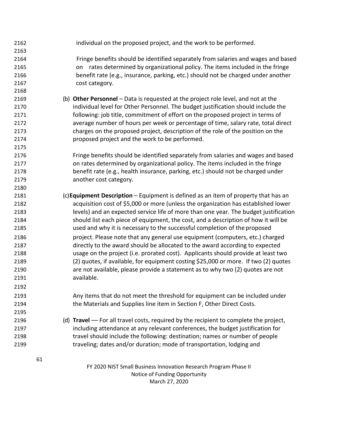FY 2020 NIST Small Business Innovation Research Program Phase II Notice of Funding Opportunity March 27, 2020 individual on the proposed project, and the work to be performed. Fringe benefits should be identified separately from salaries and wages and based on rates determined by organizational policy. The items included in the fringe benefit rate (e.g., insurance, parking, etc.) should not be charged under another 2167 cost category. (b) **Other Personnel** – Data is requested at the project role level, and not at the individual level for Other Personnel. The budget justification should include the following: job title, commitment of effort on the proposed project in terms of average number of hours per week or percentage of time, salary rate, total direct charges on the proposed project, description of the role of the position on the proposed project and the work to be performed. Fringe benefits should be identified separately from salaries and wages and based on rates determined by organizational policy. The items included in the fringe benefit rate (e.g., health insurance, parking, etc.) should not be charged under another cost category. (c)**Equipment Description** – Equipment is defined as an item of property that has an acquisition cost of \$5,000 or more (unless the organization has established lower levels) and an expected service life of more than one year. The budget justification should list each piece of equipment, the cost, and a description of how it will be used and why it is necessary to the successful completion of the proposed project. Please note that any general use equipment (computers, etc.) charged directly to the award should be allocated to the award according to expected usage on the project (i.e. prorated cost). Applicants should provide at least two (2) quotes, if available, for equipment costing \$25,000 or more. If two (2) quotes are not available, please provide a statement as to why two (2) quotes are not available. Any items that do not meet the threshold for equipment can be included under the Materials and Supplies line item in Section F, Other Direct Costs. 2196 (d) **Travel** — For all travel costs, required by the recipient to complete the project, including attendance at any relevant conferences, the budget justification for travel should include the following: destination; names or number of people traveling; dates and/or duration; mode of transportation, lodging and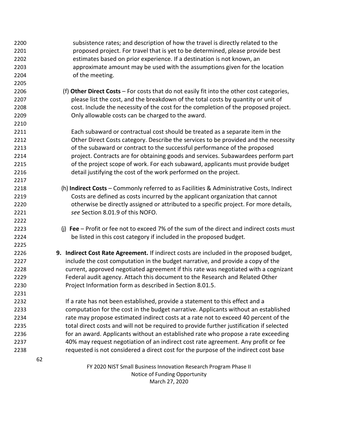| 2200 | subsistence rates; and description of how the travel is directly related to the           |
|------|-------------------------------------------------------------------------------------------|
| 2201 | proposed project. For travel that is yet to be determined, please provide best            |
| 2202 | estimates based on prior experience. If a destination is not known, an                    |
| 2203 | approximate amount may be used with the assumptions given for the location                |
| 2204 | of the meeting.                                                                           |
| 2205 |                                                                                           |
| 2206 | (f) Other Direct Costs - For costs that do not easily fit into the other cost categories, |
| 2207 | please list the cost, and the breakdown of the total costs by quantity or unit of         |
| 2208 | cost. Include the necessity of the cost for the completion of the proposed project.       |
| 2209 | Only allowable costs can be charged to the award.                                         |
| 2210 |                                                                                           |
| 2211 | Each subaward or contractual cost should be treated as a separate item in the             |
| 2212 | Other Direct Costs category. Describe the services to be provided and the necessity       |
| 2213 | of the subaward or contract to the successful performance of the proposed                 |
| 2214 | project. Contracts are for obtaining goods and services. Subawardees perform part         |
| 2215 | of the project scope of work. For each subaward, applicants must provide budget           |
| 2216 | detail justifying the cost of the work performed on the project.                          |
| 2217 |                                                                                           |
| 2218 | (h) Indirect Costs - Commonly referred to as Facilities & Administrative Costs, Indirect  |
| 2219 | Costs are defined as costs incurred by the applicant organization that cannot             |
| 2220 | otherwise be directly assigned or attributed to a specific project. For more details,     |
| 2221 | see Section 8.01.9 of this NOFO.                                                          |
| 2222 |                                                                                           |
| 2223 | (j) Fee – Profit or fee not to exceed 7% of the sum of the direct and indirect costs must |
| 2224 | be listed in this cost category if included in the proposed budget.                       |
| 2225 |                                                                                           |
| 2226 | 9. Indirect Cost Rate Agreement. If indirect costs are included in the proposed budget,   |
| 2227 | include the cost computation in the budget narrative, and provide a copy of the           |
| 2228 | current, approved negotiated agreement if this rate was negotiated with a cognizant       |
| 2229 | Federal audit agency. Attach this document to the Research and Related Other              |
| 2230 | Project Information form as described in Section 8.01.5.                                  |
| 2231 |                                                                                           |
| 2232 | If a rate has not been established, provide a statement to this effect and a              |
| 2233 | computation for the cost in the budget narrative. Applicants without an established       |
| 2234 | rate may propose estimated indirect costs at a rate not to exceed 40 percent of the       |
| 2235 | total direct costs and will not be required to provide further justification if selected  |
| 2236 | for an award. Applicants without an established rate who propose a rate exceeding         |
| 2237 | 40% may request negotiation of an indirect cost rate agreement. Any profit or fee         |
|      |                                                                                           |
| 2238 | requested is not considered a direct cost for the purpose of the indirect cost base       |
|      | 62                                                                                        |
|      | FY 2020 NIST Small Business Innovation Research Program Phase II                          |
|      | Notice of Funding Opportunity                                                             |

March 27, 2020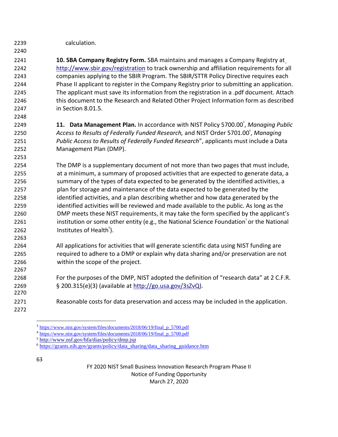calculation.

 **10. SBA Company Registry Form.** SBA maintains and manages a Company Registry a[t](http://www.sbir.gov/registration) <http://www.sbir.gov/registration> to track ownership and affiliation requirements for all companies applying to the SBIR Program. The SBIR/STTR Policy Directive requires each Phase II applicant to register in the Company Registry prior to submitting an application. The applicant must save its information from the registration in a .pdf document. Attach this document to the Research and Related Other Project Information form as described in Section 8.01.5.

**11. Data Management Plan.** In accordance with NIST Policy 5700.00<sup>3</sup>, Managing Public 2250 Access to Results of Federally Funded Research, and NIST Order 5701.00<sup>4</sup>, Managing *Public Access to Results of Federally Funded Research*", applicants must include a Data Management Plan (DMP).

 The DMP is a supplementary document of not more than two pages that must include, at a minimum, a summary of proposed activities that are expected to generate data, a 2256 summary of the types of data expected to be generated by the identified activities, a plan for storage and maintenance of the data expected to be generated by the identified activities, and a plan describing whether and how data generated by the identified activities will be reviewed and made available to the public. As long as the DMP meets these NIST requirements, it may take the form specified by the applicant's **institution or some other entity (e.g., the National Science Foundation** or the National **Institutes of Health** $^{\circ}$ ).

 All applications for activities that will generate scientific data using NIST funding are required to adhere to a DMP or explain why data sharing and/or preservation are not within the scope of the project.

- For the purposes of the DMP, NIST adopted the definition of "research data" at 2 C.F.R. § 200.315(e)(3) (available at [http://go.usa.gov/3sZvQ\)](http://go.usa.gov/3sZvQ).
- Reasonable costs for data preservation and access may be included in the application.
- 

<sup>&</sup>lt;sup>3</sup> [https://www.nist.gov/system/files/documents/2018/06/19/final\\_p\\_5700.pdf](https://www.nist.gov/system/files/documents/2018/06/19/final_p_5700.pdf)

<sup>&</sup>lt;sup>4</sup> [https://www.nist.gov/system/files/documents/2018/06/19/final\\_p\\_5700.pdf](https://www.nist.gov/system/files/documents/2018/06/19/final_p_5700.pdf)

<http://www.nsf.gov/bfa/dias/policy/dmp.jsp>

[https://grants.nih.gov/grants/policy/data\\_sharing/data\\_sharing\\_guidance.htm](https://grants.nih.gov/grants/policy/data_sharing/data_sharing_guidance.htm)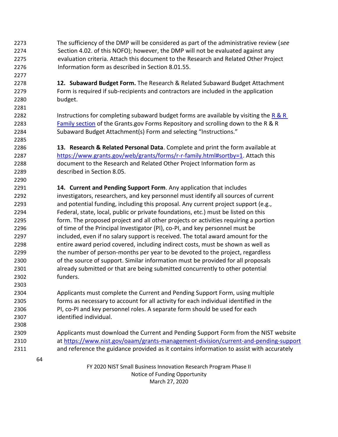- The sufficiency of the DMP will be considered as part of the administrative review (*see*  Section 4.02. of this NOFO); however, the DMP will not be evaluated against any evaluation criteria. Attach this document to the Research and Related Other Project Information form as described in Section 8.01.55.
- **12. Subaward Budget Form.** The Research & Related Subaward Budget Attachment Form is required if sub-recipients and contractors are included in the application budget.

2282 Instructions for completing subaward budget forms are available by visiting the R  $\&$  R [Family section](https://www.grants.gov/forms/r-r-family.html) of the Grants.gov Forms Repository and scrolling down to the R & R Subaward Budget Attachment(s) Form and selecting "Instructions."

 **13. Research & Related Personal Data**. Complete and print the form available at [https://www.grants.gov/web/grants/forms/r-r-family.html#sortby=1.](https://www.grants.gov/web/grants/forms/r-r-family.html#sortby=1) Attach this document to the Research and Related Other Project Information form as described in Section 8.05.

 **14. Current and Pending Support Form**. Any application that includes investigators, researchers, and key personnel must identify all sources of current and potential funding, including this proposal. Any current project support (e.g., Federal, state, local, public or private foundations, etc.) must be listed on this form. The proposed project and all other projects or activities requiring a portion of time of the Principal Investigator (PI), co-PI, and key personnel must be included, even if no salary support is received. The total award amount for the entire award period covered, including indirect costs, must be shown as well as the number of person-months per year to be devoted to the project, regardless of the source of support. Similar information must be provided for all proposals already submitted or that are being submitted concurrently to other potential funders.

 Applicants must complete the Current and Pending Support Form, using multiple forms as necessary to account for all activity for each individual identified in the PI, co-PI and key personnel roles. A separate form should be used for each identified individual.

 Applicants must download the Current and Pending Support Form from the NIST website at <https://www.nist.gov/oaam/grants-management-division/current-and-pending-support> and reference the guidance provided as it contains information to assist with accurately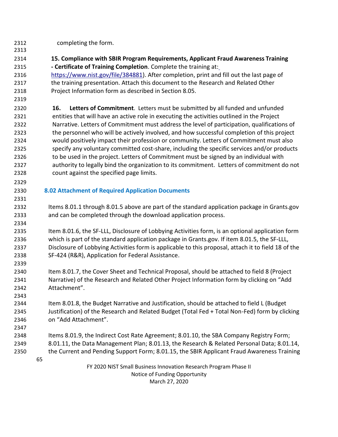- completing the form.
- **15. Compliance with SBIR Program Requirements, Applicant Fraud Awareness Training - Certificate of Training Completion**. Complete the training at:
- [https://www.nist.gov/file/384881\)](https://www.nist.gov/file/384881). After completion, print and fill out the last page of the training presentation. Attach this document to the Research and Related Other Project Information form as described in Section 8.05.
- 

 **16. Letters of Commitment**. Letters must be submitted by all funded and unfunded entities that will have an active role in executing the activities outlined in the Project Narrative. Letters of Commitment must address the level of participation, qualifications of the personnel who will be actively involved, and how successful completion of this project would positively impact their profession or community. Letters of Commitment must also specify any voluntary committed cost-share, including the specific services and/or products 2326 to be used in the project. Letters of Commitment must be signed by an individual with authority to legally bind the organization to its commitment. Letters of commitment do not count against the specified page limits.

## **8.02 Attachment of Required Application Documents**

 Items 8.01.1 through 8.01.5 above are part of the standard application package in Grants.gov and can be completed through the download application process.

 Item 8.01.6, the SF-LLL, Disclosure of Lobbying Activities form, is an optional application form which is part of the standard application package in Grants.gov. If item 8.01.5, the SF-LLL, Disclosure of Lobbying Activities form is applicable to this proposal, attach it to field 18 of the SF-424 (R&R), Application for Federal Assistance.

 Item 8.01.7, the Cover Sheet and Technical Proposal, should be attached to field 8 (Project Narrative) of the Research and Related Other Project Information form by clicking on "Add Attachment".

 Item 8.01.8, the Budget Narrative and Justification, should be attached to field L (Budget Justification) of the Research and Related Budget (Total Fed + Total Non-Fed) form by clicking on "Add Attachment".

 Items 8.01.9, the Indirect Cost Rate Agreement; 8.01.10, the SBA Company Registry Form; 8.01.11, the Data Management Plan; 8.01.13, the Research & Related Personal Data; 8.01.14, the Current and Pending Support Form; 8.01.15, the SBIR Applicant Fraud Awareness Training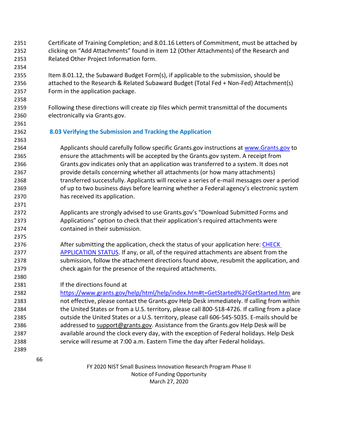- Certificate of Training Completion; and 8.01.16 Letters of Commitment, must be attached by clicking on "Add Attachments" found in item 12 (Other Attachments) of the Research and Related Other Project Information form.
- Item 8.01.12, the Subaward Budget Form(s), if applicable to the submission, should be attached to the Research & Related Subaward Budget (Total Fed + Non-Fed) Attachment(s) Form in the application package.
- Following these directions will create zip files which permit transmittal of the documents electronically via Grants.gov.
- **8.03 Verifying the Submission and Tracking the Application**
- Applicants should carefully follow specific Grants.gov instructions at [www.Grants.gov](http://www.grants.gov/) to ensure the attachments will be accepted by the Grants.gov system. A receipt from Grants.gov indicates only that an application was transferred to a system. It does not provide details concerning whether all attachments (or how many attachments) transferred successfully. Applicants will receive a series of e-mail messages over a period of up to two business days before learning whether a Federal agency's electronic system has received its application.
- Applicants are strongly advised to use Grants.gov's "Download Submitted Forms and Applications" option to check that their application's required attachments were contained in their submission.
- 2376 After submitting the application, check the status of your application here: CHECK [APPLICATION STATUS.](https://www.grants.gov/help/html/help/index.htm#t=Applicants%2FCheckApplicationStatus%2FCheckApplicationStatus.htm) If any, or all, of the required attachments are absent from the submission, follow the attachment directions found above, resubmit the application, and check again for the presence of the required attachments.
- If the directions found at
- <https://www.grants.gov/help/html/help/index.htm#t=GetStarted%2FGetStarted.htm> are not effective, please contact the Grants.gov Help Desk immediately. If calling from within the United States or from a U.S. territory, please call 800-518-4726. If calling from a place outside the United States or a U.S. territory, please call 606-545-5035. E-mails should be 2386 addressed to [support@grants.gov.](mailto:support@grants.gov) Assistance from the Grants.gov Help Desk will be available around the clock every day, with the exception of Federal holidays. Help Desk service will resume at 7:00 a.m. Eastern Time the day after Federal holidays.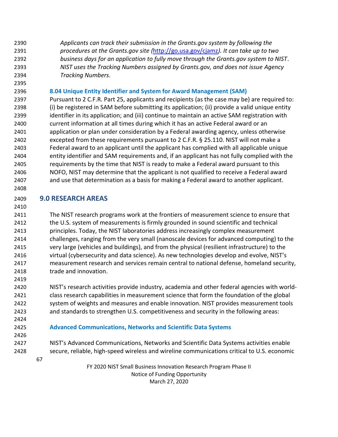*Applicants can track their submission in the Grants.gov system by following the procedures at the Grants.gov site (*<http://go.usa.gov/cjamz>*). It can take up to two business days for an application to fully move through the Grants.gov system to NIST*. *NIST uses the Tracking Numbers assigned by Grants.gov, and does not issue Agency Tracking Numbers.*

**8.04 Unique Entity Identifier and System for Award Management (SAM)**

 Pursuant to 2 C.F.R. Part 25, applicants and recipients (as the case may be) are required to: (i) be registered in SAM before submitting its application; (ii) provide a valid unique entity identifier in its application; and (iii) continue to maintain an active SAM registration with current information at all times during which it has an active Federal award or an application or plan under consideration by a Federal awarding agency, unless otherwise excepted from these requirements pursuant to 2 C.F.R. § 25.110. NIST will not make a Federal award to an applicant until the applicant has complied with all applicable unique entity identifier and SAM requirements and, if an applicant has not fully complied with the requirements by the time that NIST is ready to make a Federal award pursuant to this NOFO, NIST may determine that the applicant is not qualified to receive a Federal award and use that determination as a basis for making a Federal award to another applicant.

# **9.0 RESEARCH AREAS**

 The NIST research programs work at the frontiers of measurement science to ensure that the U.S. system of measurements is firmly grounded in sound scientific and technical principles. Today, the NIST laboratories address increasingly complex measurement challenges, ranging from the very small (nanoscale devices for advanced computing) to the very large (vehicles and buildings), and from the physical (resilient infrastructure) to the virtual (cybersecurity and data science). As new technologies develop and evolve, NIST's measurement research and services remain central to national defense, homeland security, 2418 trade and innovation.

 NIST's research activities provide industry, academia and other federal agencies with world- class research capabilities in measurement science that form the foundation of the global system of weights and measures and enable innovation. NIST provides measurement tools and standards to strengthen U.S. competitiveness and security in the following areas:

#### **Advanced Communications, Networks and Scientific Data Systems**

- NIST's Advanced Communications, Networks and Scientific Data Systems activities enable secure, reliable, high-speed wireless and wireline communications critical to U.S. economic
	-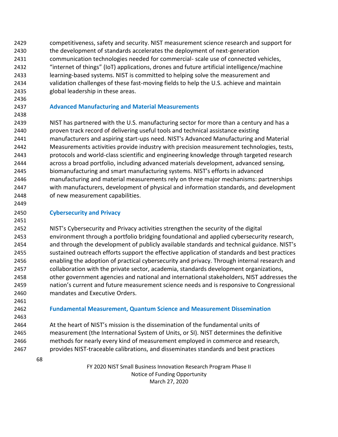competitiveness, safety and security. NIST measurement science research and support for the development of standards accelerates the deployment of next-generation communication technologies needed for commercial- scale use of connected vehicles, "internet of things" (IoT) applications, drones and future artificial intelligence/machine learning-based systems. NIST is committed to helping solve the measurement and validation challenges of these fast-moving fields to help the U.S. achieve and maintain global leadership in these areas.

# **Advanced Manufacturing and Material Measurements**

 NIST has partnered with the U.S. manufacturing sector for more than a century and has a proven track record of delivering useful tools and technical assistance existing manufacturers and aspiring start-ups need. NIST's Advanced Manufacturing and Material Measurements activities provide industry with precision measurement technologies, tests, protocols and world-class scientific and engineering knowledge through targeted research across a broad portfolio, including advanced materials development, advanced sensing, biomanufacturing and smart manufacturing systems. NIST's efforts in advanced manufacturing and material measurements rely on three major mechanisms: partnerships with manufacturers, development of physical and information standards, and development of new measurement capabilities.

## **Cybersecurity and Privacy**

 NIST's Cybersecurity and Privacy activities strengthen the security of the digital environment through a portfolio bridging foundational and applied cybersecurity research, and through the development of publicly available standards and technical guidance. NIST's sustained outreach efforts support the effective application of standards and best practices enabling the adoption of practical cybersecurity and privacy. Through internal research and collaboration with the private sector, academia, standards development organizations, other government agencies and national and international stakeholders, NIST addresses the nation's current and future measurement science needs and is responsive to Congressional mandates and Executive Orders.

 

#### **Fundamental Measurement, Quantum Science and Measurement Dissemination**

 At the heart of NIST's mission is the dissemination of the fundamental units of measurement (the International System of Units, or SI). NIST determines the definitive methods for nearly every kind of measurement employed in commerce and research, provides NIST-traceable calibrations, and disseminates standards and best practices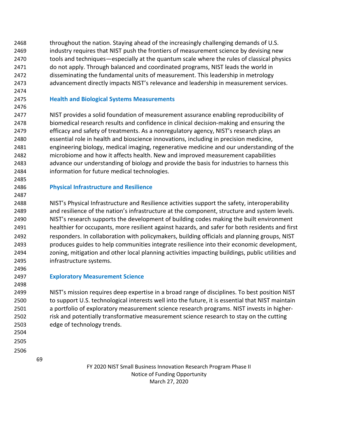2468 throughout the nation. Staying ahead of the increasingly challenging demands of U.S. industry requires that NIST push the frontiers of measurement science by devising new tools and techniques—especially at the quantum scale where the rules of classical physics do not apply. Through balanced and coordinated programs, NIST leads the world in disseminating the fundamental units of measurement. This leadership in metrology advancement directly impacts NIST's relevance and leadership in measurement services.

#### **Health and Biological Systems Measurements**

 NIST provides a solid foundation of measurement assurance enabling reproducibility of biomedical research results and confidence in clinical decision-making and ensuring the efficacy and safety of treatments. As a nonregulatory agency, NIST's research plays an essential role in health and bioscience innovations, including in precision medicine, engineering biology, medical imaging, regenerative medicine and our understanding of the microbiome and how it affects health. New and improved measurement capabilities advance our understanding of biology and provide the basis for industries to harness this information for future medical technologies.

#### **Physical Infrastructure and Resilience**

 NIST's Physical Infrastructure and Resilience activities support the safety, interoperability and resilience of the nation's infrastructure at the component, structure and system levels. NIST's research supports the development of building codes making the built environment healthier for occupants, more resilient against hazards, and safer for both residents and first responders. In collaboration with policymakers, building officials and planning groups, NIST produces guides to help communities integrate resilience into their economic development, zoning, mitigation and other local planning activities impacting buildings, public utilities and infrastructure systems.

**Exploratory Measurement Science**

 NIST's mission requires deep expertise in a broad range of disciplines. To best position NIST to support U.S. technological interests well into the future, it is essential that NIST maintain a portfolio of exploratory measurement science research programs. NIST invests in higher- risk and potentially transformative measurement science research to stay on the cutting edge of technology trends.

- 
- -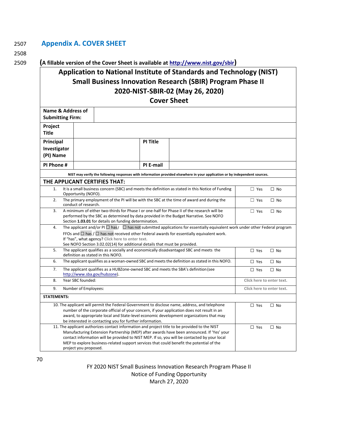## 2507 **Appendix A. COVER SHEET**

2508

#### 2509 **(A fillable version of the Cover Sheet is available at<http://www.nist.gov/sbir>)**

# **Application to National Institute of Standards and Technology (NIST) Small Business Innovation Research (SBIR) Program Phase II 2020-NIST-SBIR-02 (May 26, 2020)**

**Cover Sheet**

| טו טווככו                                                                                                                                                                              |                                                                                                                                              |                                                                                                                                                                                                 |           |                                                                                                                                                                                          |                           |                           |
|----------------------------------------------------------------------------------------------------------------------------------------------------------------------------------------|----------------------------------------------------------------------------------------------------------------------------------------------|-------------------------------------------------------------------------------------------------------------------------------------------------------------------------------------------------|-----------|------------------------------------------------------------------------------------------------------------------------------------------------------------------------------------------|---------------------------|---------------------------|
| Name & Address of                                                                                                                                                                      |                                                                                                                                              |                                                                                                                                                                                                 |           |                                                                                                                                                                                          |                           |                           |
| <b>Submitting Firm:</b>                                                                                                                                                                |                                                                                                                                              |                                                                                                                                                                                                 |           |                                                                                                                                                                                          |                           |                           |
| Project                                                                                                                                                                                |                                                                                                                                              |                                                                                                                                                                                                 |           |                                                                                                                                                                                          |                           |                           |
| <b>Title</b>                                                                                                                                                                           |                                                                                                                                              |                                                                                                                                                                                                 |           |                                                                                                                                                                                          |                           |                           |
| Principal                                                                                                                                                                              |                                                                                                                                              |                                                                                                                                                                                                 | PI Title  |                                                                                                                                                                                          |                           |                           |
| Investigator                                                                                                                                                                           |                                                                                                                                              |                                                                                                                                                                                                 |           |                                                                                                                                                                                          |                           |                           |
| (PI) Name                                                                                                                                                                              |                                                                                                                                              |                                                                                                                                                                                                 |           |                                                                                                                                                                                          |                           |                           |
| PI Phone #                                                                                                                                                                             |                                                                                                                                              |                                                                                                                                                                                                 | PI E-mail |                                                                                                                                                                                          |                           |                           |
|                                                                                                                                                                                        |                                                                                                                                              |                                                                                                                                                                                                 |           | NIST may verify the following responses with information provided elsewhere in your application or by independent sources.                                                               |                           |                           |
|                                                                                                                                                                                        |                                                                                                                                              | THE APPLICANT CERTIFIES THAT:                                                                                                                                                                   |           |                                                                                                                                                                                          |                           |                           |
| 1.                                                                                                                                                                                     | Opportunity (NOFO).                                                                                                                          |                                                                                                                                                                                                 |           | It is a small business concern (SBC) and meets the definition as stated in this Notice of Funding                                                                                        | $\Box$ Yes                | $\Box$ No                 |
| 2.                                                                                                                                                                                     | The primary employment of the PI will be with the SBC at the time of award and during the<br>$\Box$ Yes<br>$\Box$ No<br>conduct of research. |                                                                                                                                                                                                 |           |                                                                                                                                                                                          |                           |                           |
| 3.                                                                                                                                                                                     |                                                                                                                                              |                                                                                                                                                                                                 |           | A minimum of either two-thirds for Phase I or one-half for Phase II of the research will be                                                                                              | $\Box$ Yes                | $\Box$ No                 |
|                                                                                                                                                                                        |                                                                                                                                              | Section 1.03.01 for details on funding determination.                                                                                                                                           |           | performed by the SBC as determined by data provided in the Budget Narrative. See NOFO                                                                                                    |                           |                           |
| 4.                                                                                                                                                                                     |                                                                                                                                              |                                                                                                                                                                                                 |           | The applicant and/or PI $\Box$ has $\Box$ has not submitted applications for essentially equivalent work under other Federal program                                                     |                           |                           |
|                                                                                                                                                                                        |                                                                                                                                              |                                                                                                                                                                                                 |           | FFOs and $\Box$ has $/\Box$ has not received other Federal awards for essentially equivalent work.                                                                                       |                           |                           |
|                                                                                                                                                                                        |                                                                                                                                              | If "has", what agency? Click here to enter text.                                                                                                                                                |           |                                                                                                                                                                                          |                           |                           |
| 5.                                                                                                                                                                                     |                                                                                                                                              | See NOFO Section 3.02.02(14) for additional details that must be provided.<br>The applicant qualifies as a socially and economically disadvantaged SBC and meets the<br>$\Box$ Yes<br>$\Box$ No |           |                                                                                                                                                                                          |                           |                           |
|                                                                                                                                                                                        |                                                                                                                                              | definition as stated in this NOFO.                                                                                                                                                              |           |                                                                                                                                                                                          |                           |                           |
| 6.                                                                                                                                                                                     |                                                                                                                                              |                                                                                                                                                                                                 |           | The applicant qualifies as a woman-owned SBC and meets the definition as stated in this NOFO.                                                                                            | $\square$ Yes             | $\Box$ No                 |
| 7.                                                                                                                                                                                     |                                                                                                                                              | http://www.sba.gov/hubzone).                                                                                                                                                                    |           | The applicant qualifies as a HUBZone-owned SBC and meets the SBA's definition (see                                                                                                       | $\Box$ Yes                | $\Box$ No                 |
| 8.                                                                                                                                                                                     | Year SBC founded:                                                                                                                            |                                                                                                                                                                                                 |           |                                                                                                                                                                                          |                           | Click here to enter text. |
| 9.                                                                                                                                                                                     |                                                                                                                                              | Number of Employees:                                                                                                                                                                            |           |                                                                                                                                                                                          | Click here to enter text. |                           |
| <b>STATEMENTS:</b>                                                                                                                                                                     |                                                                                                                                              |                                                                                                                                                                                                 |           |                                                                                                                                                                                          |                           |                           |
|                                                                                                                                                                                        |                                                                                                                                              |                                                                                                                                                                                                 |           | 10. The applicant will permit the Federal Government to disclose name, address, and telephone                                                                                            | $\Box$ Yes                | $\Box$ No                 |
| number of the corporate official of your concern, if your application does not result in an<br>award, to appropriate local and State-level economic development organizations that may |                                                                                                                                              |                                                                                                                                                                                                 |           |                                                                                                                                                                                          |                           |                           |
|                                                                                                                                                                                        |                                                                                                                                              | be interested in contacting you for further information.                                                                                                                                        |           |                                                                                                                                                                                          |                           |                           |
|                                                                                                                                                                                        |                                                                                                                                              |                                                                                                                                                                                                 |           | 11. The applicant authorizes contact information and project title to be provided to the NIST                                                                                            | $\Box$ Yes                | $\Box$ No                 |
|                                                                                                                                                                                        |                                                                                                                                              |                                                                                                                                                                                                 |           | Manufacturing Extension Partnership (MEP) after awards have been announced. If 'Yes' your                                                                                                |                           |                           |
|                                                                                                                                                                                        |                                                                                                                                              |                                                                                                                                                                                                 |           | contact information will be provided to NIST MEP. If so, you will be contacted by your local<br>MEP to explore business-related support services that could benefit the potential of the |                           |                           |
|                                                                                                                                                                                        | project you proposed.                                                                                                                        |                                                                                                                                                                                                 |           |                                                                                                                                                                                          |                           |                           |
|                                                                                                                                                                                        |                                                                                                                                              |                                                                                                                                                                                                 |           |                                                                                                                                                                                          |                           |                           |

70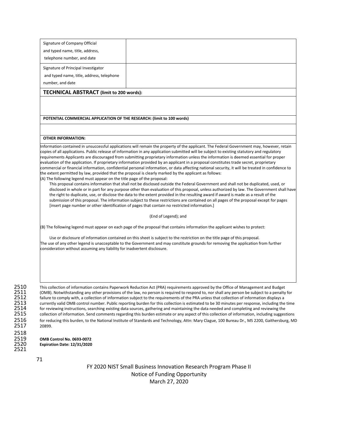| Signature of Company Official                                            |                                                                                                                                                                                                                                                                                                                                                                                                                                                                                                                                                                                                                                                                                                                                                                                                                                                                                                                                                                                                                                                                                                                                                                                                                                                                                                                                                                    |
|--------------------------------------------------------------------------|--------------------------------------------------------------------------------------------------------------------------------------------------------------------------------------------------------------------------------------------------------------------------------------------------------------------------------------------------------------------------------------------------------------------------------------------------------------------------------------------------------------------------------------------------------------------------------------------------------------------------------------------------------------------------------------------------------------------------------------------------------------------------------------------------------------------------------------------------------------------------------------------------------------------------------------------------------------------------------------------------------------------------------------------------------------------------------------------------------------------------------------------------------------------------------------------------------------------------------------------------------------------------------------------------------------------------------------------------------------------|
| and typed name, title, address,                                          |                                                                                                                                                                                                                                                                                                                                                                                                                                                                                                                                                                                                                                                                                                                                                                                                                                                                                                                                                                                                                                                                                                                                                                                                                                                                                                                                                                    |
| telephone number, and date                                               |                                                                                                                                                                                                                                                                                                                                                                                                                                                                                                                                                                                                                                                                                                                                                                                                                                                                                                                                                                                                                                                                                                                                                                                                                                                                                                                                                                    |
| Signature of Principal Investigator                                      |                                                                                                                                                                                                                                                                                                                                                                                                                                                                                                                                                                                                                                                                                                                                                                                                                                                                                                                                                                                                                                                                                                                                                                                                                                                                                                                                                                    |
| and typed name, title, address, telephone                                |                                                                                                                                                                                                                                                                                                                                                                                                                                                                                                                                                                                                                                                                                                                                                                                                                                                                                                                                                                                                                                                                                                                                                                                                                                                                                                                                                                    |
| number, and date                                                         |                                                                                                                                                                                                                                                                                                                                                                                                                                                                                                                                                                                                                                                                                                                                                                                                                                                                                                                                                                                                                                                                                                                                                                                                                                                                                                                                                                    |
| TECHNICAL ABSTRACT (limit to 200 words):                                 |                                                                                                                                                                                                                                                                                                                                                                                                                                                                                                                                                                                                                                                                                                                                                                                                                                                                                                                                                                                                                                                                                                                                                                                                                                                                                                                                                                    |
|                                                                          |                                                                                                                                                                                                                                                                                                                                                                                                                                                                                                                                                                                                                                                                                                                                                                                                                                                                                                                                                                                                                                                                                                                                                                                                                                                                                                                                                                    |
|                                                                          |                                                                                                                                                                                                                                                                                                                                                                                                                                                                                                                                                                                                                                                                                                                                                                                                                                                                                                                                                                                                                                                                                                                                                                                                                                                                                                                                                                    |
| POTENTIAL COMMERCIAL APPLICATION OF THE RESEARCH: (limit to 100 words)   |                                                                                                                                                                                                                                                                                                                                                                                                                                                                                                                                                                                                                                                                                                                                                                                                                                                                                                                                                                                                                                                                                                                                                                                                                                                                                                                                                                    |
|                                                                          |                                                                                                                                                                                                                                                                                                                                                                                                                                                                                                                                                                                                                                                                                                                                                                                                                                                                                                                                                                                                                                                                                                                                                                                                                                                                                                                                                                    |
| <b>OTHER INFORMATION:</b>                                                |                                                                                                                                                                                                                                                                                                                                                                                                                                                                                                                                                                                                                                                                                                                                                                                                                                                                                                                                                                                                                                                                                                                                                                                                                                                                                                                                                                    |
| (A) The following legend must appear on the title page of the proposal:  | copies of all applications. Public release of information in any application submitted will be subject to existing statutory and regulatory<br>requirements Applicants are discouraged from submitting proprietary information unless the information is deemed essential for proper<br>evaluation of the application. If proprietary information provided by an applicant in a proposal constitutes trade secret, proprietary<br>commercial or financial information, confidential personal information, or data affecting national security, it will be treated in confidence to<br>the extent permitted by law, provided that the proposal is clearly marked by the applicant as follows:<br>This proposal contains information that shall not be disclosed outside the Federal Government and shall not be duplicated, used, or<br>disclosed in whole or in part for any purpose other than evaluation of this proposal, unless authorized by law. The Government shall have<br>the right to duplicate, use, or disclose the data to the extent provided in the resulting award if award is made as a result of the<br>submission of this proposal. The information subject to these restrictions are contained on all pages of the proposal except for pages<br>[insert page number or other identification of pages that contain no restricted information.] |
|                                                                          | (End of Legend); and                                                                                                                                                                                                                                                                                                                                                                                                                                                                                                                                                                                                                                                                                                                                                                                                                                                                                                                                                                                                                                                                                                                                                                                                                                                                                                                                               |
|                                                                          | (B) The following legend must appear on each page of the proposal that contains information the applicant wishes to protect:                                                                                                                                                                                                                                                                                                                                                                                                                                                                                                                                                                                                                                                                                                                                                                                                                                                                                                                                                                                                                                                                                                                                                                                                                                       |
| consideration without assuming any liability for inadvertent disclosure. | Use or disclosure of information contained on this sheet is subject to the restriction on the title page of this proposal.<br>The use of any other legend is unacceptable to the Government and may constitute grounds for removing the application from further                                                                                                                                                                                                                                                                                                                                                                                                                                                                                                                                                                                                                                                                                                                                                                                                                                                                                                                                                                                                                                                                                                   |
|                                                                          | This collection of information contains Paperwork Reduction Act (PRA) requirements approved by the Office of Management and Budget<br>(OMB). Notwithstanding any other provisions of the law, no person is required to respond to, nor shall any person be subject to a penalty for<br>failure to comply with, a collection of information subject to the requirements of the PRA unless that collection of information displays a<br>currently valid OMB control number. Public reporting burden for this collection is estimated to be 30 minutes per response, including the time                                                                                                                                                                                                                                                                                                                                                                                                                                                                                                                                                                                                                                                                                                                                                                               |
|                                                                          | for reviewing instructions, searching existing data sources, gathering and maintaining the data needed and completing and reviewing the<br>collection of information. Send comments regarding this burden estimate or any aspect of this collection of information, including suggestions                                                                                                                                                                                                                                                                                                                                                                                                                                                                                                                                                                                                                                                                                                                                                                                                                                                                                                                                                                                                                                                                          |
| 20899.                                                                   | for reducing this burden, to the National Institute of Standards and Technology, Attn: Mary Clague, 100 Bureau Dr., MS 2200, Gaithersburg, MD                                                                                                                                                                                                                                                                                                                                                                                                                                                                                                                                                                                                                                                                                                                                                                                                                                                                                                                                                                                                                                                                                                                                                                                                                      |
| <b>OMB Control No. 0693-0072</b>                                         |                                                                                                                                                                                                                                                                                                                                                                                                                                                                                                                                                                                                                                                                                                                                                                                                                                                                                                                                                                                                                                                                                                                                                                                                                                                                                                                                                                    |
| Expiration Date: 12/31/2020                                              |                                                                                                                                                                                                                                                                                                                                                                                                                                                                                                                                                                                                                                                                                                                                                                                                                                                                                                                                                                                                                                                                                                                                                                                                                                                                                                                                                                    |

 $\frac{2516}{2517}$ 

2521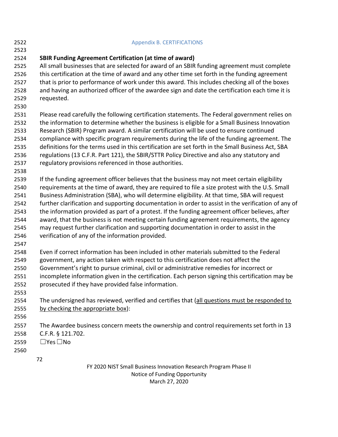| 2522 | <b>Appendix B. CERTIFICATIONS</b>                                                                   |
|------|-----------------------------------------------------------------------------------------------------|
| 2523 |                                                                                                     |
| 2524 | <b>SBIR Funding Agreement Certification (at time of award)</b>                                      |
| 2525 | All small businesses that are selected for award of an SBIR funding agreement must complete         |
| 2526 | this certification at the time of award and any other time set forth in the funding agreement       |
| 2527 | that is prior to performance of work under this award. This includes checking all of the boxes      |
| 2528 | and having an authorized officer of the awardee sign and date the certification each time it is     |
| 2529 | requested.                                                                                          |
| 2530 |                                                                                                     |
| 2531 | Please read carefully the following certification statements. The Federal government relies on      |
| 2532 | the information to determine whether the business is eligible for a Small Business Innovation       |
| 2533 | Research (SBIR) Program award. A similar certification will be used to ensure continued             |
| 2534 | compliance with specific program requirements during the life of the funding agreement. The         |
| 2535 | definitions for the terms used in this certification are set forth in the Small Business Act, SBA   |
| 2536 | regulations (13 C.F.R. Part 121), the SBIR/STTR Policy Directive and also any statutory and         |
| 2537 | regulatory provisions referenced in those authorities.                                              |
| 2538 |                                                                                                     |
| 2539 | If the funding agreement officer believes that the business may not meet certain eligibility        |
| 2540 | requirements at the time of award, they are required to file a size protest with the U.S. Small     |
| 2541 | Business Administration (SBA), who will determine eligibility. At that time, SBA will request       |
| 2542 | further clarification and supporting documentation in order to assist in the verification of any of |
| 2543 | the information provided as part of a protest. If the funding agreement officer believes, after     |
| 2544 | award, that the business is not meeting certain funding agreement requirements, the agency          |
| 2545 | may request further clarification and supporting documentation in order to assist in the            |
| 2546 | verification of any of the information provided.                                                    |
| 2547 |                                                                                                     |
| 2548 | Even if correct information has been included in other materials submitted to the Federal           |
| 2549 | government, any action taken with respect to this certification does not affect the                 |
| 2550 | Government's right to pursue criminal, civil or administrative remedies for incorrect or            |
| 2551 | incomplete information given in the certification. Each person signing this certification may be    |
| 2552 | prosecuted if they have provided false information.                                                 |
| 2553 |                                                                                                     |
| 2554 | The undersigned has reviewed, verified and certifies that (all questions must be responded to       |
| 2555 | by checking the appropriate box):                                                                   |
| 2556 |                                                                                                     |
| 2557 | The Awardee business concern meets the ownership and control requirements set forth in 13           |
| 2558 | C.F.R. § 121.702.                                                                                   |
| 2559 | $\Box$ Yes $\Box$ No                                                                                |
| 2560 |                                                                                                     |
|      | 72                                                                                                  |
|      | FY 2020 NIST Small Business Innovation Research Program Phase II                                    |

Notice of Funding Opportunity March 27, 2020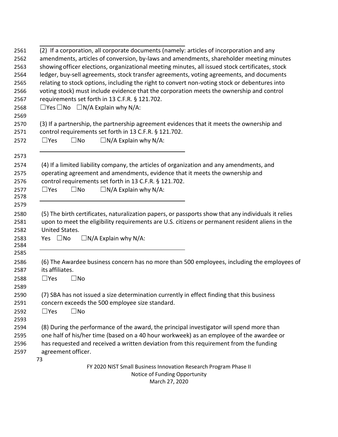| (2) If a corporation, all corporate documents (namely: articles of incorporation and any<br>amendments, articles of conversion, by-laws and amendments, shareholder meeting minutes<br>showing officer elections, organizational meeting minutes, all issued stock certificates, stock<br>ledger, buy-sell agreements, stock transfer agreements, voting agreements, and documents<br>relating to stock options, including the right to convert non-voting stock or debentures into<br>voting stock) must include evidence that the corporation meets the ownership and control<br>requirements set forth in 13 C.F.R. § 121.702.<br>$\Box$ Yes $\Box$ No $\Box$ N/A Explain why N/A: |                                                                                                                                                                                                                                                                                                    |  |  |  |  |  |  |  |  |  |
|---------------------------------------------------------------------------------------------------------------------------------------------------------------------------------------------------------------------------------------------------------------------------------------------------------------------------------------------------------------------------------------------------------------------------------------------------------------------------------------------------------------------------------------------------------------------------------------------------------------------------------------------------------------------------------------|----------------------------------------------------------------------------------------------------------------------------------------------------------------------------------------------------------------------------------------------------------------------------------------------------|--|--|--|--|--|--|--|--|--|
|                                                                                                                                                                                                                                                                                                                                                                                                                                                                                                                                                                                                                                                                                       | (3) If a partnership, the partnership agreement evidences that it meets the ownership and<br>control requirements set forth in 13 C.F.R. § 121.702.<br>$\Box N/A$ Explain why N/A:<br>$\Box$ Yes<br>$\square$ No                                                                                   |  |  |  |  |  |  |  |  |  |
|                                                                                                                                                                                                                                                                                                                                                                                                                                                                                                                                                                                                                                                                                       | (4) If a limited liability company, the articles of organization and any amendments, and<br>operating agreement and amendments, evidence that it meets the ownership and<br>control requirements set forth in 13 C.F.R. § 121.702.<br>$\Box N/A$ Explain why N/A:<br>$\Box$ Yes<br>$\square$ No    |  |  |  |  |  |  |  |  |  |
|                                                                                                                                                                                                                                                                                                                                                                                                                                                                                                                                                                                                                                                                                       | (5) The birth certificates, naturalization papers, or passports show that any individuals it relies<br>upon to meet the eligibility requirements are U.S. citizens or permanent resident aliens in the<br>United States.<br>Yes $\square$ No<br>$\Box N/A$ Explain why N/A:                        |  |  |  |  |  |  |  |  |  |
|                                                                                                                                                                                                                                                                                                                                                                                                                                                                                                                                                                                                                                                                                       | (6) The Awardee business concern has no more than 500 employees, including the employees of<br>its affiliates.<br>$\Box$ Yes<br>$\square$ No                                                                                                                                                       |  |  |  |  |  |  |  |  |  |
|                                                                                                                                                                                                                                                                                                                                                                                                                                                                                                                                                                                                                                                                                       | (7) SBA has not issued a size determination currently in effect finding that this business<br>concern exceeds the 500 employee size standard.<br>$\Box$ Yes<br>$\square$ No                                                                                                                        |  |  |  |  |  |  |  |  |  |
|                                                                                                                                                                                                                                                                                                                                                                                                                                                                                                                                                                                                                                                                                       | (8) During the performance of the award, the principal investigator will spend more than<br>one half of his/her time (based on a 40 hour workweek) as an employee of the awardee or<br>has requested and received a written deviation from this requirement from the funding<br>agreement officer. |  |  |  |  |  |  |  |  |  |
|                                                                                                                                                                                                                                                                                                                                                                                                                                                                                                                                                                                                                                                                                       | 73<br>FY 2020 NIST Small Business Innovation Research Program Phase II<br>Notice of Funding Opportunity<br>March 27, 2020                                                                                                                                                                          |  |  |  |  |  |  |  |  |  |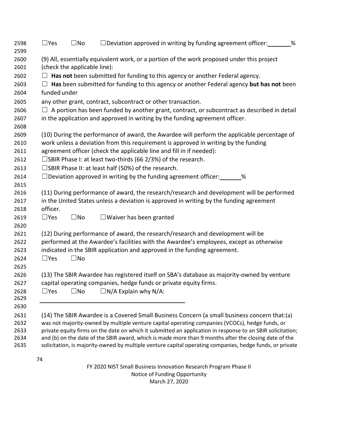| 2598<br>2599 | $\Box$ Yes                                                                                                                 | $\square$ No | $\Box$ Deviation approved in writing by funding agreement officer: $\Box$ %                                                                                                                                       |  |  |  |  |  |  |  |  |  |  |
|--------------|----------------------------------------------------------------------------------------------------------------------------|--------------|-------------------------------------------------------------------------------------------------------------------------------------------------------------------------------------------------------------------|--|--|--|--|--|--|--|--|--|--|
| 2600<br>2601 | (9) All, essentially equivalent work, or a portion of the work proposed under this project<br>(check the applicable line): |              |                                                                                                                                                                                                                   |  |  |  |  |  |  |  |  |  |  |
| 2602         | $\Box$ Has not been submitted for funding to this agency or another Federal agency.                                        |              |                                                                                                                                                                                                                   |  |  |  |  |  |  |  |  |  |  |
| 2603         | Has been submitted for funding to this agency or another Federal agency but has not been                                   |              |                                                                                                                                                                                                                   |  |  |  |  |  |  |  |  |  |  |
| 2604         | funded under                                                                                                               |              |                                                                                                                                                                                                                   |  |  |  |  |  |  |  |  |  |  |
| 2605         |                                                                                                                            |              | any other grant, contract, subcontract or other transaction.                                                                                                                                                      |  |  |  |  |  |  |  |  |  |  |
| 2606         | $\Box$ A portion has been funded by another grant, contract, or subcontract as described in detail                         |              |                                                                                                                                                                                                                   |  |  |  |  |  |  |  |  |  |  |
| 2607         |                                                                                                                            |              | in the application and approved in writing by the funding agreement officer.                                                                                                                                      |  |  |  |  |  |  |  |  |  |  |
| 2608         |                                                                                                                            |              |                                                                                                                                                                                                                   |  |  |  |  |  |  |  |  |  |  |
| 2609         |                                                                                                                            |              | (10) During the performance of award, the Awardee will perform the applicable percentage of                                                                                                                       |  |  |  |  |  |  |  |  |  |  |
| 2610         |                                                                                                                            |              | work unless a deviation from this requirement is approved in writing by the funding                                                                                                                               |  |  |  |  |  |  |  |  |  |  |
| 2611         |                                                                                                                            |              | agreement officer (check the applicable line and fill in if needed):                                                                                                                                              |  |  |  |  |  |  |  |  |  |  |
| 2612         |                                                                                                                            |              | $\square$ SBIR Phase I: at least two-thirds (66 2/3%) of the research.                                                                                                                                            |  |  |  |  |  |  |  |  |  |  |
| 2613         |                                                                                                                            |              | □SBIR Phase II: at least half (50%) of the research.                                                                                                                                                              |  |  |  |  |  |  |  |  |  |  |
| 2614         |                                                                                                                            |              | $\Box$ Deviation approved in writing by the funding agreement officer:<br>%                                                                                                                                       |  |  |  |  |  |  |  |  |  |  |
| 2615         |                                                                                                                            |              |                                                                                                                                                                                                                   |  |  |  |  |  |  |  |  |  |  |
| 2616         |                                                                                                                            |              | (11) During performance of award, the research/research and development will be performed                                                                                                                         |  |  |  |  |  |  |  |  |  |  |
| 2617         |                                                                                                                            |              | in the United States unless a deviation is approved in writing by the funding agreement                                                                                                                           |  |  |  |  |  |  |  |  |  |  |
| 2618         | officer.                                                                                                                   |              |                                                                                                                                                                                                                   |  |  |  |  |  |  |  |  |  |  |
| 2619         | $\Box$ Yes                                                                                                                 | $\square$ No | $\Box$ Waiver has been granted                                                                                                                                                                                    |  |  |  |  |  |  |  |  |  |  |
| 2620         |                                                                                                                            |              |                                                                                                                                                                                                                   |  |  |  |  |  |  |  |  |  |  |
| 2621<br>2622 |                                                                                                                            |              | (12) During performance of award, the research/research and development will be<br>performed at the Awardee's facilities with the Awardee's employees, except as otherwise                                        |  |  |  |  |  |  |  |  |  |  |
| 2623         |                                                                                                                            |              | indicated in the SBIR application and approved in the funding agreement.                                                                                                                                          |  |  |  |  |  |  |  |  |  |  |
| 2624         | $\Box$ Yes                                                                                                                 | $\square$ No |                                                                                                                                                                                                                   |  |  |  |  |  |  |  |  |  |  |
| 2625         |                                                                                                                            |              |                                                                                                                                                                                                                   |  |  |  |  |  |  |  |  |  |  |
| 2626         |                                                                                                                            |              | (13) The SBIR Awardee has registered itself on SBA's database as majority-owned by venture                                                                                                                        |  |  |  |  |  |  |  |  |  |  |
| 2627         |                                                                                                                            |              | capital operating companies, hedge funds or private equity firms.                                                                                                                                                 |  |  |  |  |  |  |  |  |  |  |
| 2628         | $\square$ Yes                                                                                                              | $\square$ No | $\Box N/A$ Explain why N/A:                                                                                                                                                                                       |  |  |  |  |  |  |  |  |  |  |
| 2629         |                                                                                                                            |              |                                                                                                                                                                                                                   |  |  |  |  |  |  |  |  |  |  |
| 2630         |                                                                                                                            |              |                                                                                                                                                                                                                   |  |  |  |  |  |  |  |  |  |  |
| 2631         |                                                                                                                            |              | (14) The SBIR Awardee is a Covered Small Business Concern (a small business concern that:(a)                                                                                                                      |  |  |  |  |  |  |  |  |  |  |
| 2632         |                                                                                                                            |              | was not majority-owned by multiple venture capital operating companies (VCOCs), hedge funds, or                                                                                                                   |  |  |  |  |  |  |  |  |  |  |
| 2633         |                                                                                                                            |              | private equity firms on the date on which it submitted an application in response to an SBIR solicitation;                                                                                                        |  |  |  |  |  |  |  |  |  |  |
| 2634<br>2635 |                                                                                                                            |              | and (b) on the date of the SBIR award, which is made more than 9 months after the closing date of the<br>solicitation, is majority-owned by multiple venture capital operating companies, hedge funds, or private |  |  |  |  |  |  |  |  |  |  |
|              |                                                                                                                            |              |                                                                                                                                                                                                                   |  |  |  |  |  |  |  |  |  |  |
|              | 74                                                                                                                         |              |                                                                                                                                                                                                                   |  |  |  |  |  |  |  |  |  |  |
|              |                                                                                                                            |              | FY 2020 NIST Small Business Innovation Research Program Phase II                                                                                                                                                  |  |  |  |  |  |  |  |  |  |  |

Notice of Funding Opportunity March 27, 2020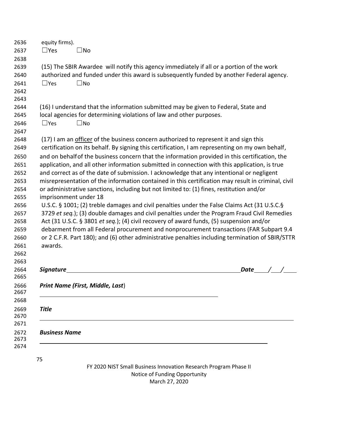| $\Box$ Yes<br>$\square$ No<br>(15) The SBIR Awardee will notify this agency immediately if all or a portion of the work<br>authorized and funded under this award is subsequently funded by another Federal agency.<br>$\square$ No<br>$\Box$ Yes<br>(16) I understand that the information submitted may be given to Federal, State and<br>local agencies for determining violations of law and other purposes.<br>$\square$ No<br>$\Box$ Yes<br>(17) I am an officer of the business concern authorized to represent it and sign this<br>certification on its behalf. By signing this certification, I am representing on my own behalf,<br>and on behalf of the business concern that the information provided in this certification, the<br>application, and all other information submitted in connection with this application, is true<br>and correct as of the date of submission. I acknowledge that any intentional or negligent<br>misrepresentation of the information contained in this certification may result in criminal, civil<br>or administrative sanctions, including but not limited to: (1) fines, restitution and/or<br>imprisonment under 18<br>U.S.C. § 1001; (2) treble damages and civil penalties under the False Claims Act (31 U.S.C.§<br>3729 et seq.); (3) double damages and civil penalties under the Program Fraud Civil Remedies<br>Act (31 U.S.C. § 3801 et seq.); (4) civil recovery of award funds, (5) suspension and/or<br>debarment from all Federal procurement and nonprocurement transactions (FAR Subpart 9.4<br>or 2 C.F.R. Part 180); and (6) other administrative penalties including termination of SBIR/STTR<br>awards.<br>Signature<br>Date<br>Print Name (First, Middle, Last)<br><b>Title</b><br><b>Business Name</b><br>75<br>FY 2020 NIST Small Business Innovation Research Program Phase II | equity firms). |  |  |  |
|--------------------------------------------------------------------------------------------------------------------------------------------------------------------------------------------------------------------------------------------------------------------------------------------------------------------------------------------------------------------------------------------------------------------------------------------------------------------------------------------------------------------------------------------------------------------------------------------------------------------------------------------------------------------------------------------------------------------------------------------------------------------------------------------------------------------------------------------------------------------------------------------------------------------------------------------------------------------------------------------------------------------------------------------------------------------------------------------------------------------------------------------------------------------------------------------------------------------------------------------------------------------------------------------------------------------------------------------------------------------------------------------------------------------------------------------------------------------------------------------------------------------------------------------------------------------------------------------------------------------------------------------------------------------------------------------------------------------------------------------------------------------------------------------------------------------------------------------------------|----------------|--|--|--|
|                                                                                                                                                                                                                                                                                                                                                                                                                                                                                                                                                                                                                                                                                                                                                                                                                                                                                                                                                                                                                                                                                                                                                                                                                                                                                                                                                                                                                                                                                                                                                                                                                                                                                                                                                                                                                                                        |                |  |  |  |
|                                                                                                                                                                                                                                                                                                                                                                                                                                                                                                                                                                                                                                                                                                                                                                                                                                                                                                                                                                                                                                                                                                                                                                                                                                                                                                                                                                                                                                                                                                                                                                                                                                                                                                                                                                                                                                                        |                |  |  |  |
|                                                                                                                                                                                                                                                                                                                                                                                                                                                                                                                                                                                                                                                                                                                                                                                                                                                                                                                                                                                                                                                                                                                                                                                                                                                                                                                                                                                                                                                                                                                                                                                                                                                                                                                                                                                                                                                        |                |  |  |  |
|                                                                                                                                                                                                                                                                                                                                                                                                                                                                                                                                                                                                                                                                                                                                                                                                                                                                                                                                                                                                                                                                                                                                                                                                                                                                                                                                                                                                                                                                                                                                                                                                                                                                                                                                                                                                                                                        |                |  |  |  |
|                                                                                                                                                                                                                                                                                                                                                                                                                                                                                                                                                                                                                                                                                                                                                                                                                                                                                                                                                                                                                                                                                                                                                                                                                                                                                                                                                                                                                                                                                                                                                                                                                                                                                                                                                                                                                                                        |                |  |  |  |
|                                                                                                                                                                                                                                                                                                                                                                                                                                                                                                                                                                                                                                                                                                                                                                                                                                                                                                                                                                                                                                                                                                                                                                                                                                                                                                                                                                                                                                                                                                                                                                                                                                                                                                                                                                                                                                                        |                |  |  |  |
|                                                                                                                                                                                                                                                                                                                                                                                                                                                                                                                                                                                                                                                                                                                                                                                                                                                                                                                                                                                                                                                                                                                                                                                                                                                                                                                                                                                                                                                                                                                                                                                                                                                                                                                                                                                                                                                        |                |  |  |  |
|                                                                                                                                                                                                                                                                                                                                                                                                                                                                                                                                                                                                                                                                                                                                                                                                                                                                                                                                                                                                                                                                                                                                                                                                                                                                                                                                                                                                                                                                                                                                                                                                                                                                                                                                                                                                                                                        |                |  |  |  |
|                                                                                                                                                                                                                                                                                                                                                                                                                                                                                                                                                                                                                                                                                                                                                                                                                                                                                                                                                                                                                                                                                                                                                                                                                                                                                                                                                                                                                                                                                                                                                                                                                                                                                                                                                                                                                                                        |                |  |  |  |
|                                                                                                                                                                                                                                                                                                                                                                                                                                                                                                                                                                                                                                                                                                                                                                                                                                                                                                                                                                                                                                                                                                                                                                                                                                                                                                                                                                                                                                                                                                                                                                                                                                                                                                                                                                                                                                                        |                |  |  |  |
|                                                                                                                                                                                                                                                                                                                                                                                                                                                                                                                                                                                                                                                                                                                                                                                                                                                                                                                                                                                                                                                                                                                                                                                                                                                                                                                                                                                                                                                                                                                                                                                                                                                                                                                                                                                                                                                        |                |  |  |  |
|                                                                                                                                                                                                                                                                                                                                                                                                                                                                                                                                                                                                                                                                                                                                                                                                                                                                                                                                                                                                                                                                                                                                                                                                                                                                                                                                                                                                                                                                                                                                                                                                                                                                                                                                                                                                                                                        |                |  |  |  |
|                                                                                                                                                                                                                                                                                                                                                                                                                                                                                                                                                                                                                                                                                                                                                                                                                                                                                                                                                                                                                                                                                                                                                                                                                                                                                                                                                                                                                                                                                                                                                                                                                                                                                                                                                                                                                                                        |                |  |  |  |
|                                                                                                                                                                                                                                                                                                                                                                                                                                                                                                                                                                                                                                                                                                                                                                                                                                                                                                                                                                                                                                                                                                                                                                                                                                                                                                                                                                                                                                                                                                                                                                                                                                                                                                                                                                                                                                                        |                |  |  |  |
|                                                                                                                                                                                                                                                                                                                                                                                                                                                                                                                                                                                                                                                                                                                                                                                                                                                                                                                                                                                                                                                                                                                                                                                                                                                                                                                                                                                                                                                                                                                                                                                                                                                                                                                                                                                                                                                        |                |  |  |  |
|                                                                                                                                                                                                                                                                                                                                                                                                                                                                                                                                                                                                                                                                                                                                                                                                                                                                                                                                                                                                                                                                                                                                                                                                                                                                                                                                                                                                                                                                                                                                                                                                                                                                                                                                                                                                                                                        |                |  |  |  |
|                                                                                                                                                                                                                                                                                                                                                                                                                                                                                                                                                                                                                                                                                                                                                                                                                                                                                                                                                                                                                                                                                                                                                                                                                                                                                                                                                                                                                                                                                                                                                                                                                                                                                                                                                                                                                                                        |                |  |  |  |
|                                                                                                                                                                                                                                                                                                                                                                                                                                                                                                                                                                                                                                                                                                                                                                                                                                                                                                                                                                                                                                                                                                                                                                                                                                                                                                                                                                                                                                                                                                                                                                                                                                                                                                                                                                                                                                                        |                |  |  |  |
|                                                                                                                                                                                                                                                                                                                                                                                                                                                                                                                                                                                                                                                                                                                                                                                                                                                                                                                                                                                                                                                                                                                                                                                                                                                                                                                                                                                                                                                                                                                                                                                                                                                                                                                                                                                                                                                        |                |  |  |  |
|                                                                                                                                                                                                                                                                                                                                                                                                                                                                                                                                                                                                                                                                                                                                                                                                                                                                                                                                                                                                                                                                                                                                                                                                                                                                                                                                                                                                                                                                                                                                                                                                                                                                                                                                                                                                                                                        |                |  |  |  |
|                                                                                                                                                                                                                                                                                                                                                                                                                                                                                                                                                                                                                                                                                                                                                                                                                                                                                                                                                                                                                                                                                                                                                                                                                                                                                                                                                                                                                                                                                                                                                                                                                                                                                                                                                                                                                                                        |                |  |  |  |
|                                                                                                                                                                                                                                                                                                                                                                                                                                                                                                                                                                                                                                                                                                                                                                                                                                                                                                                                                                                                                                                                                                                                                                                                                                                                                                                                                                                                                                                                                                                                                                                                                                                                                                                                                                                                                                                        |                |  |  |  |
|                                                                                                                                                                                                                                                                                                                                                                                                                                                                                                                                                                                                                                                                                                                                                                                                                                                                                                                                                                                                                                                                                                                                                                                                                                                                                                                                                                                                                                                                                                                                                                                                                                                                                                                                                                                                                                                        |                |  |  |  |
|                                                                                                                                                                                                                                                                                                                                                                                                                                                                                                                                                                                                                                                                                                                                                                                                                                                                                                                                                                                                                                                                                                                                                                                                                                                                                                                                                                                                                                                                                                                                                                                                                                                                                                                                                                                                                                                        |                |  |  |  |
|                                                                                                                                                                                                                                                                                                                                                                                                                                                                                                                                                                                                                                                                                                                                                                                                                                                                                                                                                                                                                                                                                                                                                                                                                                                                                                                                                                                                                                                                                                                                                                                                                                                                                                                                                                                                                                                        |                |  |  |  |
|                                                                                                                                                                                                                                                                                                                                                                                                                                                                                                                                                                                                                                                                                                                                                                                                                                                                                                                                                                                                                                                                                                                                                                                                                                                                                                                                                                                                                                                                                                                                                                                                                                                                                                                                                                                                                                                        |                |  |  |  |
|                                                                                                                                                                                                                                                                                                                                                                                                                                                                                                                                                                                                                                                                                                                                                                                                                                                                                                                                                                                                                                                                                                                                                                                                                                                                                                                                                                                                                                                                                                                                                                                                                                                                                                                                                                                                                                                        |                |  |  |  |
|                                                                                                                                                                                                                                                                                                                                                                                                                                                                                                                                                                                                                                                                                                                                                                                                                                                                                                                                                                                                                                                                                                                                                                                                                                                                                                                                                                                                                                                                                                                                                                                                                                                                                                                                                                                                                                                        |                |  |  |  |
|                                                                                                                                                                                                                                                                                                                                                                                                                                                                                                                                                                                                                                                                                                                                                                                                                                                                                                                                                                                                                                                                                                                                                                                                                                                                                                                                                                                                                                                                                                                                                                                                                                                                                                                                                                                                                                                        |                |  |  |  |
|                                                                                                                                                                                                                                                                                                                                                                                                                                                                                                                                                                                                                                                                                                                                                                                                                                                                                                                                                                                                                                                                                                                                                                                                                                                                                                                                                                                                                                                                                                                                                                                                                                                                                                                                                                                                                                                        |                |  |  |  |
|                                                                                                                                                                                                                                                                                                                                                                                                                                                                                                                                                                                                                                                                                                                                                                                                                                                                                                                                                                                                                                                                                                                                                                                                                                                                                                                                                                                                                                                                                                                                                                                                                                                                                                                                                                                                                                                        |                |  |  |  |
|                                                                                                                                                                                                                                                                                                                                                                                                                                                                                                                                                                                                                                                                                                                                                                                                                                                                                                                                                                                                                                                                                                                                                                                                                                                                                                                                                                                                                                                                                                                                                                                                                                                                                                                                                                                                                                                        |                |  |  |  |
|                                                                                                                                                                                                                                                                                                                                                                                                                                                                                                                                                                                                                                                                                                                                                                                                                                                                                                                                                                                                                                                                                                                                                                                                                                                                                                                                                                                                                                                                                                                                                                                                                                                                                                                                                                                                                                                        |                |  |  |  |
|                                                                                                                                                                                                                                                                                                                                                                                                                                                                                                                                                                                                                                                                                                                                                                                                                                                                                                                                                                                                                                                                                                                                                                                                                                                                                                                                                                                                                                                                                                                                                                                                                                                                                                                                                                                                                                                        |                |  |  |  |
|                                                                                                                                                                                                                                                                                                                                                                                                                                                                                                                                                                                                                                                                                                                                                                                                                                                                                                                                                                                                                                                                                                                                                                                                                                                                                                                                                                                                                                                                                                                                                                                                                                                                                                                                                                                                                                                        |                |  |  |  |

Notice of Funding Opportunity March 27, 2020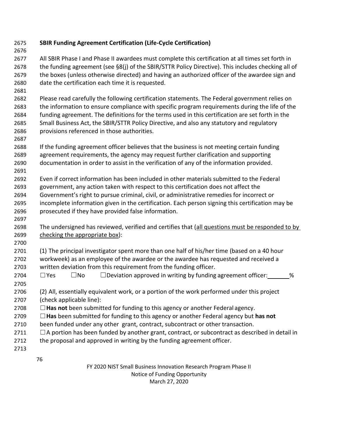**SBIR Funding Agreement Certification (Life-Cycle Certification)** All SBIR Phase I and Phase II awardees must complete this certification at all times set forth in the funding agreement (see §8(j) of the SBIR/STTR Policy Directive). This includes checking all of the boxes (unless otherwise directed) and having an authorized officer of the awardee sign and date the certification each time it is requested. Please read carefully the following certification statements. The Federal government relies on the information to ensure compliance with specific program requirements during the life of the funding agreement. The definitions for the terms used in this certification are set forth in the Small Business Act, the SBIR/STTR Policy Directive, and also any statutory and regulatory provisions referenced in those authorities. If the funding agreement officer believes that the business is not meeting certain funding agreement requirements, the agency may request further clarification and supporting documentation in order to assist in the verification of any of the information provided. Even if correct information has been included in other materials submitted to the Federal government, any action taken with respect to this certification does not affect the Government's right to pursue criminal, civil, or administrative remedies for incorrect or incomplete information given in the certification. Each person signing this certification may be prosecuted if they have provided false information. 2698 The undersigned has reviewed, verified and certifies that (all questions must be responded to by checking the appropriate box): (1) The principal investigator spent more than one half of his/her time (based on a 40 hour workweek) as an employee of the awardee or the awardee has requested and received a written deviation from this requirement from the funding officer.  $\Box$  Yes  $\Box$  No  $\Box$  Deviation approved in writing by funding agreement officer:  $\Box$  % (2) All, essentially equivalent work, or a portion of the work performed under this project (check applicable line): ☐**Has not** been submitted for funding to this agency or another Federal agency. ☐**Has** been submitted for funding to this agency or another Federal agency but **has not** been funded under any other grant, contract, subcontract or other transaction.  $\Box$  A portion has been funded by another grant, contract, or subcontract as described in detail in 2712 the proposal and approved in writing by the funding agreement officer. 

> FY 2020 NIST Small Business Innovation Research Program Phase II Notice of Funding Opportunity March 27, 2020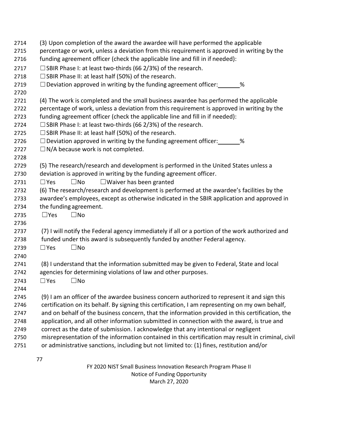| 2714 | (3) Upon completion of the award the awardee will have performed the applicable                    |
|------|----------------------------------------------------------------------------------------------------|
| 2715 | percentage or work, unless a deviation from this requirement is approved in writing by the         |
| 2716 | funding agreement officer (check the applicable line and fill in if needed):                       |
| 2717 | $\Box$ SBIR Phase I: at least two-thirds (66 2/3%) of the research.                                |
| 2718 | $\square$ SBIR Phase II: at least half (50%) of the research.                                      |
| 2719 | $\Box$ Deviation approved in writing by the funding agreement officer: $\Box$ %                    |
| 2720 |                                                                                                    |
| 2721 | (4) The work is completed and the small business awardee has performed the applicable              |
| 2722 | percentage of work, unless a deviation from this requirement is approved in writing by the         |
| 2723 | funding agreement officer (check the applicable line and fill in if needed):                       |
| 2724 | $\Box$ SBIR Phase I: at least two-thirds (66 2/3%) of the research.                                |
| 2725 | $\Box$ SBIR Phase II: at least half (50%) of the research.                                         |
| 2726 | $\Box$ Deviation approved in writing by the funding agreement officer: _______%                    |
| 2727 | $\Box$ N/A because work is not completed.                                                          |
| 2728 |                                                                                                    |
| 2729 | (5) The research/research and development is performed in the United States unless a               |
| 2730 | deviation is approved in writing by the funding agreement officer.                                 |
| 2731 | $\Box$ Waiver has been granted<br>$\square$ No<br>$\Box$ Yes                                       |
| 2732 | (6) The research/research and development is performed at the awardee's facilities by the          |
| 2733 | awardee's employees, except as otherwise indicated in the SBIR application and approved in         |
| 2734 | the funding agreement.                                                                             |
| 2735 | $\Box$ Yes<br>$\square$ No                                                                         |
| 2736 |                                                                                                    |
| 2737 | (7) I will notify the Federal agency immediately if all or a portion of the work authorized and    |
| 2738 | funded under this award is subsequently funded by another Federal agency.                          |
| 2739 | $\square$ No<br>$\square$ Yes                                                                      |
| 2740 |                                                                                                    |
| 2741 | (8) I understand that the information submitted may be given to Federal, State and local           |
| 2742 | agencies for determining violations of law and other purposes.                                     |
| 2743 | $\square$ No<br>$\Box$ Yes                                                                         |
| 2744 |                                                                                                    |
| 2745 | (9) I am an officer of the awardee business concern authorized to represent it and sign this       |
| 2746 | certification on its behalf. By signing this certification, I am representing on my own behalf,    |
| 2747 | and on behalf of the business concern, that the information provided in this certification, the    |
| 2748 | application, and all other information submitted in connection with the award, is true and         |
| 2749 | correct as the date of submission. I acknowledge that any intentional or negligent                 |
| 2750 | misrepresentation of the information contained in this certification may result in criminal, civil |
| 2751 | or administrative sanctions, including but not limited to: (1) fines, restitution and/or           |
|      |                                                                                                    |
|      | 77                                                                                                 |

FY 2020 NIST Small Business Innovation Research Program Phase II Notice of Funding Opportunity March 27, 2020